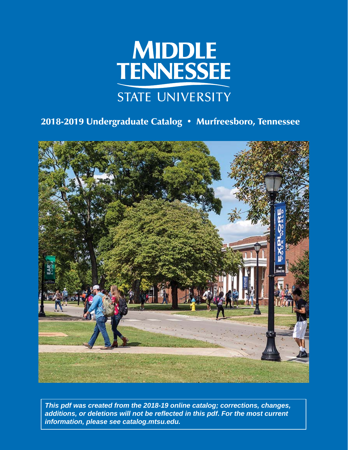

# 2018-2019 Undergraduate Catalog • Murfreesboro, Tennessee



*This pdf was created from the 2018-19 online catalog; corrections, changes, additions, or deletions will not be refl ected in this pdf***.** *For the most current information, please see catalog.mtsu.edu.*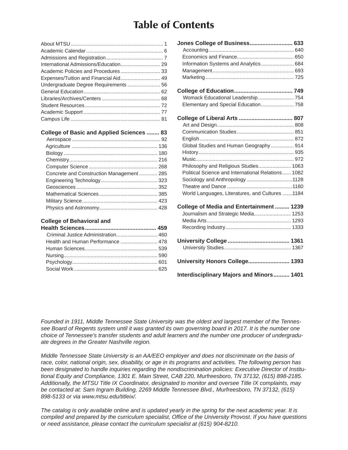# Table of Contents

| Undergraduate Degree Requirements  56 |  |
|---------------------------------------|--|
|                                       |  |
|                                       |  |
|                                       |  |
|                                       |  |
|                                       |  |
|                                       |  |

#### **College of Basic and Applied Sciences ........ 83**

| Concrete and Construction Management 285 |  |
|------------------------------------------|--|
|                                          |  |
|                                          |  |
|                                          |  |
|                                          |  |
|                                          |  |

#### **College of Behavioral and**

| Criminal Justice Administration 460 |  |
|-------------------------------------|--|
| Health and Human Performance  478   |  |
|                                     |  |
|                                     |  |
|                                     |  |
|                                     |  |
|                                     |  |

| Jones College of Business 633                      |
|----------------------------------------------------|
|                                                    |
|                                                    |
| Information Systems and Analytics 684              |
|                                                    |
|                                                    |
|                                                    |
| Womack Educational Leadership 754                  |
| Elementary and Special Education 758               |
|                                                    |
|                                                    |
|                                                    |
|                                                    |
| Global Studies and Human Geography  914            |
|                                                    |
|                                                    |
| Philosophy and Religious Studies 1063              |
| Political Science and International Relations 1082 |
|                                                    |
|                                                    |
| World Languages, Literatures, and Cultures 1184    |
| <b>College of Media and Entertainment  1239</b>    |
| Journalism and Strategic Media 1253                |
|                                                    |
|                                                    |
|                                                    |
|                                                    |
| University Honors College 1393                     |
| <b>Interdisciplinary Majors and Minors 1401</b>    |

*Founded in 1911, Middle Tennessee State University was the oldest and largest member of the Tennes*see Board of Regents system until it was granted its own governing board in 2017. It is the number one *choice of Tennessee's transfer students and adult learners and the number one producer of undergraduate degrees in the Greater Nashville region.*

*Middle Tennessee State University is an AA/EEO employer and does not discriminate on the basis of race, color, national origin, sex, disability, or age in its programs and activities. The following person has been designated to handle inquiries regarding the nondiscrimination policies: Executive Director of Institutional Equity and Compliance, 1301 E. Main Street, CAB 220, Murfreesboro, TN 37132, (615) 898-2185. Additionally, the MTSU Title IX Coordinator, designated to monitor and oversee Title IX complaints, may be contacted at: Sam Ingram Building, 2269 Middle Tennessee Blvd., Murfreesboro, TN 37132, (615) 898-5133 or via www.mtsu.edu/titleix/.*

*The catalog is only available online and is updated yearly in the spring for the next academic year. It is compiled and prepared by the curriculum specialist, Offi ce of the University Provost. If you have questions or need assistance, please contact the curriculum specialist at (615) 904-8210.*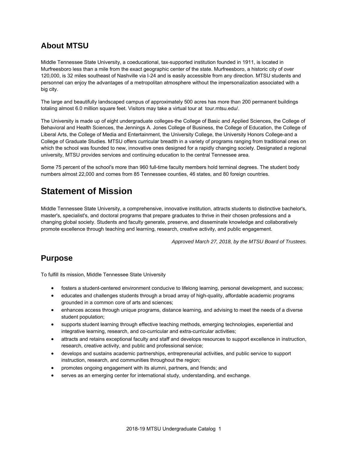### **About MTSU**

Middle Tennessee State University, a coeducational, tax-supported institution founded in 1911, is located in Murfreesboro less than a mile from the exact geographic center of the state. Murfreesboro, a historic city of over 120,000, is 32 miles southeast of Nashville via I-24 and is easily accessible from any direction. MTSU students and personnel can enjoy the advantages of a metropolitan atmosphere without the impersonalization associated with a big city.

The large and beautifully landscaped campus of approximately 500 acres has more than 200 permanent buildings totaling almost 6.0 million square feet. Visitors may take a virtual tour at tour.mtsu.edu/.

The University is made up of eight undergraduate colleges-the College of Basic and Applied Sciences, the College of Behavioral and Health Sciences, the Jennings A. Jones College of Business, the College of Education, the College of Liberal Arts, the College of Media and Entertainment, the University College, the University Honors College-and a College of Graduate Studies. MTSU offers curricular breadth in a variety of programs ranging from traditional ones on which the school was founded to new, innovative ones designed for a rapidly changing society. Designated a regional university, MTSU provides services and continuing education to the central Tennessee area.

Some 75 percent of the school's more than 960 full-time faculty members hold terminal degrees. The student body numbers almost 22,000 and comes from 85 Tennessee counties, 46 states, and 80 foreign countries.

## **Statement of Mission**

Middle Tennessee State University, a comprehensive, innovative institution, attracts students to distinctive bachelor's, master's, specialist's, and doctoral programs that prepare graduates to thrive in their chosen professions and a changing global society. Students and faculty generate, preserve, and disseminate knowledge and collaboratively promote excellence through teaching and learning, research, creative activity, and public engagement.

*Approved March 27, 2018, by the MTSU Board of Trustees.*

### **Purpose**

To fulfill its mission, Middle Tennessee State University

- fosters a student-centered environment conducive to lifelong learning, personal development, and success;
- educates and challenges students through a broad array of high-quality, affordable academic programs grounded in a common core of arts and sciences;
- enhances access through unique programs, distance learning, and advising to meet the needs of a diverse student population;
- supports student learning through effective teaching methods, emerging technologies, experiential and integrative learning, research, and co-curricular and extra-curricular activities;
- attracts and retains exceptional faculty and staff and develops resources to support excellence in instruction, research, creative activity, and public and professional service;
- develops and sustains academic partnerships, entrepreneurial activities, and public service to support instruction, research, and communities throughout the region;
- promotes ongoing engagement with its alumni, partners, and friends; and
- serves as an emerging center for international study, understanding, and exchange.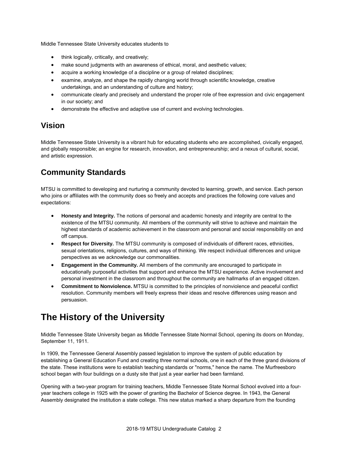Middle Tennessee State University educates students to

- think logically, critically, and creatively;
- make sound judgments with an awareness of ethical, moral, and aesthetic values;
- acquire a working knowledge of a discipline or a group of related disciplines;
- examine, analyze, and shape the rapidly changing world through scientific knowledge, creative undertakings, and an understanding of culture and history;
- communicate clearly and precisely and understand the proper role of free expression and civic engagement in our society; and
- demonstrate the effective and adaptive use of current and evolving technologies.

### **Vision**

Middle Tennessee State University is a vibrant hub for educating students who are accomplished, civically engaged, and globally responsible; an engine for research, innovation, and entrepreneurship; and a nexus of cultural, social, and artistic expression.

## **Community Standards**

MTSU is committed to developing and nurturing a community devoted to learning, growth, and service. Each person who joins or affiliates with the community does so freely and accepts and practices the following core values and expectations:

- **Honesty and Integrity.** The notions of personal and academic honesty and integrity are central to the existence of the MTSU community. All members of the community will strive to achieve and maintain the highest standards of academic achievement in the classroom and personal and social responsibility on and off campus.
- **Respect for Diversity.** The MTSU community is composed of individuals of different races, ethnicities, sexual orientations, religions, cultures, and ways of thinking. We respect individual differences and unique perspectives as we acknowledge our commonalities.
- **Engagement in the Community.** All members of the community are encouraged to participate in educationally purposeful activities that support and enhance the MTSU experience. Active involvement and personal investment in the classroom and throughout the community are hallmarks of an engaged citizen.
- **Commitment to Nonviolence.** MTSU is committed to the principles of nonviolence and peaceful conflict resolution. Community members will freely express their ideas and resolve differences using reason and persuasion.

# **The History of the University**

Middle Tennessee State University began as Middle Tennessee State Normal School, opening its doors on Monday, September 11, 1911.

In 1909, the Tennessee General Assembly passed legislation to improve the system of public education by establishing a General Education Fund and creating three normal schools, one in each of the three grand divisions of the state. These institutions were to establish teaching standards or "norms," hence the name. The Murfreesboro school began with four buildings on a dusty site that just a year earlier had been farmland.

Opening with a two-year program for training teachers, Middle Tennessee State Normal School evolved into a fouryear teachers college in 1925 with the power of granting the Bachelor of Science degree. In 1943, the General Assembly designated the institution a state college. This new status marked a sharp departure from the founding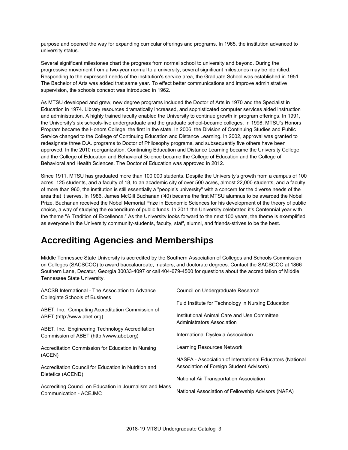purpose and opened the way for expanding curricular offerings and programs. In 1965, the institution advanced to university status.

Several significant milestones chart the progress from normal school to university and beyond. During the progressive movement from a two-year normal to a university, several significant milestones may be identified. Responding to the expressed needs of the institution's service area, the Graduate School was established in 1951. The Bachelor of Arts was added that same year. To effect better communications and improve administrative supervision, the schools concept was introduced in 1962.

As MTSU developed and grew, new degree programs included the Doctor of Arts in 1970 and the Specialist in Education in 1974. Library resources dramatically increased, and sophisticated computer services aided instruction and administration. A highly trained faculty enabled the University to continue growth in program offerings. In 1991, the University's six schools-five undergraduate and the graduate school-became colleges. In 1998, MTSU's Honors Program became the Honors College, the first in the state. In 2006, the Division of Continuing Studies and Public Service changed to the College of Continuing Education and Distance Learning. In 2002, approval was granted to redesignate three D.A. programs to Doctor of Philosophy programs, and subsequently five others have been approved. In the 2010 reorganization, Continuing Education and Distance Learning became the University College, and the College of Education and Behavioral Science became the College of Education and the College of Behavioral and Health Sciences. The Doctor of Education was approved in 2012.

Since 1911, MTSU has graduated more than 100,000 students. Despite the University's growth from a campus of 100 acres, 125 students, and a faculty of 18, to an academic city of over 500 acres, almost 22,000 students, and a faculty of more than 960, the institution is still essentially a "people's university" with a concern for the diverse needs of the area that it serves. In 1986, James McGill Buchanan ('40) became the first MTSU alumnus to be awarded the Nobel Prize. Buchanan received the Nobel Memorial Prize in Economic Sciences for his development of the theory of public choice, a way of studying the expenditure of public funds. In 2011 the University celebrated it's Centennial year with the theme "A Tradition of Excellence." As the University looks forward to the next 100 years, the theme is exemplified as everyone in the University community-students, faculty, staff, alumni, and friends-strives to be the best.

# **Accrediting Agencies and Memberships**

Middle Tennessee State University is accredited by the Southern Association of Colleges and Schools Commission on Colleges (SACSCOC) to award baccalaureate, masters, and doctorate degrees. Contact the SACSCOC at 1866 Southern Lane, Decatur, Georgia 30033-4097 or call 404-679-4500 for questions about the accreditation of Middle Tennessee State University.

| Council on Undergraduate Research                                                                    |  |  |
|------------------------------------------------------------------------------------------------------|--|--|
| Fuld Institute for Technology in Nursing Education                                                   |  |  |
|                                                                                                      |  |  |
| International Dyslexia Association                                                                   |  |  |
|                                                                                                      |  |  |
| NASFA - Association of International Educators (National<br>Association of Foreign Student Advisors) |  |  |
|                                                                                                      |  |  |
| National Association of Fellowship Advisors (NAFA)                                                   |  |  |
|                                                                                                      |  |  |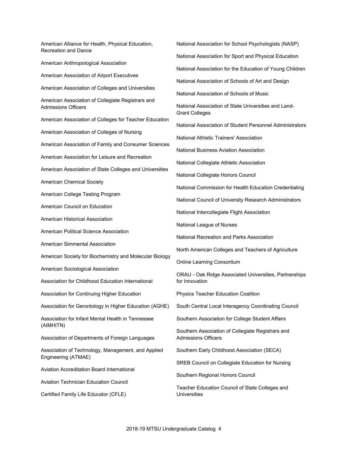American Alliance for Health, Physical Education, Recreation and Dance American Anthropological Association American Association of Airport Executives American Association of Colleges and Universities American Association of Collegiate Registrars and Admissions Officers American Association of Colleges for Teacher Education American Association of Colleges of Nursing American Association of Family and Consumer Sciences American Association for Leisure and Recreation American Association of State Colleges and Universities American Chemical Society American College Testing Program American Council on Education American Historical Association American Political Science Association American Simmental Association American Society for Biochemistry and Molecular Biology American Sociological Association Association for Childhood Education International Association for Continuing Higher Education Association for Gerontology in Higher Education (AGHE) Association for Infant Mental Health in Tennessee (AIMHiTN) Association of Departments of Foreign Languages Association of Technology, Management, and Applied Engineering (ATMAE) Aviation Accreditation Board International Aviation Technician Education Council Certified Family Life Educator (CFLE)

National Association for School Psychologists (NASP) National Association for Sport and Physical Education National Association for the Education of Young Children National Association of Schools of Art and Design National Association of Schools of Music National Association of State Universities and Land-Grant Colleges National Association of Student Personnel Administrators National Athletic Trainers' Association National Business Aviation Association National Collegiate Athletic Association National Collegiate Honors Council National Commission for Health Education Credentialing National Council of University Research Administrators National Intercollegiate Flight Association National League of Nurses National Recreation and Parks Association North American Colleges and Teachers of Agriculture Online Learning Consortium ORAU - Oak Ridge Associated Universities, Partnerships for Innovation Physics Teacher Education Coalition South Central Local Interagency Coordinating Council Southern Association for College Student Affairs Southern Association of Collegiate Registrars and Admissions Officers Southern Early Childhood Association (SECA) SREB Council on Collegiate Education for Nursing Southern Regional Honors Council Teacher Education Council of State Colleges and **Universities**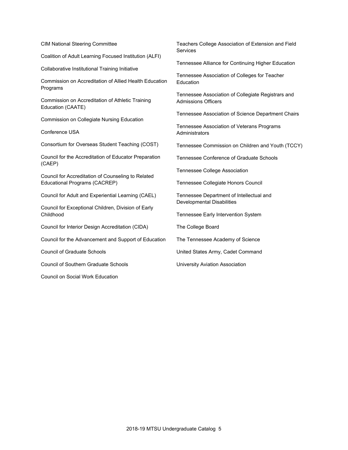CIM National Steering Committee

Coalition of Adult Learning Focused Institution (ALFI)

Collaborative Institutional Training Initiative

Commission on Accreditation of Allied Health Education Programs

Commission on Accreditation of Athletic Training Education (CAATE)

Commission on Collegiate Nursing Education

Conference USA

Consortium for Overseas Student Teaching (COST)

Council for the Accreditation of Educator Preparation (CAEP)

Council for Accreditation of Counseling to Related Educational Programs (CACREP)

Council for Adult and Experiential Learning (CAEL)

Council for Exceptional Children, Division of Early Childhood

Council for Interior Design Accreditation (CIDA)

Council for the Advancement and Support of Education

Council of Graduate Schools

Council of Southern Graduate Schools

Council on Social Work Education

Teachers College Association of Extension and Field Services

Tennessee Alliance for Continuing Higher Education

Tennessee Association of Colleges for Teacher Education

Tennessee Association of Collegiate Registrars and Admissions Officers

Tennessee Association of Science Department Chairs

Tennessee Association of Veterans Programs Administrators

Tennessee Commission on Children and Youth (TCCY)

Tennessee Conference of Graduate Schools

Tennessee College Association

Tennessee Collegiate Honors Council

Tennessee Department of Intellectual and Developmental Disabilities

Tennessee Early Intervention System

The College Board

The Tennessee Academy of Science

United States Army, Cadet Command

University Aviation Association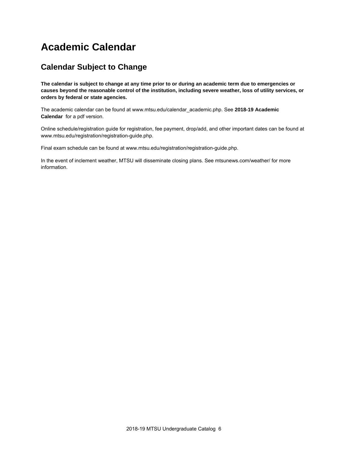# **Academic Calendar**

### **Calendar Subject to Change**

**The calendar is subject to change at any time prior to or during an academic term due to emergencies or causes beyond the reasonable control of the institution, including severe weather, loss of utility services, or orders by federal or state agencies.**

The academic calendar can be found at www.mtsu.edu/calendar\_academic.php. See **2018-19 Academic Calendar** for a pdf version.

Online schedule/registration guide for registration, fee payment, drop/add, and other important dates can be found at www.mtsu.edu/registration/registration-guide.php.

Final exam schedule can be found at www.mtsu.edu/registration/registration-guide.php.

In the event of inclement weather, MTSU will disseminate closing plans. See mtsunews.com/weather/ for more information.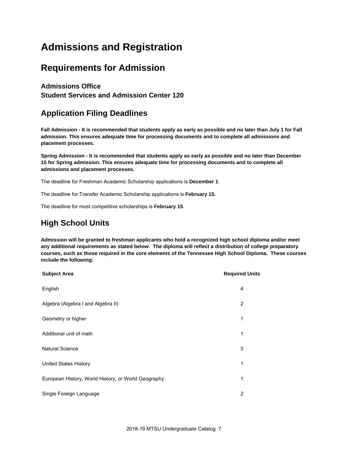# **Admissions and Registration**

## **Requirements for Admission**

### **Admissions Office**

**Student Services and Admission Center 120** 

## **Application Filing Deadlines**

**Fall Admission - It is recommended that students apply as early as possible and no later than July 1 for Fall admission. This ensures adequate time for processing documents and to complete all admissions and placement processes.**

**Spring Admission - It is recommended that students apply as early as possible and no later than December 15 for Spring admission. This ensures adequate time for processing documents and to complete all admissions and placement processes.**

The deadline for Freshman Academic Scholarship applications is **December 1**.

The deadline for Transfer Academic Scholarship applications is **February 15.**

The deadline for most competitive scholarships is **February 15**.

## **High School Units**

**Admission will be granted to freshman applicants who hold a recognized high school diploma and/or meet any additional requirements as stated below. The diploma will reflect a distribution of college preparatory courses, such as those required in the core elements of the Tennessee High School Diploma. These courses include the following:**

| <b>Subject Area</b>                                 | <b>Required Units</b> |
|-----------------------------------------------------|-----------------------|
| English                                             | 4                     |
| Algebra (Algebra I and Algebra II)                  | 2                     |
| Geometry or higher                                  | 1                     |
| Additional unit of math                             | 1                     |
| <b>Natural Science</b>                              | 3                     |
| <b>United States History</b>                        | 1                     |
| European History, World History, or World Geography | 1                     |
| Single Foreign Language                             | $\overline{2}$        |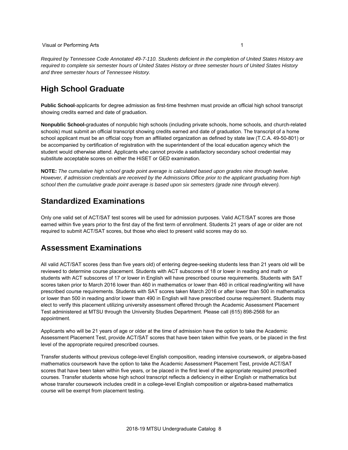#### Visual or Performing Arts 1

*Required by Tennessee Code Annotated 49-7-110. Students deficient in the completion of United States History are required to complete six semester hours of United States History or three semester hours of United States History and three semester hours of Tennessee History.*

### **High School Graduate**

**Public School**-applicants for degree admission as first-time freshmen must provide an official high school transcript showing credits earned and date of graduation.

**Nonpublic School-**graduates of nonpublic high schools (including private schools, home schools, and church-related schools) must submit an official transcript showing credits earned and date of graduation. The transcript of a home school applicant must be an official copy from an affiliated organization as defined by state law (T.C.A. 49-50-801) or be accompanied by certification of registration with the superintendent of the local education agency which the student would otherwise attend. Applicants who cannot provide a satisfactory secondary school credential may substitute acceptable scores on either the HiSET or GED examination.

**NOTE:** *The cumulative high school grade point average is calculated based upon grades nine through twelve. However, if admission credentials are received by the Admissions Office prior to the applicant graduating from high school then the cumulative grade point average is based upon six semesters (grade nine through eleven).*

### **Standardized Examinations**

Only one valid set of ACT/SAT test scores will be used for admission purposes. Valid ACT/SAT scores are those earned within five years prior to the first day of the first term of enrollment. Students 21 years of age or older are not required to submit ACT/SAT scores, but those who elect to present valid scores may do so.

### **Assessment Examinations**

All valid ACT/SAT scores (less than five years old) of entering degree-seeking students less than 21 years old will be reviewed to determine course placement. Students with ACT subscores of 18 or lower in reading and math or students with ACT subscores of 17 or lower in English will have prescribed course requirements. Students with SAT scores taken prior to March 2016 lower than 460 in mathematics or lower than 460 in critical reading/writing will have prescribed course requirements. Students with SAT scores taken March 2016 or after lower than 500 in mathematics or lower than 500 in reading and/or lower than 490 in English will have prescribed course requirement. Students may elect to verify this placement utilizing university assessment offered through the Academic Assessment Placement Test administered at MTSU through the University Studies Department. Please call (615) 898-2568 for an appointment.

Applicants who will be 21 years of age or older at the time of admission have the option to take the Academic Assessment Placement Test, provide ACT/SAT scores that have been taken within five years, or be placed in the first level of the appropriate required prescribed courses.

Transfer students without previous college-level English composition, reading intensive coursework, or algebra-based mathematics coursework have the option to take the Academic Assessment Placement Test, provide ACT/SAT scores that have been taken within five years, or be placed in the first level of the appropriate required prescribed courses. Transfer students whose high school transcript reflects a deficiency in either English or mathematics but whose transfer coursework includes credit in a college-level English composition or algebra-based mathematics course will be exempt from placement testing.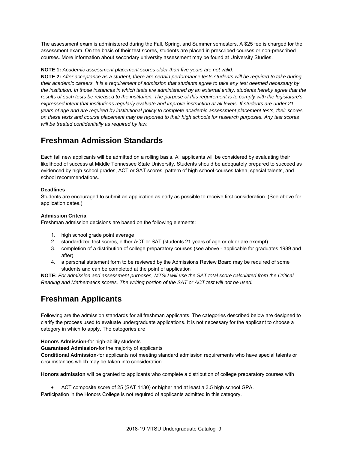The assessment exam is administered during the Fall, Spring, and Summer semesters. A \$25 fee is charged for the assessment exam. On the basis of their test scores, students are placed in prescribed courses or non-prescribed courses. More information about secondary university assessment may be found at University Studies.

#### **NOTE 1:** *Academic assessment placement scores older than five years are not valid.*

**NOTE 2:** *After acceptance as a student, there are certain performance tests students will be required to take during their academic careers. It is a requirement of admission that students agree to take any test deemed necessary by the institution. In those instances in which tests are administered by an external entity, students hereby agree that the results of such tests be released to the institution. The purpose of this requirement is to comply with the legislature's expressed intent that institutions regularly evaluate and improve instruction at all levels. If students are under 21 years of age and are required by institutional policy to complete academic assessment placement tests, their scores on these tests and course placement may be reported to their high schools for research purposes. Any test scores will be treated confidentially as required by law.*

### **Freshman Admission Standards**

Each fall new applicants will be admitted on a rolling basis. All applicants will be considered by evaluating their likelihood of success at Middle Tennessee State University. Students should be adequately prepared to succeed as evidenced by high school grades, ACT or SAT scores, pattern of high school courses taken, special talents, and school recommendations.

#### **Deadlines**

Students are encouraged to submit an application as early as possible to receive first consideration. (See above for application dates.)

#### **Admission Criteria**

Freshman admission decisions are based on the following elements:

- 1. high school grade point average
- 2. standardized test scores, either ACT or SAT (students 21 years of age or older are exempt)
- 3. completion of a distribution of college preparatory courses (see above applicable for graduates 1989 and after)
- 4. a personal statement form to be reviewed by the Admissions Review Board may be required of some students and can be completed at the point of application

**NOTE:** *For admission and assessment purposes, MTSU will use the SAT total score calculated from the Critical Reading and Mathematics scores. The writing portion of the SAT or ACT test will not be used.*

## **Freshman Applicants**

Following are the admission standards for all freshman applicants. The categories described below are designed to clarify the process used to evaluate undergraduate applications. It is not necessary for the applicant to choose a category in which to apply. The categories are

**Honors Admission-**for high-ability students

**Guaranteed Admission-**for the majority of applicants

**Conditional Admission-**for applicants not meeting standard admission requirements who have special talents or circumstances which may be taken into consideration

**Honors admission** will be granted to applicants who complete a distribution of college preparatory courses with

ACT composite score of 25 (SAT 1130) or higher and at least a 3.5 high school GPA.

Participation in the Honors College is not required of applicants admitted in this category.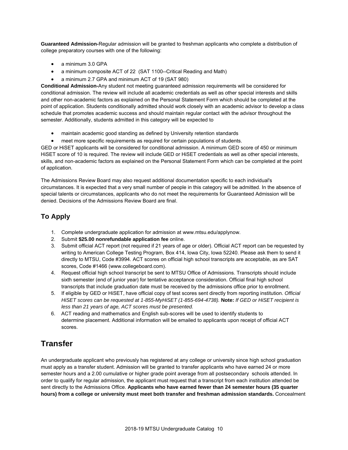**Guaranteed Admission-**Regular admission will be granted to freshman applicants who complete a distribution of college preparatory courses with one of the following:

- a minimum 3.0 GPA
- a minimum composite ACT of 22 (SAT 1100--Critical Reading and Math)
- a minimum 2.7 GPA and minimum ACT of 19 (SAT 980)

**Conditional Admission-**Any student not meeting guaranteed admission requirements will be considered for conditional admission. The review will include all academic credentials as well as other special interests and skills and other non-academic factors as explained on the Personal Statement Form which should be completed at the point of application. Students conditionally admitted should work closely with an academic advisor to develop a class schedule that promotes academic success and should maintain regular contact with the advisor throughout the semester. Additionally, students admitted in this category will be expected to

- maintain academic good standing as defined by University retention standards
- meet more specific requirements as required for certain populations of students.

GED or HiSET applicants will be considered for conditional admission. A minimum GED score of 450 or minimum HiSET score of 10 is required. The review will include GED or HiSET credentials as well as other special interests, skills, and non-academic factors as explained on the Personal Statement Form which can be completed at the point of application.

The Admissions Review Board may also request additional documentation specific to each individual's circumstances. It is expected that a very small number of people in this category will be admitted. In the absence of special talents or circumstances, applicants who do not meet the requirements for Guaranteed Admission will be denied. Decisions of the Admissions Review Board are final.

### **To Apply**

- 1. Complete undergraduate application for admission at www.mtsu.edu/applynow.
- 2. Submit **\$25.00 nonrefundable application fee** online.
- 3. Submit official ACT report (not required if 21 years of age or older). Official ACT report can be requested by writing to American College Testing Program, Box 414, Iowa City, Iowa 52240. Please ask them to send it directly to MTSU, Code #3994. ACT scores on official high school transcripts are acceptable, as are SAT scores, Code #1466 (www.collegeboard.com).
- 4. Request official high school transcript be sent to MTSU Office of Admissions. Transcripts should include sixth semester (end of junior year) for tentative acceptance consideration. Official final high school transcripts that include graduation date must be received by the admissions office prior to enrollment.
- 5. If eligible by GED or HiSET, have official copy of test scores sent directly from reporting institution. *Official HiSET scores can be requested at 1-855-MyHiSET (1-855-694-4738).* **Note:** *If GED or HiSET recipient is less than 21 years of age, ACT scores must be presented.*
- 6. ACT reading and mathematics and English sub-scores will be used to identify students to determine placement. Additional information will be emailed to applicants upon receipt of official ACT scores.

## **Transfer**

An undergraduate applicant who previously has registered at any college or university since high school graduation must apply as a transfer student. Admission will be granted to transfer applicants who have earned 24 or more semester hours and a 2.00 cumulative or higher grade point average from all postsecondary schools attended. In order to qualify for regular admission, the applicant must request that a transcript from each institution attended be sent directly to the Admissions Office. **Applicants who have earned fewer than 24 semester hours (35 quarter hours) from a college or university must meet both transfer and freshman admission standards.** Concealment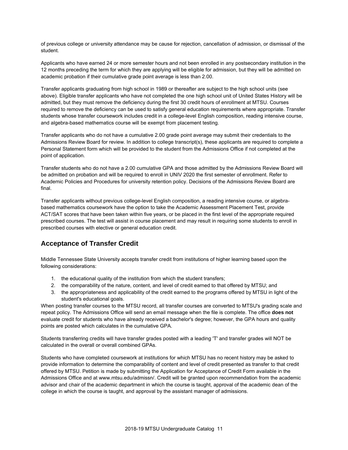of previous college or university attendance may be cause for rejection, cancellation of admission, or dismissal of the student.

Applicants who have earned 24 or more semester hours and not been enrolled in any postsecondary institution in the 12 months preceding the term for which they are applying will be eligible for admission, but they will be admitted on academic probation if their cumulative grade point average is less than 2.00.

Transfer applicants graduating from high school in 1989 or thereafter are subject to the high school units (see above). Eligible transfer applicants who have not completed the one high school unit of United States History will be admitted, but they must remove the deficiency during the first 30 credit hours of enrollment at MTSU. Courses required to remove the deficiency can be used to satisfy general education requirements where appropriate. Transfer students whose transfer coursework includes credit in a college-level English composition, reading intensive course, and algebra-based mathematics course will be exempt from placement testing.

Transfer applicants who do not have a cumulative 2.00 grade point average may submit their credentials to the Admissions Review Board for review. In addition to college transcript(s), these applicants are required to complete a Personal Statement form which will be provided to the student from the Admissions Office if not completed at the point of application.

Transfer students who do not have a 2.00 cumulative GPA and those admitted by the Admissions Review Board will be admitted on probation and will be required to enroll in UNIV 2020 the first semester of enrollment. Refer to Academic Policies and Procedures for university retention policy. Decisions of the Admissions Review Board are final.

Transfer applicants without previous college-level English composition, a reading intensive course, or algebrabased mathematics coursework have the option to take the Academic Assessment Placement Test, provide ACT/SAT scores that have been taken within five years, or be placed in the first level of the appropriate required prescribed courses. The test will assist in course placement and may result in requiring some students to enroll in prescribed courses with elective or general education credit.

#### **Acceptance of Transfer Credit**

Middle Tennessee State University accepts transfer credit from institutions of higher learning based upon the following considerations:

- 1. the educational quality of the institution from which the student transfers;
- 2. the comparability of the nature, content, and level of credit earned to that offered by MTSU; and
- 3. the appropriateness and applicability of the credit earned to the programs offered by MTSU in light of the student's educational goals.

When posting transfer courses to the MTSU record, all transfer courses are converted to MTSU's grading scale and repeat policy. The Admissions Office will send an email message when the file is complete. The office **does not** evaluate credit for students who have already received a bachelor's degree; however, the GPA hours and quality points are posted which calculates in the cumulative GPA.

Students transferring credits will have transfer grades posted with a leading 'T' and transfer grades will NOT be calculated in the overall or overall combined GPAs.

Students who have completed coursework at institutions for which MTSU has no recent history may be asked to provide information to determine the comparability of content and level of credit presented as transfer to that credit offered by MTSU. Petition is made by submitting the Application for Acceptance of Credit Form available in the Admissions Office and at www.mtsu.edu/admissn/. Credit will be granted upon recommendation from the academic advisor and chair of the academic department in which the course is taught, approval of the academic dean of the college in which the course is taught, and approval by the assistant manager of admissions.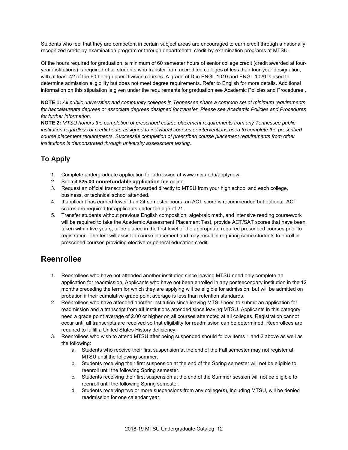Students who feel that they are competent in certain subject areas are encouraged to earn credit through a nationally recognized credit-by-examination program or through departmental credit-by-examination programs at MTSU.

Of the hours required for graduation, a minimum of 60 semester hours of senior college credit (credit awarded at fouryear institutions) is required of all students who transfer from accredited colleges of less than four-year designation, with at least 42 of the 60 being upper-division courses. A grade of D in ENGL 1010 and ENGL 1020 is used to determine admission eligibility but does not meet degree requirements. Refer to English for more details. Additional information on this stipulation is given under the requirements for graduation see Academic Policies and Procedures .

**NOTE 1:** *All public universities and community colleges in Tennessee share a common set of minimum requirements for baccalaureate degrees or associate degrees designed for transfer. Please see Academic Policies and Procedures for further information.*

**NOTE 2:** *MTSU honors the completion of prescribed course placement requirements from any Tennessee public institution regardless of credit hours assigned to individual courses or interventions used to complete the prescribed course placement requirements. Successful completion of prescribed course placement requirements from other institutions is demonstrated through university assessment testing.*

### **To Apply**

- 1. Complete undergraduate application for admission at www.mtsu.edu/applynow.
- 2. Submit **\$25.00 nonrefundable application fee** online.
- 3. Request an official transcript be forwarded directly to MTSU from your high school and each college, business, or technical school attended.
- 4. If applicant has earned fewer than 24 semester hours, an ACT score is recommended but optional. ACT scores are required for applicants under the age of 21.
- 5. Transfer students without previous English composition, algebraic math, and intensive reading coursework will be required to take the Academic Assessment Placement Test, provide ACT/SAT scores that have been taken within five years, or be placed in the first level of the appropriate required prescribed courses prior to registration. The test will assist in course placement and may result in requiring some students to enroll in prescribed courses providing elective or general education credit.

### **Reenrollee**

- 1. Reenrollees who have not attended another institution since leaving MTSU need only complete an application for readmission. Applicants who have not been enrolled in any postsecondary institution in the 12 months preceding the term for which they are applying will be eligible for admission, but will be admitted on probation if their cumulative grade point average is less than retention standards.
- 2. Reenrollees who have attended another institution since leaving MTSU need to submit an application for readmission and a transcript from **all** institutions attended since leaving MTSU. Applicants in this category need a grade point average of 2.00 or higher on all courses attempted at all colleges. Registration cannot occur until all transcripts are received so that eligibility for readmission can be determined. Reenrollees are required to fulfill a United States History deficiency.
- 3. Reenrollees who wish to attend MTSU after being suspended should follow items 1 and 2 above as well as the following:
	- a. Students who receive their first suspension at the end of the Fall semester may not register at MTSU until the following summer.
	- b. Students receiving their first suspension at the end of the Spring semester will not be eligible to reenroll until the following Spring semester.
	- c. Students receiving their first suspension at the end of the Summer session will not be eligible to reenroll until the following Spring semester.
	- d. Students receiving two or more suspensions from any college(s), including MTSU, will be denied readmission for one calendar year.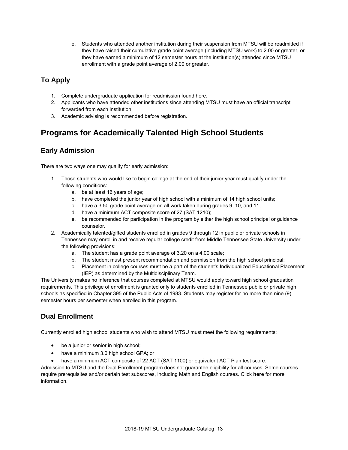e. Students who attended another institution during their suspension from MTSU will be readmitted if they have raised their cumulative grade point average (including MTSU work) to 2.00 or greater, or they have earned a minimum of 12 semester hours at the institution(s) attended since MTSU enrollment with a grade point average of 2.00 or greater.

### **To Apply**

- 1. Complete undergraduate application for readmission found here.
- 2. Applicants who have attended other institutions since attending MTSU must have an official transcript forwarded from each institution.
- 3. Academic advising is recommended before registration.

## **Programs for Academically Talented High School Students**

#### **Early Admission**

There are two ways one may qualify for early admission:

- 1. Those students who would like to begin college at the end of their junior year must qualify under the following conditions:
	- a. be at least 16 years of age;
	- b. have completed the junior year of high school with a minimum of 14 high school units;
	- c. have a 3.50 grade point average on all work taken during grades 9, 10, and 11;
	- d. have a minimum ACT composite score of 27 (SAT 1210);
	- e. be recommended for participation in the program by either the high school principal or guidance counselor.

2. Academically talented/gifted students enrolled in grades 9 through 12 in public or private schools in Tennessee may enroll in and receive regular college credit from Middle Tennessee State University under the following provisions:

- a. The student has a grade point average of 3.20 on a 4.00 scale;
- b. The student must present recommendation and permission from the high school principal;
- c. Placement in college courses must be a part of the student's Individualized Educational Placement (IEP) as determined by the Multidisciplinary Team.

The University makes no inference that courses completed at MTSU would apply toward high school graduation requirements. This privilege of enrollment is granted only to students enrolled in Tennessee public or private high schools as specified in Chapter 395 of the Public Acts of 1983. Students may register for no more than nine (9) semester hours per semester when enrolled in this program.

### **Dual Enrollment**

Currently enrolled high school students who wish to attend MTSU must meet the following requirements:

- be a junior or senior in high school;
- have a minimum 3.0 high school GPA; or
- have a minimum ACT composite of 22 ACT (SAT 1100) or equivalent ACT Plan test score.

Admission to MTSU and the Dual Enrollment program does not guarantee eligibility for all courses. Some courses require prerequisites and/or certain test subscores, including Math and English courses. Click **here** for more information.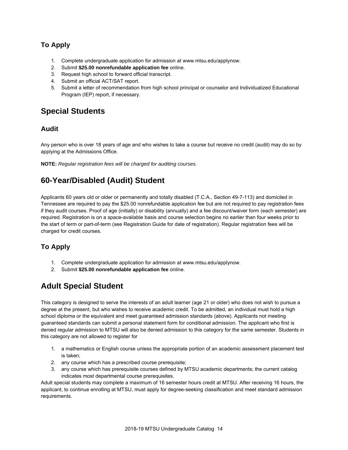### **To Apply**

- 1. Complete undergraduate application for admission at www.mtsu.edu/applynow.
- 2. Submit **\$25.00 nonrefundable application fee** online.
- 3. Request high school to forward official transcript.
- 4. Submit an official ACT/SAT report.
- 5. Submit a letter of recommendation from high school principal or counselor and Individualized Educational Program (IEP) report, if necessary.

### **Special Students**

#### **Audit**

Any person who is over 18 years of age and who wishes to take a course but receive no credit (audit) may do so by applying at the Admissions Office.

**NOTE:** *Regular registration fees will be charged for auditing courses.*

## **60-Year/Disabled (Audit) Student**

Applicants 60 years old or older or permanently and totally disabled (T.C.A., Section 49-7-113) and domiciled in Tennessee are required to pay the \$25.00 nonrefundable application fee but are not required to pay registration fees if they audit courses. Proof of age (initially) or disability (annually) and a fee discount/waiver form (each semester) are required. Registration is on a space-available basis and course selection begins no earlier than four weeks prior to the start of term or part-of-term (see Registration Guide for date of registration). Regular registration fees will be charged for credit courses.

#### **To Apply**

- 1. Complete undergraduate application for admission at www.mtsu.edu/applynow.
- 2. Submit **\$25.00 nonrefundable application fee** online.

## **Adult Special Student**

This category is designed to serve the interests of an adult learner (age 21 or older) who does not wish to pursue a degree at the present, but who wishes to receive academic credit. To be admitted, an individual must hold a high school diploma or the equivalent and meet guaranteed admission standards (above). Applicants not meeting guaranteed standards can submit a personal statement form for conditional admission. The applicant who first is denied regular admission to MTSU will also be denied admission to this category for the same semester. Students in this category are not allowed to register for

- 1. a mathematics or English course unless the appropriate portion of an academic assessment placement test is taken;
- 2. any course which has a prescribed course prerequisite;
- 3. any course which has prerequisite courses defined by MTSU academic departments; the current catalog indicates most departmental course prerequisites.

Adult special students may complete a maximum of 16 semester hours credit at MTSU. After receiving 16 hours, the applicant, to continue enrolling at MTSU, must apply for degree-seeking classification and meet standard admission requirements.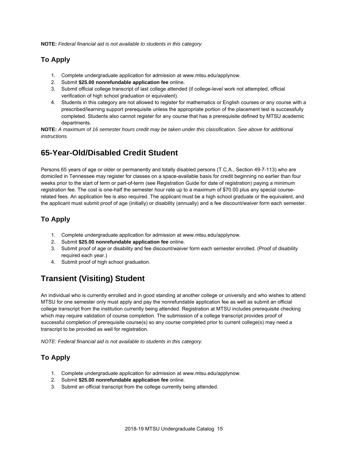**NOTE:** *Federal financial aid is not available to students in this category.*

#### **To Apply**

- 1. Complete undergraduate application for admission at www.mtsu.edu/applynow.
- 2. Submit **\$25.00 nonrefundable application fee** online.
- 3. Submit official college transcript of last college attended (if college-level work not attempted, official verification of high school graduation or equivalent).
- 4. Students in this category are not allowed to register for mathematics or English courses or any course with a prescribed/learning support prerequisite unless the appropriate portion of the placement test is successfully completed. Students also cannot register for any course that has a prerequisite defined by MTSU academic departments.

**NOTE:** *A maximum of 16 semester hours credit may be taken under this classification. See above for additional instructions.*

## **65-Year-Old/Disabled Credit Student**

Persons 65 years of age or older or permanently and totally disabled persons (T.C.A., Section 49-7-113) who are domiciled in Tennessee may register for classes on a space-available basis for credit beginning no earlier than four weeks prior to the start of term or part-of-term (see Registration Guide for date of registration) paying a minimum registration fee. The cost is one-half the semester hour rate up to a maximum of \$70.00 plus any special courserelated fees. An application fee is also required. The applicant must be a high school graduate or the equivalent, and the applicant must submit proof of age (initially) or disability (annually) and a fee discount/waiver form each semester.

### **To Apply**

- 1. Complete undergraduate application for admission at www.mtsu.edu/applynow.
- 2. Submit **\$25.00 nonrefundable application fee** online.
- 3. Submit proof of age or disability and fee discount/waiver form each semester enrolled. (Proof of disability required each year.)
- 4. Submit proof of high school graduation.

## **Transient (Visiting) Student**

An individual who is currently enrolled and in good standing at another college or university and who wishes to attend MTSU for one semester only must apply and pay the nonrefundable application fee as well as submit an official college transcript from the institution currently being attended. Registration at MTSU includes prerequisite checking which may require validation of course completion. The submission of a college transcript provides proof of successful completion of prerequisite course(s) so any course completed prior to current college(s) may need a transcript to be provided as well for registration.

*NOTE: Federal financial aid is not available to students in this category.*

### **To Apply**

- 1. Complete undergraduate application for admission at www.mtsu.edu/applynow.
- 2. Submit **\$25.00 nonrefundable application fee** online.
- 3. Submit an official transcript from the college currently being attended.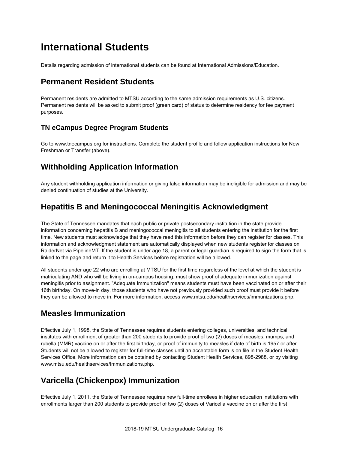# **International Students**

Details regarding admission of international students can be found at International Admissions/Education.

### **Permanent Resident Students**

Permanent residents are admitted to MTSU according to the same admission requirements as U.S. citizens. Permanent residents will be asked to submit proof (green card) of status to determine residency for fee payment purposes.

#### **TN eCampus Degree Program Students**

Go to www.tnecampus.org for instructions. Complete the student profile and follow application instructions for New Freshman or Transfer (above).

## **Withholding Application Information**

Any student withholding application information or giving false information may be ineligible for admission and may be denied continuation of studies at the University.

### **Hepatitis B and Meningococcal Meningitis Acknowledgment**

The State of Tennessee mandates that each public or private postsecondary institution in the state provide information concerning hepatitis B and meningococcal meningitis to all students entering the institution for the first time. New students must acknowledge that they have read this information before they can register for classes. This information and acknowledgment statement are automatically displayed when new students register for classes on RaiderNet via PipelineMT. If the student is under age 18, a parent or legal guardian is required to sign the form that is linked to the page and return it to Health Services before registration will be allowed.

All students under age 22 who are enrolling at MTSU for the first time regardless of the level at which the student is matriculating AND who will be living in on-campus housing, must show proof of adequate immunization against meningitis prior to assignment. "Adequate Immunization" means students must have been vaccinated on or after their 16th birthday. On move-in day, those students who have not previously provided such proof must provide it before they can be allowed to move in. For more information, access www.mtsu.edu/healthservices/immunizations.php.

### **Measles Immunization**

Effective July 1, 1998, the State of Tennessee requires students entering colleges, universities, and technical institutes with enrollment of greater than 200 students to provide proof of two (2) doses of measles, mumps, and rubella (MMR) vaccine on or after the first birthday, or proof of immunity to measles if date of birth is 1957 or after. Students will not be allowed to register for full-time classes until an acceptable form is on file in the Student Health Services Office. More information can be obtained by contacting Student Health Services, 898-2988, or by visiting www.mtsu.edu/healthservices/Immunizations.php.

## **Varicella (Chickenpox) Immunization**

Effective July 1, 2011, the State of Tennessee requires new full-time enrollees in higher education institutions with enrollments larger than 200 students to provide proof of two (2) doses of Varicella vaccine on or after the first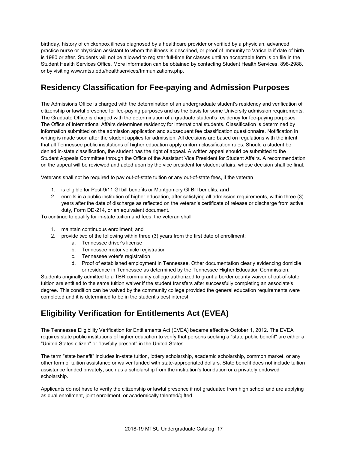birthday, history of chickenpox illness diagnosed by a healthcare provider or verified by a physician, advanced practice nurse or physician assistant to whom the illness is described, or proof of immunity to Varicella if date of birth is 1980 or after. Students will not be allowed to register full-time for classes until an acceptable form is on file in the Student Health Services Office. More information can be obtained by contacting Student Health Services, 898-2988, or by visiting www.mtsu.edu/healthservices/Immunizations.php.

### **Residency Classification for Fee-paying and Admission Purposes**

The Admissions Office is charged with the determination of an undergraduate student's residency and verification of citizenship or lawful presence for fee-paying purposes and as the basis for some University admission requirements. The Graduate Office is charged with the determination of a graduate student's residency for fee-paying purposes. The Office of International Affairs determines residency for international students. Classification is determined by information submitted on the admission application and subsequent fee classification questionnaire. Notification in writing is made soon after the student applies for admission. All decisions are based on regulations with the intent that all Tennessee public institutions of higher education apply uniform classification rules. Should a student be denied in-state classification, the student has the right of appeal. A written appeal should be submitted to the Student Appeals Committee through the Office of the Assistant Vice President for Student Affairs. A recommendation on the appeal will be reviewed and acted upon by the vice president for student affairs, whose decision shall be final.

Veterans shall not be required to pay out-of-state tuition or any out-of-state fees, if the veteran

- 1. is eligible for Post-9/11 GI bill benefits or Montgomery GI Bill benefits; **and**
- 2. enrolls in a public institution of higher education, after satisfying all admission requirements, within three (3) years after the date of discharge as reflected on the veteran's certificate of release or discharge from active duty, Form DD-214, or an equivalent document.

To continue to qualify for in-state tuition and fees, the veteran shall

- 1. maintain continuous enrollment; and
- 2. provide two of the following within three (3) years from the first date of enrollment:
	- a. Tennessee driver's license
	- b. Tennessee motor vehicle registration
	- c. Tennessee voter's registration
	- d. Proof of established employment in Tennessee. Other documentation clearly evidencing domicile or residence in Tennessee as determined by the Tennessee Higher Education Commission.

Students originally admitted to a TBR community college authorized to grant a border county waiver of out-of-state tuition are entitled to the same tuition waiver if the student transfers after successfully completing an associate's degree. This condition can be waived by the community college provided the general education requirements were completed and it is determined to be in the student's best interest.

## **Eligibility Verification for Entitlements Act (EVEA)**

The Tennessee Eligibility Verification for Entitlements Act (EVEA) became effective October 1, 2012. The EVEA requires state public institutions of higher education to verify that persons seeking a "state public benefit" are either a "United States citizen" or "lawfully present" in the United States.

The term "state benefit" includes in-state tuition, lottery scholarship, academic scholarship, common market, or any other form of tuition assistance or waiver funded with state-appropriated dollars. State benefit does not include tuition assistance funded privately, such as a scholarship from the institution's foundation or a privately endowed scholarship.

Applicants do not have to verify the citizenship or lawful presence if not graduated from high school and are applying as dual enrollment, joint enrollment, or academically talented/gifted.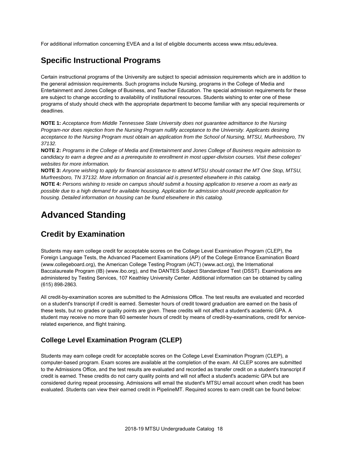For additional information concerning EVEA and a list of eligible documents access www.mtsu.edu/evea.

### **Specific Instructional Programs**

Certain instructional programs of the University are subject to special admission requirements which are in addition to the general admission requirements. Such programs include Nursing, programs in the College of Media and Entertainment and Jones College of Business, and Teacher Education. The special admission requirements for these are subject to change according to availability of institutional resources. Students wishing to enter one of these programs of study should check with the appropriate department to become familiar with any special requirements or deadlines.

**NOTE 1:** *Acceptance from Middle Tennessee State University does not guarantee admittance to the Nursing Program-nor does rejection from the Nursing Program nullify acceptance to the University. Applicants desiring acceptance to the Nursing Program must obtain an application from the School of Nursing, MTSU, Murfreesboro, TN 37132.* 

**NOTE 2:** *Programs in the College of Media and Entertainment and Jones College of Business require admission to candidacy to earn a degree and as a prerequisite to enrollment in most upper-division courses. Visit these colleges' websites for more information.*

**NOTE 3:** *Anyone wishing to apply for financial assistance to attend MTSU should contact the MT One Stop, MTSU, Murfreesboro, TN 37132. More information on financial aid is presented elsewhere in this catalog.*

**NOTE 4:** *Persons wishing to reside on campus should submit a housing application to reserve a room as early as possible due to a high demand for available housing. Application for admission should precede application for housing. Detailed information on housing can be found elsewhere in this catalog.*

# **Advanced Standing**

### **Credit by Examination**

Students may earn college credit for acceptable scores on the College Level Examination Program (CLEP), the Foreign Language Tests, the Advanced Placement Examinations (AP) of the College Entrance Examination Board (www.collegeboard.org), the American College Testing Program (ACT) (www.act.org), the International Baccalaureate Program (IB) (www.ibo.org), and the DANTES Subject Standardized Test (DSST). Examinations are administered by Testing Services, 107 Keathley University Center. Additional information can be obtained by calling (615) 898-2863.

All credit-by-examination scores are submitted to the Admissions Office. The test results are evaluated and recorded on a student's transcript if credit is earned. Semester hours of credit toward graduation are earned on the basis of these tests, but no grades or quality points are given. These credits will not affect a student's academic GPA. A student may receive no more than 60 semester hours of credit by means of credit-by-examinations, credit for servicerelated experience, and flight training.

#### **College Level Examination Program (CLEP)**

Students may earn college credit for acceptable scores on the College Level Examination Program (CLEP), a computer-based program. Exam scores are available at the completion of the exam. All CLEP scores are submitted to the Admissions Office, and the test results are evaluated and recorded as transfer credit on a student's transcript if credit is earned. These credits do not carry quality points and will not affect a student's academic GPA but are considered during repeat processing. Admissions will email the student's MTSU email account when credit has been evaluated. Students can view their earned credit in PipelineMT. Required scores to earn credit can be found below: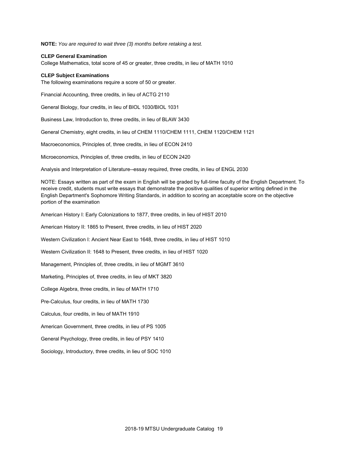**NOTE:** *You are required to wait three (3) months before retaking a test.*

#### **CLEP General Examination**

College Mathematics, total score of 45 or greater, three credits, in lieu of MATH 1010

#### **CLEP Subject Examinations**

The following examinations require a score of 50 or greater.

Financial Accounting, three credits, in lieu of ACTG 2110

General Biology, four credits, in lieu of BIOL 1030/BIOL 1031

Business Law, Introduction to, three credits, in lieu of BLAW 3430

General Chemistry, eight credits, in lieu of CHEM 1110/CHEM 1111, CHEM 1120/CHEM 1121

Macroeconomics, Principles of, three credits, in lieu of ECON 2410

Microeconomics, Principles of, three credits, in lieu of ECON 2420

Analysis and Interpretation of Literature--essay required, three credits, in lieu of ENGL 2030

NOTE: Essays written as part of the exam in English will be graded by full-time faculty of the English Department. To receive credit, students must write essays that demonstrate the positive qualities of superior writing defined in the English Department's Sophomore Writing Standards, in addition to scoring an acceptable score on the objective portion of the examination

American History I: Early Colonizations to 1877, three credits, in lieu of HIST 2010

American History II: 1865 to Present, three credits, in lieu of HIST 2020

Western Civilization I: Ancient Near East to 1648, three credits, in lieu of HIST 1010

Western Civilization II: 1648 to Present, three credits, in lieu of HIST 1020

Management, Principles of, three credits, in lieu of MGMT 3610

Marketing, Principles of, three credits, in lieu of MKT 3820

College Algebra, three credits, in lieu of MATH 1710

Pre-Calculus, four credits, in lieu of MATH 1730

Calculus, four credits, in lieu of MATH 1910

American Government, three credits, in lieu of PS 1005

General Psychology, three credits, in lieu of PSY 1410

Sociology, Introductory, three credits, in lieu of SOC 1010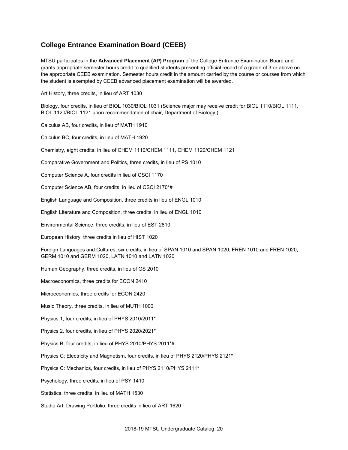#### **College Entrance Examination Board (CEEB)**

MTSU participates in the **Advanced Placement (AP) Program** of the College Entrance Examination Board and grants appropriate semester hours credit to qualified students presenting official record of a grade of 3 or above on the appropriate CEEB examination. Semester hours credit in the amount carried by the course or courses from which the student is exempted by CEEB advanced placement examination will be awarded.

Art History, three credits, in lieu of ART 1030

Biology, four credits, in lieu of BIOL 1030/BIOL 1031 (Science major may receive credit for BIOL 1110/BIOL 1111, BIOL 1120/BIOL 1121 upon recommendation of chair, Department of Biology.)

Calculus AB, four credits, in lieu of MATH 1910

Calculus BC, four credits, in lieu of MATH 1920

Chemistry, eight credits, in lieu of CHEM 1110/CHEM 1111, CHEM 1120/CHEM 1121

Comparative Government and Politics, three credits, in lieu of PS 1010

Computer Science A, four credits in lieu of CSCI 1170

Computer Science AB, four credits, in lieu of CSCI 2170\*#

English Language and Composition, three credits in lieu of ENGL 1010

English Literature and Composition, three credits, in lieu of ENGL 1010

Environmental Science, three credits, in lieu of EST 2810

European History, three credits in lieu of HIST 1020

Foreign Languages and Cultures, six credits, in lieu of SPAN 1010 and SPAN 1020, FREN 1010 and FREN 1020, GERM 1010 and GERM 1020, LATN 1010 and LATN 1020

Human Geography, three credits, in lieu of GS 2010

Macroeconomics, three credits for ECON 2410

Microeconomics, three credits for ECON 2420

Music Theory, three credits, in lieu of MUTH 1000

Physics 1, four credits, in lieu of PHYS 2010/2011\*

Physics 2, four credits, in lieu of PHYS 2020/2021\*

Physics B, four credits, in lieu of PHYS 2010/PHYS 2011\*#

Physics C: Electricity and Magnetism, four credits, in lieu of PHYS 2120/PHYS 2121\*

Physics C: Mechanics, four credits, in lieu of PHYS 2110/PHYS 2111\*

Psychology, three credits, in lieu of PSY 1410

Statistics, three credits, in lieu of MATH 1530

Studio Art: Drawing Portfolio, three credits in lieu of ART 1620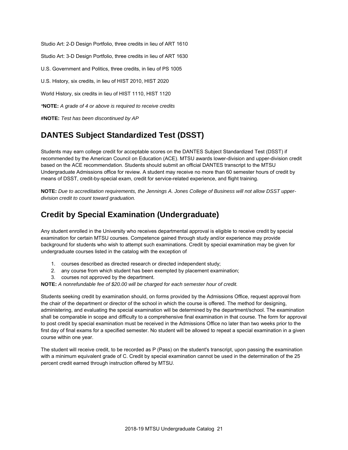Studio Art: 2-D Design Portfolio, three credits in lieu of ART 1610

Studio Art: 3-D Design Portfolio, three credits in lieu of ART 1630

U.S. Government and Politics, three credits, in lieu of PS 1005

U.S. History, six credits, in lieu of HIST 2010, HIST 2020

World History, six credits in lieu of HIST 1110, HIST 1120

*\****NOTE:** *A grade of 4 or above is required to receive credits*

**#NOTE:** *Test has been discontinued by AP*

## **DANTES Subject Standardized Test (DSST)**

Students may earn college credit for acceptable scores on the DANTES Subject Standardized Test (DSST) if recommended by the American Council on Education (ACE). MTSU awards lower-division and upper-division credit based on the ACE recommendation. Students should submit an official DANTES transcript to the MTSU Undergraduate Admissions office for review. A student may receive no more than 60 semester hours of credit by means of DSST, credit-by-special exam, credit for service-related experience, and flight training.

**NOTE:** *Due to accreditation requirements, the Jennings A. Jones College of Business will not allow DSST upperdivision credit to count toward graduation.*

## **Credit by Special Examination (Undergraduate)**

Any student enrolled in the University who receives departmental approval is eligible to receive credit by special examination for certain MTSU courses. Competence gained through study and/or experience may provide background for students who wish to attempt such examinations. Credit by special examination may be given for undergraduate courses listed in the catalog with the exception of

- 1. courses described as directed research or directed independent study;
- 2. any course from which student has been exempted by placement examination;
- 3. courses not approved by the department.

**NOTE:** *A nonrefundable fee of \$20.00 will be charged for each semester hour of credit.*

Students seeking credit by examination should, on forms provided by the Admissions Office, request approval from the chair of the department or director of the school in which the course is offered. The method for designing, administering, and evaluating the special examination will be determined by the department/school. The examination shall be comparable in scope and difficulty to a comprehensive final examination in that course. The form for approval to post credit by special examination must be received in the Admissions Office no later than two weeks prior to the first day of final exams for a specified semester. No student will be allowed to repeat a special examination in a given course within one year.

The student will receive credit, to be recorded as P (Pass) on the student's transcript, upon passing the examination with a minimum equivalent grade of C. Credit by special examination cannot be used in the determination of the 25 percent credit earned through instruction offered by MTSU.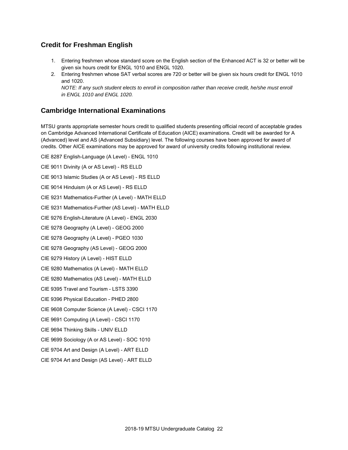#### **Credit for Freshman English**

- 1. Entering freshmen whose standard score on the English section of the Enhanced ACT is 32 or better will be given six hours credit for ENGL 1010 and ENGL 1020.
- 2. Entering freshmen whose SAT verbal scores are 720 or better will be given six hours credit for ENGL 1010 and 1020.

*NOTE: If any such student elects to enroll in composition rather than receive credit, he/she must enroll in ENGL 1010 and ENGL 1020.*

#### **Cambridge International Examinations**

MTSU grants appropriate semester hours credit to qualified students presenting official record of acceptable grades on Cambridge Advanced International Certificate of Education (AICE) examinations. Credit will be awarded for A (Advanced) level and AS (Advanced Subsidiary) level. The following courses have been approved for award of credits. Other AICE examinations may be approved for award of university credits following institutional review.

CIE 8287 English-Language (A Level) - ENGL 1010 CIE 9011 Divinity (A or AS Level) - RS ELLD CIE 9013 Islamic Studies (A or AS Level) - RS ELLD CIE 9014 Hinduism (A or AS Level) - RS ELLD CIE 9231 Mathematics-Further (A Level) - MATH ELLD CIE 9231 Mathematics-Further (AS Level) - MATH ELLD CIE 9276 English-Literature (A Level) - ENGL 2030 CIE 9278 Geography (A Level) - GEOG 2000 CIE 9278 Geography (A Level) - PGEO 1030 CIE 9278 Geography (AS Level) - GEOG 2000 CIE 9279 History (A Level) - HIST ELLD CIE 9280 Mathematics (A Level) - MATH ELLD CIE 9280 Mathematics (AS Level) - MATH ELLD

CIE 9395 Travel and Tourism - LSTS 3390

CIE 9396 Physical Education - PHED 2800

CIE 9608 Computer Science (A Level) - CSCI 1170

CIE 9691 Computing (A Level) - CSCI 1170

CIE 9694 Thinking Skills - UNIV ELLD

CIE 9699 Sociology (A or AS Level) - SOC 1010

CIE 9704 Art and Design (A Level) - ART ELLD

CIE 9704 Art and Design (AS Level) - ART ELLD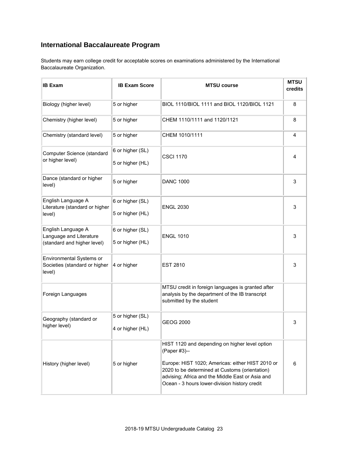### **International Baccalaureate Program**

Students may earn college credit for acceptable scores on examinations administered by the International Baccalaureate Organization.

| <b>IB Exam</b>                                                               | <b>IB Exam Score</b>                 | <b>MTSU course</b>                                                                                                                                                                                                                                                        |   |
|------------------------------------------------------------------------------|--------------------------------------|---------------------------------------------------------------------------------------------------------------------------------------------------------------------------------------------------------------------------------------------------------------------------|---|
| Biology (higher level)                                                       | 5 or higher                          | BIOL 1110/BIOL 1111 and BIOL 1120/BIOL 1121                                                                                                                                                                                                                               | 8 |
| Chemistry (higher level)                                                     | 5 or higher                          | CHEM 1110/1111 and 1120/1121                                                                                                                                                                                                                                              | 8 |
| Chemistry (standard level)                                                   | 5 or higher                          | CHEM 1010/1111                                                                                                                                                                                                                                                            | 4 |
| Computer Science (standard<br>or higher level)                               | 6 or higher (SL)<br>5 or higher (HL) | <b>CSCI 1170</b>                                                                                                                                                                                                                                                          | 4 |
| Dance (standard or higher<br>level)                                          | 5 or higher                          | <b>DANC 1000</b>                                                                                                                                                                                                                                                          | 3 |
| English Language A<br>Literature (standard or higher<br>level)               | 6 or higher (SL)<br>5 or higher (HL) | <b>ENGL 2030</b>                                                                                                                                                                                                                                                          | 3 |
| English Language A<br>Language and Literature<br>(standard and higher level) | 6 or higher (SL)<br>5 or higher (HL) | <b>ENGL 1010</b>                                                                                                                                                                                                                                                          | 3 |
| Environmental Systems or<br>Societies (standard or higher<br>level)          | 4 or higher                          | <b>EST 2810</b>                                                                                                                                                                                                                                                           | 3 |
| Foreign Languages                                                            |                                      | MTSU credit in foreign languages is granted after<br>analysis by the department of the IB transcript<br>submitted by the student                                                                                                                                          |   |
| Geography (standard or<br>higher level)                                      | 5 or higher (SL)<br>4 or higher (HL) | <b>GEOG 2000</b>                                                                                                                                                                                                                                                          | 3 |
| History (higher level)                                                       | 5 or higher                          | HIST 1120 and depending on higher level option<br>(Paper #3)--<br>Europe: HIST 1020; Americas: either HIST 2010 or<br>2020 to be determined at Customs (orientation)<br>advising; Africa and the Middle East or Asia and<br>Ocean - 3 hours lower-division history credit | 6 |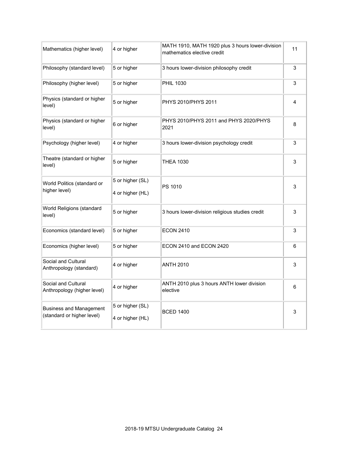| Mathematics (higher level)                                   | 4 or higher                          | MATH 1910, MATH 1920 plus 3 hours lower-division<br>mathematics elective credit | 11 |
|--------------------------------------------------------------|--------------------------------------|---------------------------------------------------------------------------------|----|
| Philosophy (standard level)                                  | 5 or higher                          | 3 hours lower-division philosophy credit                                        | 3  |
| Philosophy (higher level)                                    | 5 or higher                          | <b>PHIL 1030</b>                                                                | 3  |
| Physics (standard or higher<br>level)                        | 5 or higher                          | PHYS 2010/PHYS 2011                                                             | 4  |
| Physics (standard or higher<br>level)                        | 6 or higher                          | PHYS 2010/PHYS 2011 and PHYS 2020/PHYS<br>2021                                  | 8  |
| Psychology (higher level)                                    | 4 or higher                          | 3 hours lower-division psychology credit                                        | 3  |
| Theatre (standard or higher<br>level)                        | 5 or higher                          | <b>THEA 1030</b>                                                                | 3  |
| World Politics (standard or<br>higher level)                 | 5 or higher (SL)<br>4 or higher (HL) | PS 1010                                                                         | 3  |
| World Religions (standard<br>level)                          | 5 or higher                          | 3 hours lower-division religious studies credit                                 | 3  |
| Economics (standard level)                                   | 5 or higher                          | <b>ECON 2410</b>                                                                | 3  |
| Economics (higher level)                                     | 5 or higher                          | ECON 2410 and ECON 2420                                                         | 6  |
| Social and Cultural<br>Anthropology (standard)               | 4 or higher                          | <b>ANTH 2010</b>                                                                | 3  |
| Social and Cultural<br>Anthropology (higher level)           | 4 or higher                          | ANTH 2010 plus 3 hours ANTH lower division<br>elective                          | 6  |
| <b>Business and Management</b><br>(standard or higher level) | 5 or higher (SL)<br>4 or higher (HL) | <b>BCED 1400</b>                                                                | 3  |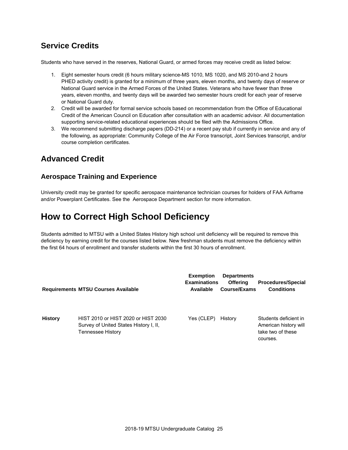### **Service Credits**

Students who have served in the reserves, National Guard, or armed forces may receive credit as listed below:

- 1. Eight semester hours credit (6 hours military science-MS 1010, MS 1020, and MS 2010-and 2 hours PHED activity credit) is granted for a minimum of three years, eleven months, and twenty days of reserve or National Guard service in the Armed Forces of the United States. Veterans who have fewer than three years, eleven months, and twenty days will be awarded two semester hours credit for each year of reserve or National Guard duty.
- 2. Credit will be awarded for formal service schools based on recommendation from the Office of Educational Credit of the American Council on Education after consultation with an academic advisor. All documentation supporting service-related educational experiences should be filed with the Admissions Office.
- 3. We recommend submitting discharge papers (DD-214) or a recent pay stub if currently in service and any of the following, as appropriate: Community College of the Air Force transcript, Joint Services transcript, and/or course completion certificates.

### **Advanced Credit**

#### **Aerospace Training and Experience**

University credit may be granted for specific aerospace maintenance technician courses for holders of FAA Airframe and/or Powerplant Certificates. See the Aerospace Department section for more information.

# **How to Correct High School Deficiency**

Students admitted to MTSU with a United States History high school unit deficiency will be required to remove this deficiency by earning credit for the courses listed below. New freshman students must remove the deficiency within the first 64 hours of enrollment and transfer students within the first 30 hours of enrollment.

|                | <b>Requirements MTSU Courses Available</b>                                                         | <b>Exemption</b><br><b>Examinations</b><br>Available | <b>Departments</b><br><b>Offering</b><br>Course/Exams | <b>Procedures/Special</b><br><b>Conditions</b>                                  |
|----------------|----------------------------------------------------------------------------------------------------|------------------------------------------------------|-------------------------------------------------------|---------------------------------------------------------------------------------|
| <b>History</b> | HIST 2010 or HIST 2020 or HIST 2030<br>Survey of United States History I, II,<br>Tennessee History | Yes (CLEP)                                           | History                                               | Students deficient in<br>American history will<br>take two of these<br>courses. |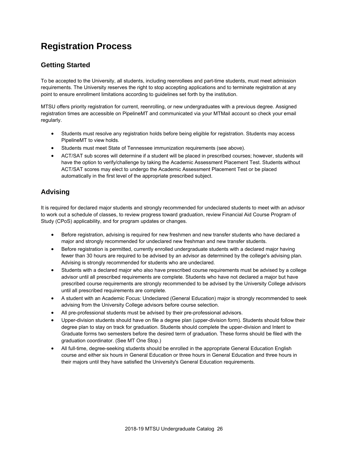# **Registration Process**

#### **Getting Started**

To be accepted to the University, all students, including reenrollees and part-time students, must meet admission requirements. The University reserves the right to stop accepting applications and to terminate registration at any point to ensure enrollment limitations according to guidelines set forth by the institution.

MTSU offers priority registration for current, reenrolling, or new undergraduates with a previous degree. Assigned registration times are accessible on PipelineMT and communicated via your MTMail account so check your email regularly.

- Students must resolve any registration holds before being eligible for registration. Students may access PipelineMT to view holds.
- Students must meet State of Tennessee immunization requirements (see above).
- ACT/SAT sub scores will determine if a student will be placed in prescribed courses; however, students will have the option to verify/challenge by taking the Academic Assessment Placement Test. Students without ACT/SAT scores may elect to undergo the Academic Assessment Placement Test or be placed automatically in the first level of the appropriate prescribed subject.

#### **Advising**

It is required for declared major students and strongly recommended for undeclared students to meet with an advisor to work out a schedule of classes, to review progress toward graduation, review Financial Aid Course Program of Study (CPoS) applicability, and for program updates or changes.

- Before registration, advising is required for new freshmen and new transfer students who have declared a major and strongly recommended for undeclared new freshman and new transfer students.
- Before registration is permitted, currently enrolled undergraduate students with a declared major having fewer than 30 hours are required to be advised by an advisor as determined by the college's advising plan. Advising is strongly recommended for students who are undeclared.
- Students with a declared major who also have prescribed course requirements must be advised by a college advisor until all prescribed requirements are complete. Students who have not declared a major but have prescribed course requirements are strongly recommended to be advised by the University College advisors until all prescribed requirements are complete.
- A student with an Academic Focus: Undeclared (General Education) major is strongly recommended to seek advising from the University College advisors before course selection.
- All pre-professional students must be advised by their pre-professional advisors.
- Upper-division students should have on file a degree plan (upper-division form). Students should follow their degree plan to stay on track for graduation. Students should complete the upper-division and Intent to Graduate forms two semesters before the desired term of graduation. These forms should be filed with the graduation coordinator. (See MT One Stop.)
- All full-time, degree-seeking students should be enrolled in the appropriate General Education English course and either six hours in General Education or three hours in General Education and three hours in their majors until they have satisfied the University's General Education requirements.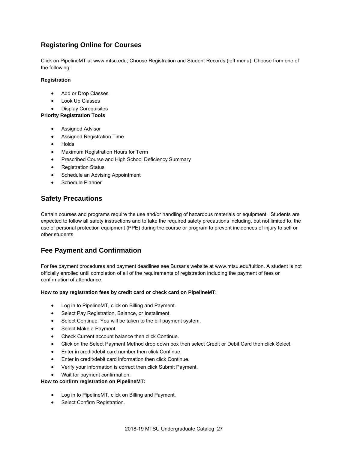#### **Registering Online for Courses**

Click on PipelineMT at www.mtsu.edu; Choose Registration and Student Records (left menu). Choose from one of the following:

#### **Registration**

- Add or Drop Classes
- Look Up Classes
- Display Corequisites

#### **Priority Registration Tools**

- Assigned Advisor
- Assigned Registration Time
- Holds
- Maximum Registration Hours for Term
- **•** Prescribed Course and High School Deficiency Summary
- Registration Status
- Schedule an Advising Appointment
- Schedule Planner

#### **Safety Precautions**

Certain courses and programs require the use and/or handling of hazardous materials or equipment. Students are expected to follow all safety instructions and to take the required safety precautions including, but not limited to, the use of personal protection equipment (PPE) during the course or program to prevent incidences of injury to self or other students

#### **Fee Payment and Confirmation**

For fee payment procedures and payment deadlines see Bursar's website at www.mtsu.edu/tuition. A student is not officially enrolled until completion of all of the requirements of registration including the payment of fees or confirmation of attendance.

#### **How to pay registration fees by credit card or check card on PipelineMT:**

- Log in to PipelineMT, click on Billing and Payment.
- Select Pay Registration, Balance, or Installment.
- Select Continue. You will be taken to the bill payment system.
- Select Make a Payment.
- Check Current account balance then click Continue.
- Click on the Select Payment Method drop down box then select Credit or Debit Card then click Select.
- Enter in credit/debit card number then click Continue.
- Enter in credit/debit card information then click Continue.
- Verify your information is correct then click Submit Payment.
- Wait for payment confirmation.

#### **How to confirm registration on PipelineMT:**

- Log in to PipelineMT, click on Billing and Payment.
- Select Confirm Registration.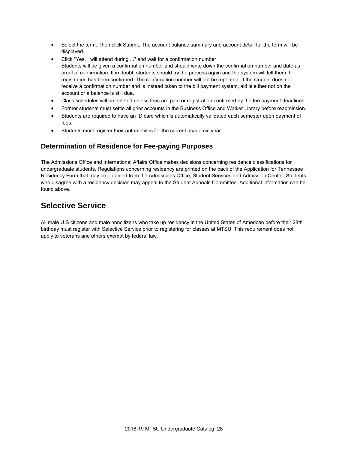- Select the term. Then click Submit. The account balance summary and account detail for the term will be displayed.
- Click "Yes, I will attend during ..." and wait for a confirmation number. Students will be given a confirmation number and should write down the confirmation number and date as proof of confirmation. If in doubt, students should try the process again and the system will tell them if registration has been confirmed. The confirmation number will not be repeated. If the student does not receive a confirmation number and is instead taken to the bill payment system, aid is either not on the account or a balance is still due.
- Class schedules will be deleted unless fees are paid or registration confirmed by the fee payment deadlines.
- Former students must settle all prior accounts in the Business Office and Walker Library before readmission.
- Students are required to have an ID card which is automatically validated each semester upon payment of fees.
- Students must register their automobiles for the current academic year.

#### **Determination of Residence for Fee-paying Purposes**

The Admissions Office and International Affairs Office makes decisions concerning residence classifications for undergraduate students. Regulations concerning residency are printed on the back of the Application for Tennessee Residency Form that may be obtained from the Admissions Office, Student Services and Admission Center. Students who disagree with a residency decision may appeal to the Student Appeals Committee. Additional information can be found above.

### **Selective Service**

All male U.S.citizens and male noncitizens who take up residency in the United States of American before their 28th birthday must register with Selective Service prior to registering for classes at MTSU. This requirement does not apply to veterans and others exempt by federal law.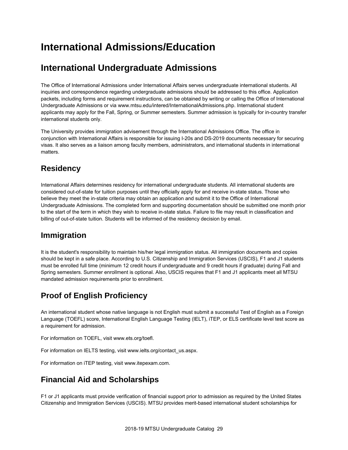# **International Admissions/Education**

# **International Undergraduate Admissions**

The Office of International Admissions under International Affairs serves undergraduate international students. All inquiries and correspondence regarding undergraduate admissions should be addressed to this office. Application packets, including forms and requirement instructions, can be obtained by writing or calling the Office of International Undergraduate Admissions or via www.mtsu.edu/intered/InternationalAdmissions.php. International student applicants may apply for the Fall, Spring, or Summer semesters. Summer admission is typically for in-country transfer international students only.

The University provides immigration advisement through the International Admissions Office. The office in conjunction with International Affairs is responsible for issuing I-20s and DS-2019 documents necessary for securing visas. It also serves as a liaison among faculty members, administrators, and international students in international matters.

## **Residency**

International Affairs determines residency for international undergraduate students. All international students are considered out-of-state for tuition purposes until they officially apply for and receive in-state status. Those who believe they meet the in-state criteria may obtain an application and submit it to the Office of International Undergraduate Admissions. The completed form and supporting documentation should be submitted one month prior to the start of the term in which they wish to receive in-state status. Failure to file may result in classification and billing of out-of-state tuition. Students will be informed of the residency decision by email.

## **Immigration**

It is the student's responsibility to maintain his/her legal immigration status. All immigration documents and copies should be kept in a safe place. According to U.S. Citizenship and Immigration Services (USCIS), F1 and J1 students must be enrolled full time (minimum 12 credit hours if undergraduate and 9 credit hours if graduate) during Fall and Spring semesters. Summer enrollment is optional. Also, USCIS requires that F1 and J1 applicants meet all MTSU mandated admission requirements prior to enrollment.

## **Proof of English Proficiency**

An international student whose native language is not English must submit a successful Test of English as a Foreign Language (TOEFL) score, International English Language Testing (IELT), iTEP, or ELS certificate level test score as a requirement for admission.

For information on TOEFL, visit www.ets.org/toefl.

For information on IELTS testing, visit www.ielts.org/contact\_us.aspx.

For information on iTEP testing, visit www.itepexam.com.

## **Financial Aid and Scholarships**

F1 or J1 applicants must provide verification of financial support prior to admission as required by the United States Citizenship and Immigration Services (USCIS). MTSU provides merit-based international student scholarships for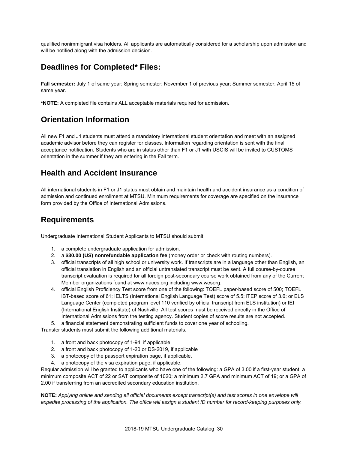qualified nonimmigrant visa holders. All applicants are automatically considered for a scholarship upon admission and will be notified along with the admission decision.

### **Deadlines for Completed\* Files:**

**Fall semester:** July 1 of same year; Spring semester: November 1 of previous year; Summer semester: April 15 of same year.

**\*NOTE:** A completed file contains ALL acceptable materials required for admission.

## **Orientation Information**

All new F1 and J1 students must attend a mandatory international student orientation and meet with an assigned academic advisor before they can register for classes. Information regarding orientation is sent with the final acceptance notification. Students who are in status other than F1 or J1 with USCIS will be invited to CUSTOMS orientation in the summer if they are entering in the Fall term.

### **Health and Accident Insurance**

All international students in F1 or J1 status must obtain and maintain health and accident insurance as a condition of admission and continued enrollment at MTSU. Minimum requirements for coverage are specified on the insurance form provided by the Office of International Admissions.

### **Requirements**

Undergraduate International Student Applicants to MTSU should submit

- 1. a complete undergraduate application for admission.
- 2. a **\$30.00 (US) nonrefundable application fee** (money order or check with routing numbers).
- 3. official transcripts of all high school or university work. If transcripts are in a language other than English, an official translation in English and an official untranslated transcript must be sent. A full course-by-course transcript evaluation is required for all foreign post-secondary course work obtained from any of the Current Member organizations found at www.naces.org including www.wesorg.
- 4. official English Proficiency Test score from one of the following: TOEFL paper-based score of 500; TOEFL iBT-based score of 61; IELTS (International English Language Test) score of 5.5; iTEP score of 3.6; or ELS Language Center (completed program level 110 verified by official transcript from ELS institution) or IEI (International English Institute) of Nashville. All test scores must be received directly in the Office of International Admissions from the testing agency. Student copies of score results are not accepted.
- 5. a financial statement demonstrating sufficient funds to cover one year of schooling.

Transfer students must submit the following additional materials.

- 1. a front and back photocopy of 1-94, if applicable.
- 2. a front and back photocopy of 1-20 or DS-2019, if applicable
- 3. a photocopy of the passport expiration page, if applicable.
- 4. a photocopy of the visa expiration page, if applicable.

Regular admission will be granted to applicants who have one of the following: a GPA of 3.00 if a first-year student; a minimum composite ACT of 22 or SAT composite of 1020; a minimum 2.7 GPA and minimum ACT of 19; or a GPA of 2.00 if transferring from an accredited secondary education institution.

**NOTE:** *Applying online and sending all official documents except transcript(s) and test scores in one envelope will expedite processing of the application. The office will assign a student ID number for record-keeping purposes only.*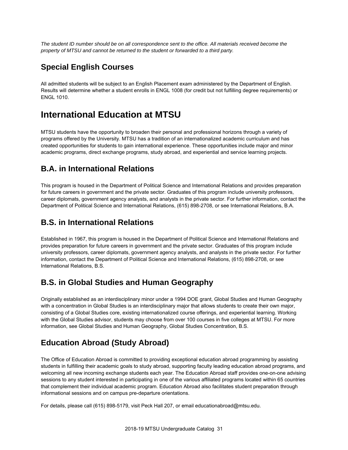*The student ID number should be on all correspondence sent to the office. All materials received become the property of MTSU and cannot be returned to the student or forwarded to a third party.*

### **Special English Courses**

All admitted students will be subject to an English Placement exam administered by the Department of English. Results will determine whether a student enrolls in ENGL 1008 (for credit but not fulfilling degree requirements) or ENGL 1010.

## **International Education at MTSU**

MTSU students have the opportunity to broaden their personal and professional horizons through a variety of programs offered by the University. MTSU has a tradition of an internationalized academic curriculum and has created opportunities for students to gain international experience. These opportunities include major and minor academic programs, direct exchange programs, study abroad, and experiential and service learning projects.

### **B.A. in International Relations**

This program is housed in the Department of Political Science and International Relations and provides preparation for future careers in government and the private sector. Graduates of this program include university professors, career diplomats, government agency analysts, and analysts in the private sector. For further information, contact the Department of Political Science and International Relations, (615) 898-2708, or see International Relations, B.A.

## **B.S. in International Relations**

Established in 1967, this program is housed in the Department of Political Science and International Relations and provides preparation for future careers in government and the private sector. Graduates of this program include university professors, career diplomats, government agency analysts, and analysts in the private sector. For further information, contact the Department of Political Science and International Relations, (615) 898-2708, or see International Relations, B.S.

### **B.S. in Global Studies and Human Geography**

Originally established as an interdisciplinary minor under a 1994 DOE grant, Global Studies and Human Geography with a concentration in Global Studies is an interdisciplinary major that allows students to create their own major, consisting of a Global Studies core, existing internationalized course offerings, and experiential learning. Working with the Global Studies advisor, students may choose from over 100 courses in five colleges at MTSU. For more information, see Global Studies and Human Geography, Global Studies Concentration, B.S.

## **Education Abroad (Study Abroad)**

The Office of Education Abroad is committed to providing exceptional education abroad programming by assisting students in fulfilling their academic goals to study abroad, supporting faculty leading education abroad programs, and welcoming all new incoming exchange students each year. The Education Abroad staff provides one-on-one advising sessions to any student interested in participating in one of the various affiliated programs located within 65 countries that complement their individual academic program. Education Abroad also facilitates student preparation through informational sessions and on campus pre-departure orientations.

For details, please call (615) 898-5179, visit Peck Hall 207, or email educationabroad@mtsu.edu.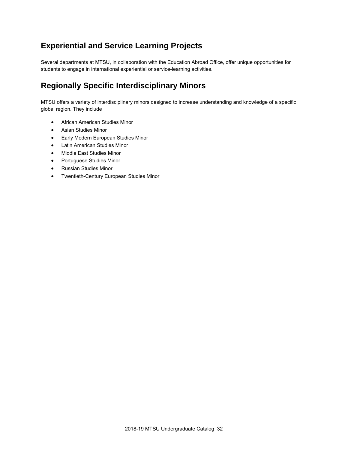### **Experiential and Service Learning Projects**

Several departments at MTSU, in collaboration with the Education Abroad Office, offer unique opportunities for students to engage in international experiential or service-learning activities.

### **Regionally Specific Interdisciplinary Minors**

MTSU offers a variety of interdisciplinary minors designed to increase understanding and knowledge of a specific global region. They include

- African American Studies Minor
- Asian Studies Minor
- **•** Early Modern European Studies Minor
- Latin American Studies Minor
- Middle East Studies Minor
- Portuguese Studies Minor
- Russian Studies Minor
- Twentieth-Century European Studies Minor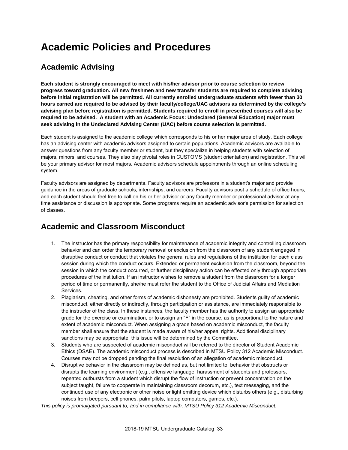# **Academic Policies and Procedures**

## **Academic Advising**

**Each student is strongly encouraged to meet with his/her advisor prior to course selection to review progress toward graduation. All new freshmen and new transfer students are required to complete advising before initial registration will be permitted. All currently enrolled undergraduate students with fewer than 30 hours earned are required to be advised by their faculty/college/UAC advisors as determined by the college's advising plan before registration is permitted. Students required to enroll in prescribed courses will also be required to be advised. A student with an Academic Focus: Undeclared (General Education) major must seek advising in the Undeclared Advising Center (UAC) before course selection is permitted.**

Each student is assigned to the academic college which corresponds to his or her major area of study. Each college has an advising center with academic advisors assigned to certain populations. Academic advisors are available to answer questions from any faculty member or student, but they specialize in helping students with selection of majors, minors, and courses. They also play pivotal roles in CUSTOMS (student orientation) and registration. This will be your primary advisor for most majors. Academic advisors schedule appointments through an online scheduling system.

Faculty advisors are assigned by departments. Faculty advisors are professors in a student's major and provide guidance in the areas of graduate schools, internships, and careers. Faculty advisors post a schedule of office hours, and each student should feel free to call on his or her advisor or any faculty member or professional advisor at any time assistance or discussion is appropriate. Some programs require an academic advisor's permission for selection of classes.

### **Academic and Classroom Misconduct**

- 1. The instructor has the primary responsibility for maintenance of academic integrity and controlling classroom behavior and can order the temporary removal or exclusion from the classroom of any student engaged in disruptive conduct or conduct that violates the general rules and regulations of the institution for each class session during which the conduct occurs. Extended or permanent exclusion from the classroom, beyond the session in which the conduct occurred, or further disciplinary action can be effected only through appropriate procedures of the institution. If an instructor wishes to remove a student from the classroom for a longer period of time or permanently, she/he must refer the student to the Office of Judicial Affairs and Mediation Services.
- 2. Plagiarism, cheating, and other forms of academic dishonesty are prohibited. Students guilty of academic misconduct, either directly or indirectly, through participation or assistance, are immediately responsible to the instructor of the class. In these instances, the faculty member has the authority to assign an appropriate grade for the exercise or examination, or to assign an "F" in the course, as is proportional to the nature and extent of academic misconduct. When assigning a grade based on academic misconduct, the faculty member shall ensure that the student is made aware of his/her appeal rights. Additional disciplinary sanctions may be appropriate; this issue will be determined by the Committee.
- 3. Students who are suspected of academic misconduct will be referred to the director of Student Academic Ethics (DSAE). The academic misconduct process is described in MTSU Policy 312 Academic Misconduct. Courses may not be dropped pending the final resolution of an allegation of academic misconduct.
- 4. Disruptive behavior in the classroom may be defined as, but not limited to, behavior that obstructs or disrupts the learning environment (e.g., offensive language, harassment of students and professors, repeated outbursts from a student which disrupt the flow of instruction or prevent concentration on the subject taught, failure to cooperate in maintaining classroom decorum, etc.), text messaging, and the continued use of any electronic or other noise or light emitting device which disturbs others (e.g., disturbing noises from beepers, cell phones, palm pilots, laptop computers, games, etc.).

*This policy is promulgated pursuant to, and in compliance with, MTSU Policy 312 Academic Misconduct.*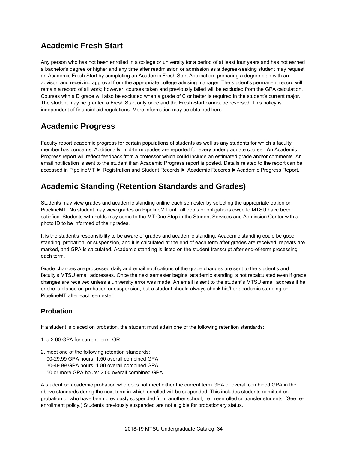### **Academic Fresh Start**

Any person who has not been enrolled in a college or university for a period of at least four years and has not earned a bachelor's degree or higher and any time after readmission or admission as a degree-seeking student may request an Academic Fresh Start by completing an Academic Fresh Start Application, preparing a degree plan with an advisor, and receiving approval from the appropriate college advising manager. The student's permanent record will remain a record of all work; however, courses taken and previously failed will be excluded from the GPA calculation. Courses with a D grade will also be excluded when a grade of C or better is required in the student's current major. The student may be granted a Fresh Start only once and the Fresh Start cannot be reversed. This policy is independent of financial aid regulations. More information may be obtained here.

### **Academic Progress**

Faculty report academic progress for certain populations of students as well as any students for which a faculty member has concerns. Additionally, mid-term grades are reported for every undergraduate course. An Academic Progress report will reflect feedback from a professor which could include an estimated grade and/or comments. An email notification is sent to the student if an Academic Progress report is posted. Details related to the report can be accessed in PipelineMT ► Registration and Student Records ► Academic Records ►Academic Progress Report.

## **Academic Standing (Retention Standards and Grades)**

Students may view grades and academic standing online each semester by selecting the appropriate option on PipelineMT. No student may view grades on PipelineMT until all debts or obligations owed to MTSU have been satisfied. Students with holds may come to the MT One Stop in the Student Services and Admission Center with a photo ID to be informed of their grades.

It is the student's responsibility to be aware of grades and academic standing. Academic standing could be good standing, probation, or suspension, and it is calculated at the end of each term after grades are received, repeats are marked, and GPA is calculated. Academic standing is listed on the student transcript after end-of-term processing each term.

Grade changes are processed daily and email notifications of the grade changes are sent to the student's and faculty's MTSU email addresses. Once the next semester begins, academic standing is not recalculated even if grade changes are received unless a university error was made. An email is sent to the student's MTSU email address if he or she is placed on probation or suspension, but a student should always check his/her academic standing on PipelineMT after each semester.

#### **Probation**

If a student is placed on probation, the student must attain one of the following retention standards:

- 1. a 2.00 GPA for current term, OR
- 2. meet one of the following retention standards: 00-29.99 GPA hours: 1.50 overall combined GPA 30-49.99 GPA hours: 1.80 overall combined GPA 50 or more GPA hours: 2.00 overall combined GPA

A student on academic probation who does not meet either the current term GPA or overall combined GPA in the above standards during the next term in which enrolled will be suspended. This includes students admitted on probation or who have been previously suspended from another school, i.e., reenrolled or transfer students. (See reenrollment policy.) Students previously suspended are not eligible for probationary status.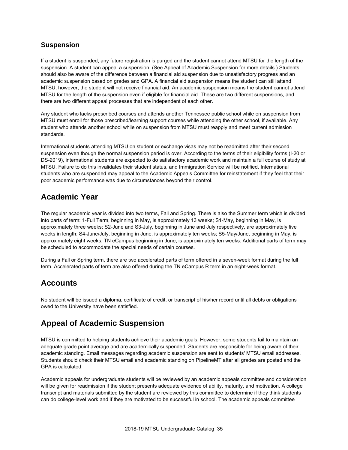#### **Suspension**

If a student is suspended, any future registration is purged and the student cannot attend MTSU for the length of the suspension. A student can appeal a suspension. (See Appeal of Academic Suspension for more details.) Students should also be aware of the difference between a financial aid suspension due to unsatisfactory progress and an academic suspension based on grades and GPA. A financial aid suspension means the student can still attend MTSU; however, the student will not receive financial aid. An academic suspension means the student cannot attend MTSU for the length of the suspension even if eligible for financial aid. These are two different suspensions, and there are two different appeal processes that are independent of each other.

Any student who lacks prescribed courses and attends another Tennessee public school while on suspension from MTSU must enroll for those prescribed/learning support courses while attending the other school, if available. Any student who attends another school while on suspension from MTSU must reapply and meet current admission standards.

International students attending MTSU on student or exchange visas may not be readmitted after their second suspension even though the normal suspension period is over. According to the terms of their eligibility forms (I-20 or DS-2019), international students are expected to do satisfactory academic work and maintain a full course of study at MTSU. Failure to do this invalidates their student status, and Immigration Service will be notified. International students who are suspended may appeal to the Academic Appeals Committee for reinstatement if they feel that their poor academic performance was due to circumstances beyond their control.

### **Academic Year**

The regular academic year is divided into two terms, Fall and Spring. There is also the Summer term which is divided into parts of term: 1-Full Term, beginning in May, is approximately 13 weeks; S1-May, beginning in May, is approximately three weeks; S2-June and S3-July, beginning in June and July respectively, are approximately five weeks in length; S4-June/July, beginning in June, is approximately ten weeks; S5-May/June, beginning in May, is approximately eight weeks; TN eCampus beginning in June, is approximately ten weeks. Additional parts of term may be scheduled to accommodate the special needs of certain courses.

During a Fall or Spring term, there are two accelerated parts of term offered in a seven-week format during the full term. Accelerated parts of term are also offered during the TN eCampus R term in an eight-week format.

### **Accounts**

No student will be issued a diploma, certificate of credit, or transcript of his/her record until all debts or obligations owed to the University have been satisfied.

### **Appeal of Academic Suspension**

MTSU is committed to helping students achieve their academic goals. However, some students fail to maintain an adequate grade point average and are academically suspended. Students are responsible for being aware of their academic standing. Email messages regarding academic suspension are sent to students' MTSU email addresses. Students should check their MTSU email and academic standing on PipelineMT after all grades are posted and the GPA is calculated.

Academic appeals for undergraduate students will be reviewed by an academic appeals committee and consideration will be given for readmission if the student presents adequate evidence of ability, maturity, and motivation. A college transcript and materials submitted by the student are reviewed by this committee to determine if they think students can do college-level work and if they are motivated to be successful in school. The academic appeals committee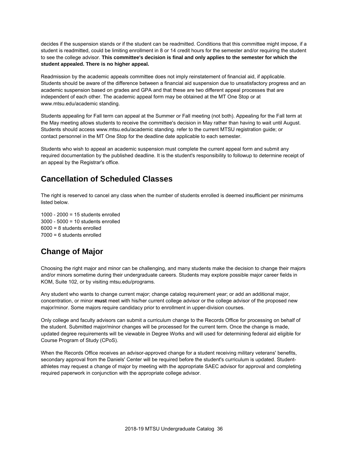decides if the suspension stands or if the student can be readmitted. Conditions that this committee might impose, if a student is readmitted, could be limiting enrollment in 8 or 14 credit hours for the semester and/or requiring the student to see the college advisor. **This committee's decision is final and only applies to the semester for which the student appealed. There is no higher appeal.**

Readmission by the academic appeals committee does not imply reinstatement of financial aid, if applicable. Students should be aware of the difference between a financial aid suspension due to unsatisfactory progress and an academic suspension based on grades and GPA and that these are two different appeal processes that are independent of each other. The academic appeal form may be obtained at the MT One Stop or at www.mtsu.edu/academic standing.

Students appealing for Fall term can appeal at the Summer or Fall meeting (not both). Appealing for the Fall term at the May meeting allows students to receive the committee's decision in May rather than having to wait until August. Students should access www.mtsu.edu/academic standing. refer to the current MTSU registration guide; or contact personnel in the MT One Stop for the deadline date applicable to each semester.

Students who wish to appeal an academic suspension must complete the current appeal form and submit any required documentation by the published deadline. It is the student's responsibility to followup to determine receipt of an appeal by the Registrar's office.

### **Cancellation of Scheduled Classes**

The right is reserved to cancel any class when the number of students enrolled is deemed insufficient per minimums listed below.

1000 - 2000 = 15 students enrolled 3000 - 5000 = 10 students enrolled 6000 = 8 students enrolled 7000 = 6 students enrolled

### **Change of Major**

Choosing the right major and minor can be challenging, and many students make the decision to change their majors and/or minors sometime during their undergraduate careers. Students may explore possible major career fields in KOM, Suite 102, or by visiting mtsu.edu/programs.

Any student who wants to change current major; change catalog requirement year; or add an additional major, concentration, or minor **must** meet with his/her current college advisor or the college advisor of the proposed new major/minor. Some majors require candidacy prior to enrollment in upper-division courses.

Only college and faculty advisors can submit a curriculum change to the Records Office for processing on behalf of the student. Submitted major/minor changes will be processed for the current term. Once the change is made, updated degree requirements will be viewable in Degree Works and will used for determining federal aid eligible for Course Program of Study (CPoS).

When the Records Office receives an advisor-approved change for a student receiving military veterans' benefits, secondary approval from the Daniels' Center will be required before the student's curriculum is updated. Studentathletes may request a change of major by meeting with the appropriate SAEC advisor for approval and completing required paperwork in conjunction with the appropriate college advisor.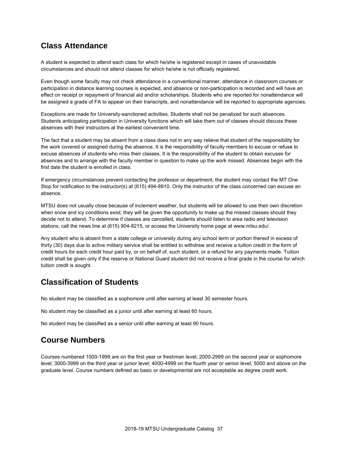## **Class Attendance**

A student is expected to attend each class for which he/she is registered except in cases of unavoidable circumstances and should not attend classes for which he/she is not officially registered.

Even though some faculty may not check attendance in a conventional manner, attendance in classroom courses or participation in distance learning courses is expected, and absence or non-participation is recorded and will have an effect on receipt or repayment of financial aid and/or scholarships. Students who are reported for nonattendance will be assigned a grade of FA to appear on their transcripts, and nonattendance will be reported to appropriate agencies.

Exceptions are made for University-sanctioned activities. Students shall not be penalized for such absences. Students anticipating participation in University functions which will take them out of classes should discuss these absences with their instructors at the earliest convenient time.

The fact that a student may be absent from a class does not in any way relieve that student of the responsibility for the work covered or assigned during the absence. It is the responsibility of faculty members to excuse or refuse to excuse absences of students who miss their classes. It is the responsibility of the student to obtain excuses for absences and to arrange with the faculty member in question to make up the work missed. Absences begin with the first date the student is enrolled in class.

If emergency circumstances prevent contacting the professor or department, the student may contact the MT One Stop for notification to the instructor(s) at (615) 494-8910. Only the instructor of the class concerned can excuse an absence.

MTSU does not usually close because of inclement weather, but students will be allowed to use their own discretion when snow and icy conditions exist; they will be given the opportunity to make up the missed classes should they decide not to attend. To determine if classes are cancelled, students should listen to area radio and television stations, call the news line at (615) 904-8215, or access the University home page at www.mtsu.edu/.

Any student who is absent from a state college or university during any school term or portion thereof in excess of thirty (30) days due to active military service shall be entitled to withdraw and receive a tuition credit in the form of credit hours for each credit hour paid by, or on behalf of, such student, or a refund for any payments made. Tuition credit shall be given only if the reserve or National Guard student did not receive a final grade in the course for which tuition credit is sought.

### **Classification of Students**

No student may be classified as a sophomore until after earning at least 30 semester hours.

No student may be classified as a junior until after earning at least 60 hours.

No student may be classified as a senior until after earning at least 90 hours.

### **Course Numbers**

Courses numbered 1000-1999 are on the first year or freshman level; 2000-2999 on the second year or sophomore level; 3000-3999 on the third year or junior level; 4000-4999 on the fourth year or senior level; 5000 and above on the graduate level. Course numbers defined as basic or developmental are not acceptable as degree credit work.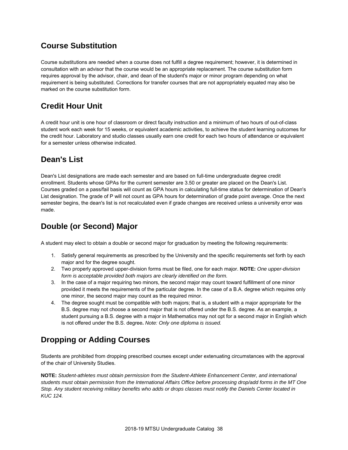## **Course Substitution**

Course substitutions are needed when a course does not fulfill a degree requirement; however, it is determined in consultation with an advisor that the course would be an appropriate replacement. The course substitution form requires approval by the advisor, chair, and dean of the student's major or minor program depending on what requirement is being substituted. Corrections for transfer courses that are not appropriately equated may also be marked on the course substitution form.

# **Credit Hour Unit**

A credit hour unit is one hour of classroom or direct faculty instruction and a minimum of two hours of out-of-class student work each week for 15 weeks, or equivalent academic activities, to achieve the student learning outcomes for the credit hour. Laboratory and studio classes usually earn one credit for each two hours of attendance or equivalent for a semester unless otherwise indicated.

### **Dean's List**

Dean's List designations are made each semester and are based on full-time undergraduate degree credit enrollment. Students whose GPAs for the current semester are 3.50 or greater are placed on the Dean's List. Courses graded on a pass/fail basis will count as GPA hours in calculating full-time status for determination of Dean's List designation. The grade of P will not count as GPA hours for determination of grade point average. Once the next semester begins, the dean's list is not recalculated even if grade changes are received unless a university error was made.

# **Double (or Second) Major**

A student may elect to obtain a double or second major for graduation by meeting the following requirements:

- 1. Satisfy general requirements as prescribed by the University and the specific requirements set forth by each major and for the degree sought.
- 2. Two properly approved upper-division forms must be filed, one for each major. **NOTE:** *One upper-division form is acceptable provided both majors are clearly identified on the form.*
- 3. In the case of a major requiring two minors, the second major may count toward fulfillment of one minor provided it meets the requirements of the particular degree. In the case of a B.A. degree which requires only one minor, the second major may count as the required minor.
- 4. The degree sought must be compatible with both majors; that is, a student with a major appropriate for the B.S. degree may not choose a second major that is not offered under the B.S. degree. As an example, a student pursuing a B.S. degree with a major in Mathematics may not opt for a second major in English which is not offered under the B.S. degree**.** *Note: Only one diploma is issued.*

# **Dropping or Adding Courses**

Students are prohibited from dropping prescribed courses except under extenuating circumstances with the approval of the chair of University Studies.

**NOTE:** *Student-athletes must obtain permission from the Student-Athlete Enhancement Center, and international students must obtain permission from the International Affairs Office before processing drop/add forms in the MT One Stop. Any student receiving military benefits who adds or drops classes must notify the Daniels Center located in KUC 124.*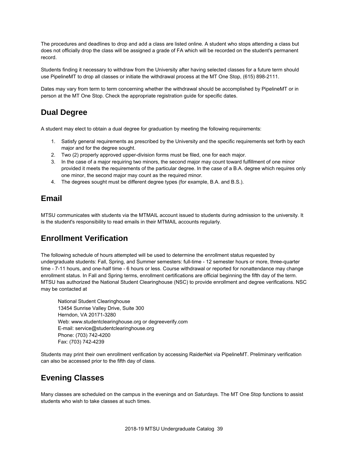The procedures and deadlines to drop and add a class are listed online. A student who stops attending a class but does not officially drop the class will be assigned a grade of FA which will be recorded on the student's permanent record.

Students finding it necessary to withdraw from the University after having selected classes for a future term should use PipelineMT to drop all classes or initiate the withdrawal process at the MT One Stop, (615) 898-2111.

Dates may vary from term to term concerning whether the withdrawal should be accomplished by PipelineMT or in person at the MT One Stop. Check the appropriate registration guide for specific dates.

## **Dual Degree**

A student may elect to obtain a dual degree for graduation by meeting the following requirements:

- 1. Satisfy general requirements as prescribed by the University and the specific requirements set forth by each major and for the degree sought.
- 2. Two (2) properly approved upper-division forms must be filed, one for each major.
- 3. In the case of a major requiring two minors, the second major may count toward fulfillment of one minor provided it meets the requirements of the particular degree. In the case of a B.A. degree which requires only one minor, the second major may count as the required minor.
- 4. The degrees sought must be different degree types (for example, B.A. and B.S.).

### **Email**

MTSU communicates with students via the MTMAIL account issued to students during admission to the university. It is the student's responsibility to read emails in their MTMAIL accounts regularly.

### **Enrollment Verification**

The following schedule of hours attempted will be used to determine the enrollment status requested by undergraduate students: Fall, Spring, and Summer semesters: full-time - 12 semester hours or more, three-quarter time - 7-11 hours, and one-half time - 6 hours or less. Course withdrawal or reported for nonattendance may change enrollment status. In Fall and Spring terms, enrollment certifications are official beginning the fifth day of the term. MTSU has authorized the National Student Clearinghouse (NSC) to provide enrollment and degree verifications. NSC may be contacted at

National Student Clearinghouse 13454 Sunrise Valley Drive, Suite 300 Herndon, VA 20171-3280 Web: www.studentclearinghouse.org or degreeverify.com E-mail: service@studentclearinghouse.org Phone: (703) 742-4200 Fax: (703) 742-4239

Students may print their own enrollment verification by accessing RaiderNet via PipelineMT. Preliminary verification can also be accessed prior to the fifth day of class.

### **Evening Classes**

Many classes are scheduled on the campus in the evenings and on Saturdays. The MT One Stop functions to assist students who wish to take classes at such times.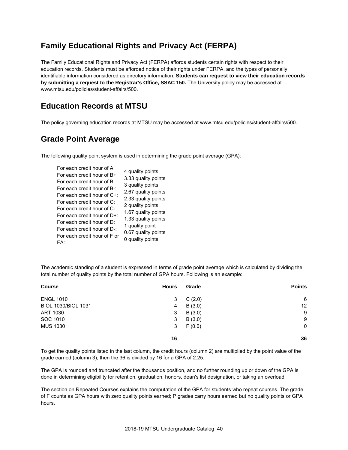# **Family Educational Rights and Privacy Act (FERPA)**

The Family Educational Rights and Privacy Act (FERPA) affords students certain rights with respect to their education records. Students must be afforded notice of their rights under FERPA, and the types of personally identifiable information considered as directory information. **Students can request to view their education records by submitting a request to the Registrar's Office, SSAC 150.** The University policy may be accessed at www.mtsu.edu/policies/student-affairs/500.

### **Education Records at MTSU**

The policy governing education records at MTSU may be accessed at www.mtsu.edu/policies/student-affairs/500.

### **Grade Point Average**

The following quality point system is used in determining the grade point average (GPA):

| For each credit hour of A:<br>For each credit hour of B+:<br>For each credit hour of B:<br>For each credit hour of B-:<br>For each credit hour of C+:<br>For each credit hour of C:<br>For each credit hour of C-:<br>For each credit hour of $D+$ :<br>For each credit hour of D:<br>For each credit hour of D-:<br>For each credit hour of F or<br>FA: | 4 quality points<br>3.33 quality points<br>3 quality points<br>2.67 quality points<br>2.33 quality points<br>2 quality points<br>1.67 quality points<br>1.33 quality points<br>1 quality point<br>0.67 quality points<br>0 quality points |
|----------------------------------------------------------------------------------------------------------------------------------------------------------------------------------------------------------------------------------------------------------------------------------------------------------------------------------------------------------|-------------------------------------------------------------------------------------------------------------------------------------------------------------------------------------------------------------------------------------------|
|----------------------------------------------------------------------------------------------------------------------------------------------------------------------------------------------------------------------------------------------------------------------------------------------------------------------------------------------------------|-------------------------------------------------------------------------------------------------------------------------------------------------------------------------------------------------------------------------------------------|

The academic standing of a student is expressed in terms of grade point average which is calculated by dividing the total number of quality points by the total number of GPA hours. Following is an example:

| <b>Course</b>       | <b>Hours</b> | Grade  | <b>Points</b> |
|---------------------|--------------|--------|---------------|
| <b>ENGL 1010</b>    | 3            | C(2.0) | 6             |
| BIOL 1030/BIOL 1031 | 4            | B(3.0) | 12            |
| ART 1030            | 3            | B(3.0) | 9             |
| SOC 1010            | 3            | B(3.0) | 9             |
| <b>MUS 1030</b>     | 3            | F(0.0) | $\mathbf 0$   |
|                     | 16           |        | 36            |

To get the quality points listed in the last column, the credit hours (column 2) are multiplied by the point value of the grade earned (column 3); then the 36 is divided by 16 for a GPA of 2.25.

The GPA is rounded and truncated after the thousands position, and no further rounding up or down of the GPA is done in determining eligibility for retention, graduation, honors, dean's list designation, or taking an overload.

The section on Repeated Courses explains the computation of the GPA for students who repeat courses. The grade of F counts as GPA hours with zero quality points earned; P grades carry hours earned but no quality points or GPA hours.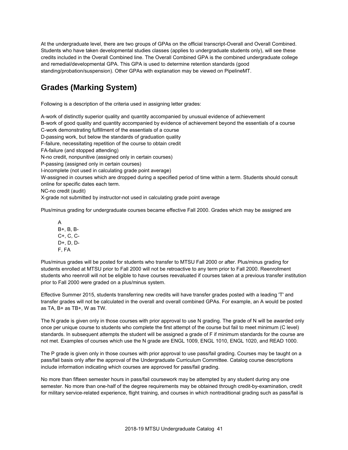At the undergraduate level, there are two groups of GPAs on the official transcript-Overall and Overall Combined. Students who have taken developmental studies classes (applies to undergraduate students only), will see these credits included in the Overall Combined line. The Overall Combined GPA is the combined undergraduate college and remedial/developmental GPA. This GPA is used to determine retention standards (good standing/probation/suspension). Other GPAs with explanation may be viewed on PipelineMT.

# **Grades (Marking System)**

Following is a description of the criteria used in assigning letter grades:

A-work of distinctly superior quality and quantity accompanied by unusual evidence of achievement

B-work of good quality and quantity accompanied by evidence of achievement beyond the essentials of a course C-work demonstrating fulfillment of the essentials of a course

D-passing work, but below the standards of graduation quality

F-failure, necessitating repetition of the course to obtain credit

FA-failure (and stopped attending)

N-no credit, nonpunitive (assigned only in certain courses)

P-passing (assigned only in certain courses)

I-incomplete (not used in calculating grade point average)

W-assigned in courses which are dropped during a specified period of time within a term. Students should consult online for specific dates each term.

NC-no credit (audit)

X-grade not submitted by instructor-not used in calculating grade point average

Plus/minus grading for undergraduate courses became effective Fall 2000. Grades which may be assigned are

A B+, B, B-C+, C, C-D+, D, D-F, FA

Plus/minus grades will be posted for students who transfer to MTSU Fall 2000 or after. Plus/minus grading for students enrolled at MTSU prior to Fall 2000 will not be retroactive to any term prior to Fall 2000. Reenrollment students who reenroll will not be eligible to have courses reevaluated if courses taken at a previous transfer institution prior to Fall 2000 were graded on a plus/minus system.

Effective Summer 2015, students transferring new credits will have transfer grades posted with a leading 'T' and transfer grades will not be calculated in the overall and overall combined GPAs. For example, an A would be posted as TA, B+ as TB+, W as TW.

The N grade is given only in those courses with prior approval to use N grading. The grade of N will be awarded only once per unique course to students who complete the first attempt of the course but fail to meet minimum (C level) standards. In subsequent attempts the student will be assigned a grade of F if minimum standards for the course are not met. Examples of courses which use the N grade are ENGL 1009, ENGL 1010, ENGL 1020, and READ 1000.

The P grade is given only in those courses with prior approval to use pass/fail grading. Courses may be taught on a pass/fail basis only after the approval of the Undergraduate Curriculum Committee. Catalog course descriptions include information indicating which courses are approved for pass/fail grading.

No more than fifteen semester hours in pass/fail coursework may be attempted by any student during any one semester. No more than one-half of the degree requirements may be obtained through credit-by-examination, credit for military service-related experience, flight training, and courses in which nontraditional grading such as pass/fail is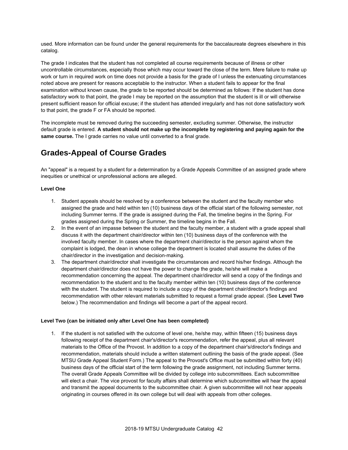used. More information can be found under the general requirements for the baccalaureate degrees elsewhere in this catalog.

The grade I indicates that the student has not completed all course requirements because of illness or other uncontrollable circumstances, especially those which may occur toward the close of the term. Mere failure to make up work or turn in required work on time does not provide a basis for the grade of I unless the extenuating circumstances noted above are present for reasons acceptable to the instructor. When a student fails to appear for the final examination without known cause, the grade to be reported should be determined as follows: If the student has done satisfactory work to that point, the grade I may be reported on the assumption that the student is ill or will otherwise present sufficient reason for official excuse; if the student has attended irregularly and has not done satisfactory work to that point, the grade F or FA should be reported.

The incomplete must be removed during the succeeding semester, excluding summer. Otherwise, the instructor default grade is entered. **A student should not make up the incomplete by registering and paying again for the same course.** The I grade carries no value until converted to a final grade.

## **Grades-Appeal of Course Grades**

An "appeal" is a request by a student for a determination by a Grade Appeals Committee of an assigned grade where inequities or unethical or unprofessional actions are alleged.

#### **Level One**

- 1. Student appeals should be resolved by a conference between the student and the faculty member who assigned the grade and held within ten (10) business days of the official start of the following semester, not including Summer terms. If the grade is assigned during the Fall, the timeline begins in the Spring. For grades assigned during the Spring or Summer, the timeline begins in the Fall.
- 2. In the event of an impasse between the student and the faculty member, a student with a grade appeal shall discuss it with the department chair/director within ten (10) business days of the conference with the involved faculty member. In cases where the department chair/director is the person against whom the complaint is lodged, the dean in whose college the department is located shall assume the duties of the chair/director in the investigation and decision-making.
- 3. The department chair/director shall investigate the circumstances and record his/her findings. Although the department chair/director does not have the power to change the grade, he/she will make a recommendation concerning the appeal. The department chair/director will send a copy of the findings and recommendation to the student and to the faculty member within ten (10) business days of the conference with the student. The student is required to include a copy of the department chair/director's findings and recommendation with other relevant materials submitted to request a formal grade appeal. (See **Level Two** below.) The recommendation and findings will become a part of the appeal record.

#### **Level Two (can be initiated only after Level One has been completed)**

1. If the student is not satisfied with the outcome of level one, he/she may, within fifteen (15) business days following receipt of the department chair's/director's recommendation, refer the appeal, plus all relevant materials to the Office of the Provost. In addition to a copy of the department chair's/director's findings and recommendation, materials should include a written statement outlining the basis of the grade appeal. (See MTSU Grade Appeal Student Form.) The appeal to the Provost's Office must be submitted within forty (40) business days of the official start of the term following the grade assignment, not including Summer terms. The overall Grade Appeals Committee will be divided by college into subcommittees. Each subcommittee will elect a chair. The vice provost for faculty affairs shall determine which subcommittee will hear the appeal and transmit the appeal documents to the subcommittee chair. A given subcommittee will not hear appeals originating in courses offered in its own college but will deal with appeals from other colleges.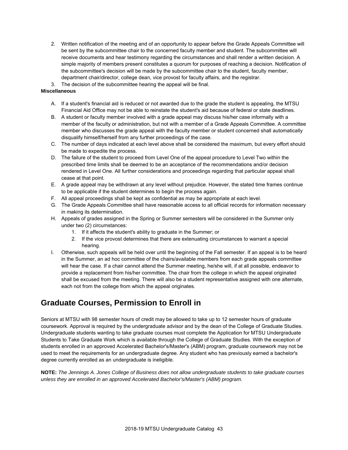2. Written notification of the meeting and of an opportunity to appear before the Grade Appeals Committee will be sent by the subcommittee chair to the concerned faculty member and student. The subcommittee will receive documents and hear testimony regarding the circumstances and shall render a written decision. A simple majority of members present constitutes a quorum for purposes of reaching a decision. Notification of the subcommittee's decision will be made by the subcommittee chair to the student, faculty member, department chair/director, college dean, vice provost for faculty affairs, and the registrar.

3. The decision of the subcommittee hearing the appeal will be final.

#### **Miscellaneous**

- A. If a student's financial aid is reduced or not awarded due to the grade the student is appealing, the MTSU Financial Aid Office may not be able to reinstate the student's aid because of federal or state deadlines.
- B. A student or faculty member involved with a grade appeal may discuss his/her case informally with a member of the faculty or administration, but not with a member of a Grade Appeals Committee. A committee member who discusses the grade appeal with the faculty member or student concerned shall automatically disqualify himself/herself from any further proceedings of the case.
- C. The number of days indicated at each level above shall be considered the maximum, but every effort should be made to expedite the process.
- D. The failure of the student to proceed from Level One of the appeal procedure to Level Two within the prescribed time limits shall be deemed to be an acceptance of the recommendations and/or decision rendered in Level One. All further considerations and proceedings regarding that particular appeal shall cease at that point.
- E. A grade appeal may be withdrawn at any level without prejudice. However, the stated time frames continue to be applicable if the student determines to begin the process again.
- F. All appeal proceedings shall be kept as confidential as may be appropriate at each level.
- G. The Grade Appeals Committee shall have reasonable access to all official records for information necessary in making its determination.
- H. Appeals of grades assigned in the Spring or Summer semesters will be considered in the Summer only under two (2) circumstances:
	- 1. If it affects the student's ability to graduate in the Summer; or
	- 2. If the vice provost determines that there are extenuating circumstances to warrant a special hearing.
- I. Otherwise, such appeals will be held over until the beginning of the Fall semester. If an appeal is to be heard in the Summer, an ad hoc committee of the chairs/available members from each grade appeals committee will hear the case. If a chair cannot attend the Summer meeting, he/she will, if at all possible, endeavor to provide a replacement from his/her committee. The chair from the college in which the appeal originated shall be excused from the meeting. There will also be a student representative assigned with one alternate, each not from the college from which the appeal originates.

# **Graduate Courses, Permission to Enroll in**

Seniors at MTSU with 98 semester hours of credit may be allowed to take up to 12 semester hours of graduate coursework. Approval is required by the undergraduate advisor and by the dean of the College of Graduate Studies. Undergraduate students wanting to take graduate courses must complete the Application for MTSU Undergraduate Students to Take Graduate Work which is available through the College of Graduate Studies. With the exception of students enrolled in an approved Accelerated Bachelor's/Master's (ABM) program, graduate coursework may not be used to meet the requirements for an undergraduate degree. Any student who has previously earned a bachelor's degree currently enrolled as an undergraduate is ineligible.

**NOTE:** *The Jennings A. Jones College of Business does not allow undergraduate students to take graduate courses unless they are enrolled in an approved Accelerated Bachelor's/Master's (ABM) program.*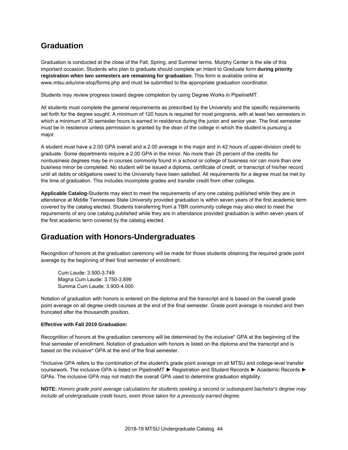### **Graduation**

Graduation is conducted at the close of the Fall, Spring, and Summer terms. Murphy Center is the site of this important occasion. Students who plan to graduate should complete an Intent to Graduate form **during priority registration when two semesters are remaining for graduation.** This form is available online at www.mtsu.edu/one-stop/forms.php and must be submitted to the appropriate graduation coordinator.

Students may review progress toward degree completion by using Degree Works in PipelineMT.

All students must complete the general requirements as prescribed by the University and the specific requirements set forth for the degree sought. A minimum of 120 hours is required for most programs, with at least two semesters in which a minimum of 30 semester hours is earned in residence during the junior and senior year. The final semester must be in residence unless permission is granted by the dean of the college in which the student is pursuing a major.

A student must have a 2.00 GPA overall and a 2.00 average in the major and in 42 hours of upper-division credit to graduate. Some departments require a 2.00 GPA in the minor. No more than 25 percent of the credits for nonbusiness degrees may be in courses commonly found in a school or college of business nor can more than one business minor be completed. No student will be issued a diploma, certificate of credit, or transcript of his/her record until all debts or obligations owed to the University have been satisfied. All requirements for a degree must be met by the time of graduation. This includes incomplete grades and transfer credit from other colleges.

**Applicable Catalog-**Students may elect to meet the requirements of any one catalog published while they are in attendance at Middle Tennessee State University provided graduation is within seven years of the first academic term covered by the catalog elected. Students transferring from a TBR community college may also elect to meet the requirements of any one catalog published while they are in attendance provided graduation is within seven years of the first academic term covered by the catalog elected.

### **Graduation with Honors-Undergraduates**

Recognition of honors at the graduation ceremony will be made for those students obtaining the required grade point average by the beginning of their final semester of enrollment.

Cum Laude: 3.500-3.749 Magna Cum Laude: 3.750-3.899 Summa Cum Laude: 3.900-4.000

Notation of graduation with honors is entered on the diploma and the transcript and is based on the overall grade point average on all degree credit courses at the end of the final semester. Grade point average is rounded and then truncated after the thousandth position.

#### **Effective with Fall 2019 Graduation:**

Recognition of honors at the graduation ceremony will be determined by the inclusive\* GPA at the beginning of the final semester of enrollment. Notation of graduation with honors is listed on the diploma and the transcript and is based on the inclusive\* GPA at the end of the final semester.

\*Inclusive GPA refers to the combination of the student's grade point average on all MTSU and college-level transfer coursework. The inclusive GPA is listed on PipelineMT ► Registration and Student Records ► Academic Records ► GPAs. The inclusive GPA may not match the overall GPA used to determine graduation eligibility.

**NOTE:** *Honors grade point average calculations for students seeking a second or subsequent bachelor's degree may include all undergraduate credit hours, even those taken for a previously earned degree.*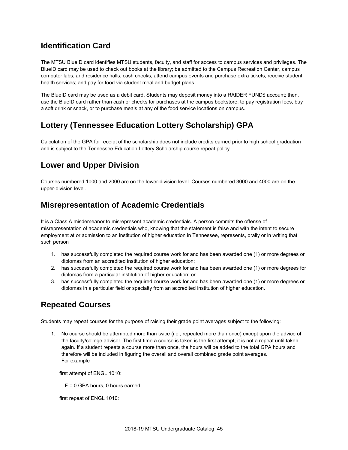## **Identification Card**

The MTSU BlueID card identifies MTSU students, faculty, and staff for access to campus services and privileges. The BlueID card may be used to check out books at the library; be admitted to the Campus Recreation Center, campus computer labs, and residence halls; cash checks; attend campus events and purchase extra tickets; receive student health services; and pay for food via student meal and budget plans.

The BlueID card may be used as a debit card. Students may deposit money into a RAIDER FUND\$ account; then, use the BlueID card rather than cash or checks for purchases at the campus bookstore, to pay registration fees, buy a soft drink or snack, or to purchase meals at any of the food service locations on campus.

### **Lottery (Tennessee Education Lottery Scholarship) GPA**

Calculation of the GPA for receipt of the scholarship does not include credits earned prior to high school graduation and is subject to the Tennessee Education Lottery Scholarship course repeat policy.

## **Lower and Upper Division**

Courses numbered 1000 and 2000 are on the lower-division level. Courses numbered 3000 and 4000 are on the upper-division level.

### **Misrepresentation of Academic Credentials**

It is a Class A misdemeanor to misrepresent academic credentials. A person commits the offense of misrepresentation of academic credentials who, knowing that the statement is false and with the intent to secure employment at or admission to an institution of higher education in Tennessee, represents, orally or in writing that such person

- 1. has successfully completed the required course work for and has been awarded one (1) or more degrees or diplomas from an accredited institution of higher education;
- 2. has successfully completed the required course work for and has been awarded one (1) or more degrees for diplomas from a particular institution of higher education; or
- 3. has successfully completed the required course work for and has been awarded one (1) or more degrees or diplomas in a particular field or specialty from an accredited institution of higher education.

# **Repeated Courses**

Students may repeat courses for the purpose of raising their grade point averages subject to the following:

1. No course should be attempted more than twice (i.e., repeated more than once) except upon the advice of the faculty/college advisor. The first time a course is taken is the first attempt; it is not a repeat until taken again. If a student repeats a course more than once, the hours will be added to the total GPA hours and therefore will be included in figuring the overall and overall combined grade point averages. For example

first attempt of ENGL 1010:

F = 0 GPA hours, 0 hours earned;

first repeat of ENGL 1010: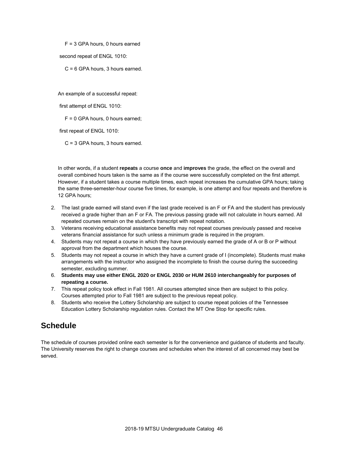F = 3 GPA hours, 0 hours earned

second repeat of ENGL 1010:

C = 6 GPA hours, 3 hours earned.

An example of a successful repeat:

first attempt of ENGL 1010:

F = 0 GPA hours, 0 hours earned;

first repeat of ENGL 1010:

C = 3 GPA hours, 3 hours earned.

In other words, if a student **repeats** a course **once** and **improves** the grade, the effect on the overall and overall combined hours taken is the same as if the course were successfully completed on the first attempt. However, if a student takes a course multiple times, each repeat increases the cumulative GPA hours; taking the same three-semester-hour course five times, for example, is one attempt and four repeats and therefore is 12 GPA hours;

- 2. The last grade earned will stand even if the last grade received is an F or FA and the student has previously received a grade higher than an F or FA. The previous passing grade will not calculate in hours earned. All repeated courses remain on the student's transcript with repeat notation.
- 3. Veterans receiving educational assistance benefits may not repeat courses previously passed and receive veterans financial assistance for such unless a minimum grade is required in the program.
- 4. Students may not repeat a course in which they have previously earned the grade of A or B or P without approval from the department which houses the course.
- 5. Students may not repeat a course in which they have a current grade of I (incomplete). Students must make arrangements with the instructor who assigned the incomplete to finish the course during the succeeding semester, excluding summer.
- 6. **Students may use either ENGL 2020 or ENGL 2030 or HUM 2610 interchangeably for purposes of repeating a course.**
- 7. This repeat policy took effect in Fall 1981. All courses attempted since then are subject to this policy. Courses attempted prior to Fall 1981 are subject to the previous repeat policy.
- 8. Students who receive the Lottery Scholarship are subject to course repeat policies of the Tennessee Education Lottery Scholarship regulation rules. Contact the MT One Stop for specific rules.

### **Schedule**

The schedule of courses provided online each semester is for the convenience and guidance of students and faculty. The University reserves the right to change courses and schedules when the interest of all concerned may best be served.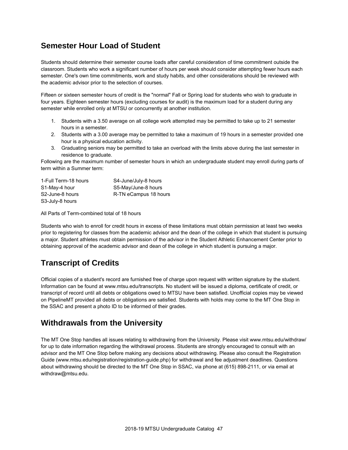## **Semester Hour Load of Student**

Students should determine their semester course loads after careful consideration of time commitment outside the classroom. Students who work a significant number of hours per week should consider attempting fewer hours each semester. One's own time commitments, work and study habits, and other considerations should be reviewed with the academic advisor prior to the selection of courses.

Fifteen or sixteen semester hours of credit is the "normal" Fall or Spring load for students who wish to graduate in four years. Eighteen semester hours (excluding courses for audit) is the maximum load for a student during any semester while enrolled only at MTSU or concurrently at another institution.

- 1. Students with a 3.50 average on all college work attempted may be permitted to take up to 21 semester hours in a semester.
- 2. Students with a 3.00 average may be permitted to take a maximum of 19 hours in a semester provided one hour is a physical education activity.
- 3. Graduating seniors may be permitted to take an overload with the limits above during the last semester in residence to graduate.

Following are the maximum number of semester hours in which an undergraduate student may enroll during parts of term within a Summer term:

| 1-Full Term-18 hours         | S4-June/July-8 hours  |
|------------------------------|-----------------------|
| S1-May-4 hour                | S5-May/June-8 hours   |
| S <sub>2</sub> -June-8 hours | R-TN eCampus 18 hours |
| S3-July-8 hours              |                       |

All Parts of Term-combined total of 18 hours

Students who wish to enroll for credit hours in excess of these limitations must obtain permission at least two weeks prior to registering for classes from the academic advisor and the dean of the college in which that student is pursuing a major. Student athletes must obtain permission of the advisor in the Student Athletic Enhancement Center prior to obtaining approval of the academic advisor and dean of the college in which student is pursuing a major.

# **Transcript of Credits**

Official copies of a student's record are furnished free of charge upon request with written signature by the student. Information can be found at www.mtsu.edu/transcripts. No student will be issued a diploma, certificate of credit, or transcript of record until all debts or obligations owed to MTSU have been satisfied. Unofficial copies may be viewed on PipelineMT provided all debts or obligations are satisfied. Students with holds may come to the MT One Stop in the SSAC and present a photo ID to be informed of their grades.

### **Withdrawals from the University**

The MT One Stop handles all issues relating to withdrawing from the University. Please visit www.mtsu.edu/withdraw/ for up to date information regarding the withdrawal process. Students are strongly encouraged to consult with an advisor and the MT One Stop before making any decisions about withdrawing. Please also consult the Registration Guide (www.mtsu.edu/registration/registration-guide.php) for withdrawal and fee adjustment deadlines. Questions about withdrawing should be directed to the MT One Stop in SSAC, via phone at (615) 898-2111, or via email at withdraw@mtsu.edu.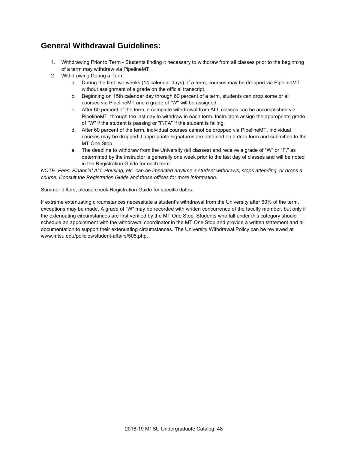### **General Withdrawal Guidelines:**

- 1. Withdrawing Prior to Term Students finding it necessary to withdraw from all classes prior to the beginning of a term may withdraw via PipelineMT.
- 2. Withdrawing During a Term
	- a. During the first two weeks (14 calendar days) of a term, courses may be dropped via PipelineMT without assignment of a grade on the official transcript.
	- b. Beginning on 15th calendar day through 60 percent of a term, students can drop some or all courses via PipelineMT and a grade of "W" will be assigned.
	- c. After 60 percent of the term, a complete withdrawal from ALL classes can be accomplished via PipelineMT, through the last day to withdraw in each term. Instructors assign the appropriate grade of "W" if the student is passing or "F/FA" if the student is failing.
	- d. After 60 percent of the term, individual courses cannot be dropped via PipelineMT. Individual courses may be dropped if appropriate signatures are obtained on a drop form and submitted to the MT One Stop.
	- e. The deadline to withdraw from the University (all classes) and receive a grade of "W" or "F," as determined by the instructor is generally one week prior to the last day of classes and will be noted in the Registration Guide for each term.

*NOTE: Fees, Financial Aid, Housing, etc. can be impacted anytime a student withdraws, stops attending, or drops a course. Consult the Registration Guide and those offices for more information.*

Summer differs; please check Registration Guide for specific dates.

If extreme extenuating circumstances necessitate a student's withdrawal from the University after 60% of the term, exceptions may be made. A grade of "W" may be recorded with written concurrence of the faculty member, but only if the extenuating circumstances are first verified by the MT One Stop. Students who fall under this category should schedule an appointment with the withdrawal coordinator in the MT One Stop and provide a written statement and all documentation to support their extenuating circumstances. The University Withdrawal Policy can be reviewed at www.mtsu.edu/policies/student-affairs/505.php.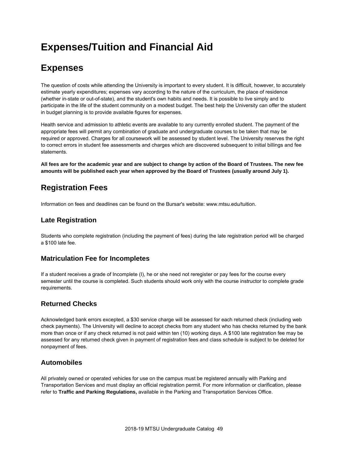# **Expenses/Tuition and Financial Aid**

# **Expenses**

The question of costs while attending the University is important to every student. It is difficult, however, to accurately estimate yearly expenditures; expenses vary according to the nature of the curriculum, the place of residence (whether in-state or out-of-state), and the student's own habits and needs. It is possible to live simply and to participate in the life of the student community on a modest budget. The best help the University can offer the student in budget planning is to provide available figures for expenses.

Health service and admission to athletic events are available to any currently enrolled student. The payment of the appropriate fees will permit any combination of graduate and undergraduate courses to be taken that may be required or approved. Charges for all coursework will be assessed by student level. The University reserves the right to correct errors in student fee assessments and charges which are discovered subsequent to initial billings and fee statements.

**All fees are for the academic year and are subject to change by action of the Board of Trustees. The new fee amounts will be published each year when approved by the Board of Trustees (usually around July 1).**

# **Registration Fees**

Information on fees and deadlines can be found on the Bursar's website: www.mtsu.edu/tuition.

#### **Late Registration**

Students who complete registration (including the payment of fees) during the late registration period will be charged a \$100 late fee.

#### **Matriculation Fee for Incompletes**

If a student receives a grade of Incomplete (I), he or she need not reregister or pay fees for the course every semester until the course is completed. Such students should work only with the course instructor to complete grade requirements.

#### **Returned Checks**

Acknowledged bank errors excepted, a \$30 service charge will be assessed for each returned check (including web check payments). The University will decline to accept checks from any student who has checks returned by the bank more than once or if any check returned is not paid within ten (10) working days. A \$100 late registration fee may be assessed for any returned check given in payment of registration fees and class schedule is subject to be deleted for nonpayment of fees.

#### **Automobiles**

All privately owned or operated vehicles for use on the campus must be registered annually with Parking and Transportation Services and must display an official registration permit. For more information or clarification, please refer to **Traffic and Parking Regulations,** available in the Parking and Transportation Services Office.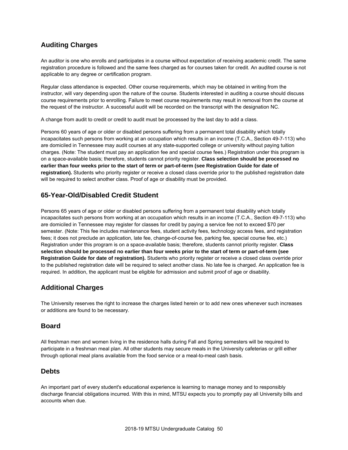#### **Auditing Charges**

An auditor is one who enrolls and participates in a course without expectation of receiving academic credit. The same registration procedure is followed and the same fees charged as for courses taken for credit. An audited course is not applicable to any degree or certification program.

Regular class attendance is expected. Other course requirements, which may be obtained in writing from the instructor, will vary depending upon the nature of the course. Students interested in auditing a course should discuss course requirements prior to enrolling. Failure to meet course requirements may result in removal from the course at the request of the instructor. A successful audit will be recorded on the transcript with the designation NC.

A change from audit to credit or credit to audit must be processed by the last day to add a class.

Persons 60 years of age or older or disabled persons suffering from a permanent total disability which totally incapacitates such persons from working at an occupation which results in an income (T.C.A., Section 49-7-113) who are domiciled in Tennessee may audit courses at any state-supported college or university without paying tuition charges. (Note: The student must pay an application fee and special course fees.) Registration under this program is on a space-available basis; therefore, students cannot priority register. **Class selection should be processed no earlier than four weeks prior to the start of term or part-of-term (see Registration Guide for date of registration).** Students who priority register or receive a closed class override prior to the published registration date will be required to select another class. Proof of age or disability must be provided.

#### **65-Year-Old/Disabled Credit Student**

Persons 65 years of age or older or disabled persons suffering from a permanent total disability which totally incapacitates such persons from working at an occupation which results in an income (T.C.A., Section 49-7-113) who are domiciled in Tennessee may register for classes for credit by paying a service fee not to exceed \$70 per semester. (Note: This fee includes maintenance fees, student activity fees, technology access fees, and registration fees; it does not preclude an application, late fee, change-of-course fee, parking fee, special course fee, etc.) Registration under this program is on a space-available basis; therefore, students cannot priority register. **Class selection should be processed no earlier than four weeks prior to the start of term or part-of-term (see Registration Guide for date of registration).** Students who priority register or receive a closed class override prior to the published registration date will be required to select another class. No late fee is charged. An application fee is required. In addition, the applicant must be eligible for admission and submit proof of age or disability.

#### **Additional Charges**

The University reserves the right to increase the charges listed herein or to add new ones whenever such increases or additions are found to be necessary.

#### **Board**

All freshman men and women living in the residence halls during Fall and Spring semesters will be required to participate in a freshman meal plan. All other students may secure meals in the University cafeterias or grill either through optional meal plans available from the food service or a meal-to-meal cash basis.

#### **Debts**

An important part of every student's educational experience is learning to manage money and to responsibly discharge financial obligations incurred. With this in mind, MTSU expects you to promptly pay all University bills and accounts when due.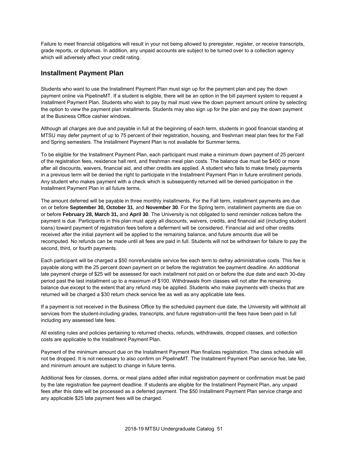Failure to meet financial obligations will result in your not being allowed to preregister, register, or receive transcripts, grade reports, or diplomas. In addition, any unpaid accounts are subject to be turned over to a collection agency which will adversely affect your credit rating.

#### **Installment Payment Plan**

Students who want to use the Installment Payment Plan must sign up for the payment plan and pay the down payment online via PipelineMT. If a student is eligible, there will be an option in the bill payment system to request a Installment Payment Plan. Students who wish to pay by mail must view the down payment amount online by selecting the option to view the payment plan installments. Students may also sign up for the plan and pay the down payment at the Business Office cashier windows.

Although all charges are due and payable in full at the beginning of each term, students in good financial standing at MTSU may defer payment of up to 75 percent of their registration, housing, and freshman meal plan fees for the Fall and Spring semesters. The Installment Payment Plan is not available for Summer terms.

To be eligible for the Installment Payment Plan, each participant must make a minimum down payment of 25 percent of the registration fees, residence hall rent, and freshman meal plan costs. The balance due must be \$400 or more after all discounts, waivers, financial aid, and other credits are applied. A student who fails to make timely payments in a previous term will be denied the right to participate in the Installment Payment Plan in future enrollment periods. Any student who makes payment with a check which is subsequently returned will be denied participation in the Installment Payment Plan in all future terms.

The amount deferred will be payable in three monthly installments. For the Fall term, installment payments are due on or before **September 30, October 31**, and **November 30**. For the Spring term, installment payments are due on or before **February 28, March 31,** and **April 30**. The University is not obligated to send reminder notices before the payment is due. Participants in this plan must apply all discounts, waivers, credits, and financial aid (including student loans) toward payment of registration fees before a deferment will be considered. Financial aid and other credits received after the initial payment will be applied to the remaining balance, and future amounts due will be recomputed. No refunds can be made until all fees are paid in full. Students will not be withdrawn for failure to pay the second, third, or fourth payments.

Each participant will be charged a \$50 nonrefundable service fee each term to defray administrative costs. This fee is payable along with the 25 percent down payment on or before the registration fee payment deadline. An additional late payment charge of \$25 will be assessed for each installment not paid on or before the due date and each 30-day period past the last installment up to a maximum of \$100. Withdrawals from classes will not alter the remaining balance due except to the extent that any refund may be applied. Students who make payments with checks that are returned will be charged a \$30 return check service fee as well as any applicable late fees.

If a payment is not received in the Business Office by the scheduled payment due date, the University will withhold all services from the student-including grades, transcripts, and future registration-until the fees have been paid in full including any assessed late fees.

All existing rules and policies pertaining to returned checks, refunds, withdrawals, dropped classes, and collection costs are applicable to the Installment Payment Plan.

Payment of the minimum amount due on the Installment Payment Plan finalizes registration. The class schedule will not be dropped. It is not necessary to also confirm on PipelineMT. The Installment Payment Plan service fee, late fee, and minimum amount are subject to change in future terms.

Additional fees for classes, dorms, or meal plans added after initial registration payment or confirmation must be paid by the late registration fee payment deadline. If students are eligible for the Installment Payment Plan, any unpaid fees after this date will be processed as a deferred payment. The \$50 Installment Payment Plan service charge and any applicable \$25 late payment fees will be charged.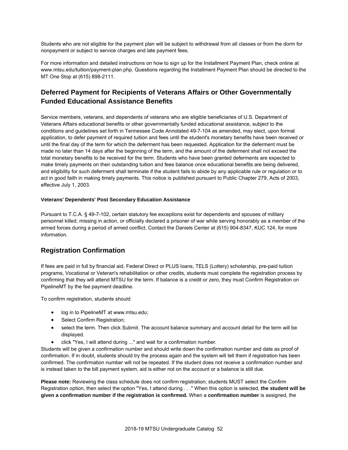Students who are not eligible for the payment plan will be subject to withdrawal from all classes or from the dorm for nonpayment or subject to service charges and late payment fees.

For more information and detailed instructions on how to sign up for the Installment Payment Plan, check online at www.mtsu.edu/tuition/payment-plan.php. Questions regarding the Installment Payment Plan should be directed to the MT One Stop at (615) 898-2111.

#### **Deferred Payment for Recipients of Veterans Affairs or Other Governmentally Funded Educational Assistance Benefits**

Service members, veterans, and dependents of veterans who are eligible beneficiaries of U.S. Department of Veterans Affairs educational benefits or other governmentally funded educational assistance, subject to the conditions and guidelines set forth in Tennessee Code Annotated 49-7-104 as amended, may elect, upon formal application, to defer payment of required tuition and fees until the student's monetary benefits have been received or until the final day of the term for which the deferment has been requested. Application for the deferment must be made no later than 14 days after the beginning of the term, and the amount of the deferment shall not exceed the total monetary benefits to be received for the term. Students who have been granted deferments are expected to make timely payments on their outstanding tuition and fees balance once educational benefits are being delivered, and eligibility for such deferment shall terminate if the student fails to abide by any applicable rule or regulation or to act in good faith in making timely payments. This notice is published pursuant to Public Chapter 279, Acts of 2003, effective July 1, 2003.

#### **Veterans' Dependents' Post Secondary Education Assistance**

Pursuant to T.C.A. § 49-7-102, certain statutory fee exceptions exist for dependents and spouses of military personnel killed, missing in action, or officially declared a prisoner of war while serving honorably as a member of the armed forces during a period of armed conflict. Contact the Daniels Center at (615) 904-8347, KUC 124, for more information.

#### **Registration Confirmation**

If fees are paid in full by financial aid, Federal Direct or PLUS loans, TELS (Lottery) scholarship, pre-paid tuition programs, Vocational or Veteran's rehabilitation or other credits, students must complete the registration process by confirming that they will attend MTSU for the term. If balance is a credit or zero, they must Confirm Registration on PipelineMT by the fee payment deadline.

To confirm registration, students should

- log in to PipelineMT at www.mtsu.edu;
- Select Confirm Registration;
- select the term. Then click Submit. The account balance summary and account detail for the term will be displayed.
- click "Yes, I will attend during ..." and wait for a confirmation number.

Students will be given a confirmation number and should write down the confirmation number and date as proof of confirmation. If in doubt, students should try the process again and the system will tell them if registration has been confirmed. The confirmation number will not be repeated. If the student does not receive a confirmation number and is instead taken to the bill payment system, aid is either not on the account or a balance is still due.

**Please note:** Reviewing the class schedule does not confirm registration; students MUST select the Confirm Registration option, then select the option "Yes, I attend during . . ." When this option is selected, **the student will be given a confirmation number if the registration is confirmed.** When a **confirmation number** is assigned, the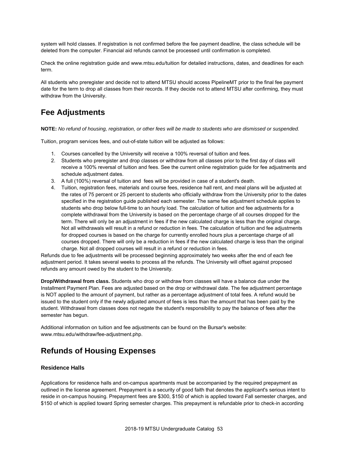system will hold classes. If registration is not confirmed before the fee payment deadline, the class schedule will be deleted from the computer. Financial aid refunds cannot be processed until confirmation is completed.

Check the online registration guide and www.mtsu.edu/tuition for detailed instructions, dates, and deadlines for each term.

All students who preregister and decide not to attend MTSU should access PipelineMT prior to the final fee payment date for the term to drop all classes from their records. If they decide not to attend MTSU after confirming, they must withdraw from the University.

## **Fee Adjustments**

**NOTE:** *No refund of housing, registration, or other fees will be made to students who are dismissed or suspended.*

Tuition, program services fees, and out-of-state tuition will be adjusted as follows:

- 1. Courses cancelled by the University will receive a 100% reversal of tuition and fees.
- 2. Students who preregister and drop classes or withdraw from all classes prior to the first day of class will receive a 100% reversal of tuition and fees. See the current online registration guide for fee adjustments and schedule adjustment dates.
- 3. A full (100%) reversal of tuition and fees will be provided in case of a student's death.
- 4. Tuition, registration fees, materials and course fees, residence hall rent, and meal plans will be adjusted at the rates of 75 percent or 25 percent to students who officially withdraw from the University prior to the dates specified in the registration guide published each semester. The same fee adjustment schedule applies to students who drop below full-time to an hourly load. The calculation of tuition and fee adjustments for a complete withdrawal from the University is based on the percentage charge of all courses dropped for the term. There will only be an adjustment in fees if the new calculated charge is less than the original charge. Not all withdrawals will result in a refund or reduction in fees. The calculation of tuition and fee adjustments for dropped courses is based on the charge for currently enrolled hours plus a percentage charge of all courses dropped. There will only be a reduction in fees if the new calculated charge is less than the original charge. Not all dropped courses will result in a refund or reduction in fees.

Refunds due to fee adjustments will be processed beginning approximately two weeks after the end of each fee adjustment period. It takes several weeks to process all the refunds. The University will offset against proposed refunds any amount owed by the student to the University.

**Drop/Withdrawal from class.** Students who drop or withdraw from classes will have a balance due under the Installment Payment Plan. Fees are adjusted based on the drop or withdrawal date. The fee adjustment percentage is NOT applied to the amount of payment, but rather as a percentage adjustment of total fees. A refund would be issued to the student only if the newly adjusted amount of fees is less than the amount that has been paid by the student. Withdrawal from classes does not negate the student's responsibility to pay the balance of fees after the semester has begun.

Additional information on tuition and fee adjustments can be found on the Bursar's website: www.mtsu.edu/withdraw/fee-adjustment.php.

### **Refunds of Housing Expenses**

#### **Residence Halls**

Applications for residence halls and on-campus apartments must be accompanied by the required prepayment as outlined in the license agreement. Prepayment is a security of good faith that denotes the applicant's serious intent to reside in on-campus housing. Prepayment fees are \$300, \$150 of which is applied toward Fall semester charges, and \$150 of which is applied toward Spring semester charges. This prepayment is refundable prior to check-in according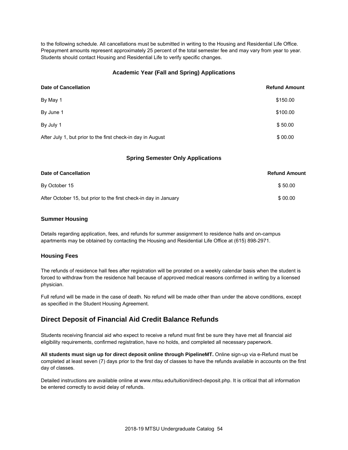to the following schedule. All cancellations must be submitted in writing to the Housing and Residential Life Office. Prepayment amounts represent approximately 25 percent of the total semester fee and may vary from year to year. Students should contact Housing and Residential Life to verify specific changes.

#### **Academic Year (Fall and Spring) Applications**

| <b>Date of Cancellation</b>                                 | <b>Refund Amount</b> |
|-------------------------------------------------------------|----------------------|
| By May 1                                                    | \$150.00             |
| By June 1                                                   | \$100.00             |
| By July 1                                                   | \$50.00              |
| After July 1, but prior to the first check-in day in August | \$00.00              |

#### **Spring Semester Only Applications**

| Date of Cancellation                                             | <b>Refund Amount</b> |
|------------------------------------------------------------------|----------------------|
| By October 15                                                    | \$50.00              |
| After October 15, but prior to the first check-in day in January | \$00.00              |

#### **Summer Housing**

Details regarding application, fees, and refunds for summer assignment to residence halls and on-campus apartments may be obtained by contacting the Housing and Residential Life Office at (615) 898-2971.

#### **Housing Fees**

The refunds of residence hall fees after registration will be prorated on a weekly calendar basis when the student is forced to withdraw from the residence hall because of approved medical reasons confirmed in writing by a licensed physician.

Full refund will be made in the case of death. No refund will be made other than under the above conditions, except as specified in the Student Housing Agreement.

#### **Direct Deposit of Financial Aid Credit Balance Refunds**

Students receiving financial aid who expect to receive a refund must first be sure they have met all financial aid eligibility requirements, confirmed registration, have no holds, and completed all necessary paperwork.

**All students must sign up for direct deposit online through PipelineMT.** Online sign-up via e-Refund must be completed at least seven (7) days prior to the first day of classes to have the refunds available in accounts on the first day of classes.

Detailed instructions are available online at www.mtsu.edu/tuition/direct-deposit.php. It is critical that all information be entered correctly to avoid delay of refunds.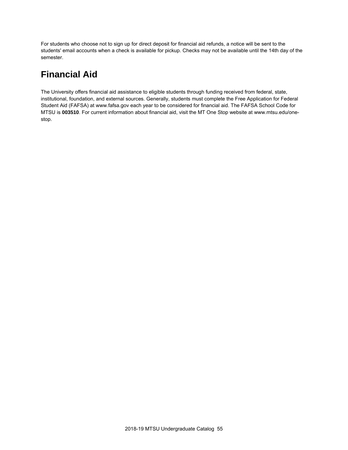For students who choose not to sign up for direct deposit for financial aid refunds, a notice will be sent to the students' email accounts when a check is available for pickup. Checks may not be available until the 14th day of the semester.

# **Financial Aid**

The University offers financial aid assistance to eligible students through funding received from federal, state, institutional, foundation, and external sources. Generally, students must complete the Free Application for Federal Student Aid (FAFSA) at www.fafsa.gov each year to be considered for financial aid. The FAFSA School Code for MTSU is **003510**. For current information about financial aid, visit the MT One Stop website at www.mtsu.edu/onestop.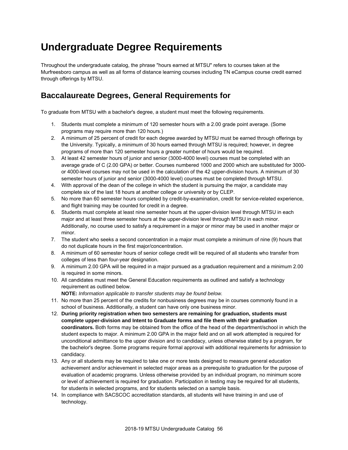# **Undergraduate Degree Requirements**

Throughout the undergraduate catalog, the phrase "hours earned at MTSU" refers to courses taken at the Murfreesboro campus as well as all forms of distance learning courses including TN eCampus course credit earned through offerings by MTSU.

## **Baccalaureate Degrees, General Requirements for**

To graduate from MTSU with a bachelor's degree, a student must meet the following requirements.

- 1. Students must complete a minimum of 120 semester hours with a 2.00 grade point average. (Some programs may require more than 120 hours.)
- 2. A minimum of 25 percent of credit for each degree awarded by MTSU must be earned through offerings by the University. Typically, a minimum of 30 hours earned through MTSU is required; however, in degree programs of more than 120 semester hours a greater number of hours would be required.
- 3. At least 42 semester hours of junior and senior (3000-4000 level) courses must be completed with an average grade of C (2.00 GPA) or better. Courses numbered 1000 and 2000 which are substituted for 3000 or 4000-level courses may not be used in the calculation of the 42 upper-division hours. A minimum of 30 semester hours of junior and senior (3000-4000 level) courses must be completed through MTSU.
- 4. With approval of the dean of the college in which the student is pursuing the major, a candidate may complete six of the last 18 hours at another college or university or by CLEP.
- 5. No more than 60 semester hours completed by credit-by-examination, credit for service-related experience, and flight training may be counted for credit in a degree.
- 6. Students must complete at least nine semester hours at the upper-division level through MTSU in each major and at least three semester hours at the upper-division level through MTSU in each minor. Additionally, no course used to satisfy a requirement in a major or minor may be used in another major or minor.
- 7. The student who seeks a second concentration in a major must complete a minimum of nine (9) hours that do not duplicate hours in the first major/concentration.
- 8. A minimum of 60 semester hours of senior college credit will be required of all students who transfer from colleges of less than four-year designation.
- 9. A minimum 2.00 GPA will be required in a major pursued as a graduation requirement and a minimum 2.00 is required in some minors.
- 10. All candidates must meet the General Education requirements as outlined and satisfy a technology requirement as outlined below.

**NOTE:** *Information applicable to transfer students may be found below.*

- 11. No more than 25 percent of the credits for nonbusiness degrees may be in courses commonly found in a school of business. Additionally, a student can have only one business minor.
- 12. **During priority registration when two semesters are remaining for graduation, students must complete upper-division and Intent to Graduate forms and file them with their graduation coordinators.** Both forms may be obtained from the office of the head of the department/school in which the student expects to major. A minimum 2.00 GPA in the major field and on all work attempted is required for unconditional admittance to the upper division and to candidacy, unless otherwise stated by a program, for the bachelor's degree. Some programs require formal approval with additional requirements for admission to candidacy.
- 13. Any or all students may be required to take one or more tests designed to measure general education achievement and/or achievement in selected major areas as a prerequisite to graduation for the purpose of evaluation of academic programs. Unless otherwise provided by an individual program, no minimum score or level of achievement is required for graduation. Participation in testing may be required for all students, for students in selected programs, and for students selected on a sample basis.
- 14. In compliance with SACSCOC accreditation standards, all students will have training in and use of technology.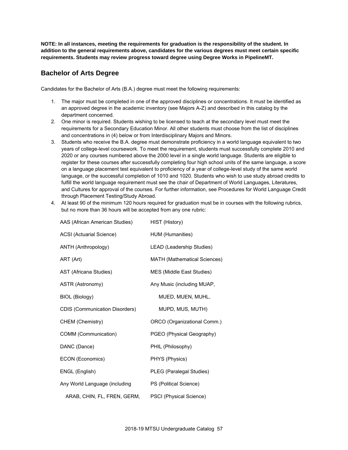**NOTE: In all instances, meeting the requirements for graduation is the responsibility of the student. In addition to the general requirements above, candidates for the various degrees must meet certain specific requirements. Students may review progress toward degree using Degree Works in PipelineMT.**

#### **Bachelor of Arts Degree**

Candidates for the Bachelor of Arts (B.A.) degree must meet the following requirements:

- 1. The major must be completed in one of the approved disciplines or concentrations. It must be identified as an approved degree in the academic inventory (see Majors A-Z) and described in this catalog by the department concerned.
- 2. One minor is required. Students wishing to be licensed to teach at the secondary level must meet the requirements for a Secondary Education Minor. All other students must choose from the list of disciplines and concentrations in (4) below or from Interdisciplinary Majors and Minors.
- 3. Students who receive the B.A. degree must demonstrate proficiency in a world language equivalent to two years of college-level coursework. To meet the requirement, students must successfully complete 2010 and 2020 or any courses numbered above the 2000 level in a single world language. Students are eligible to register for these courses after successfully completing four high school units of the same language, a score on a language placement test equivalent to proficiency of a year of college-level study of the same world language, or the successful completion of 1010 and 1020. Students who wish to use study abroad credits to fulfill the world language requirement must see the chair of Department of World Languages, Literatures, and Cultures for approval of the courses. For further information, see Procedures for World Language Credit through Placement Testing/Study Abroad.
- 4. At least 90 of the minimum 120 hours required for graduation must be in courses with the following rubrics, but no more than 36 hours will be accepted from any one rubric:

| AAS (African American Studies)        | HIST (History)               |
|---------------------------------------|------------------------------|
| <b>ACSI</b> (Actuarial Science)       | HUM (Humanities)             |
| ANTH (Anthropology)                   | LEAD (Leadership Studies)    |
| ART (Art)                             | MATH (Mathematical Sciences) |
| AST (Africana Studies)                | MES (Middle East Studies)    |
| <b>ASTR (Astronomy)</b>               | Any Music (including MUAP,   |
| <b>BIOL (Biology)</b>                 | MUED, MUEN, MUHL,            |
| <b>CDIS (Communication Disorders)</b> | MUPD, MUS, MUTH)             |
| CHEM (Chemistry)                      | ORCO (Organizational Comm.)  |
| COMM (Communication)                  | PGEO (Physical Geography)    |
| DANC (Dance)                          | PHIL (Philosophy)            |
| ECON (Economics)                      | PHYS (Physics)               |
| ENGL (English)                        | PLEG (Paralegal Studies)     |
| Any World Language (including         | PS (Political Science)       |
| ARAB, CHIN, FL, FREN, GERM,           | PSCI (Physical Science)      |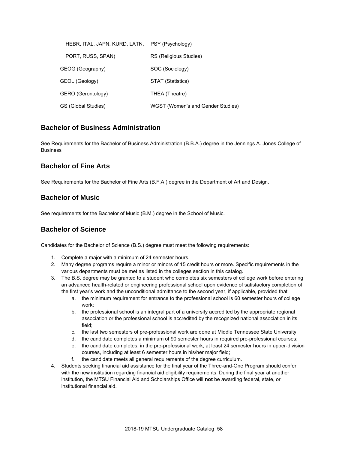| HEBR, ITAL, JAPN, KURD, LATN, PSY (Psychology) |                                   |
|------------------------------------------------|-----------------------------------|
| PORT, RUSS, SPAN)                              | RS (Religious Studies)            |
| GEOG (Geography)                               | SOC (Sociology)                   |
| GEOL (Geology)                                 | STAT (Statistics)                 |
| GERO (Gerontology)                             | THEA (Theatre)                    |
| GS (Global Studies)                            | WGST (Women's and Gender Studies) |

#### **Bachelor of Business Administration**

See Requirements for the Bachelor of Business Administration (B.B.A.) degree in the Jennings A. Jones College of Business

#### **Bachelor of Fine Arts**

See Requirements for the Bachelor of Fine Arts (B.F.A.) degree in the Department of Art and Design.

#### **Bachelor of Music**

See requirements for the Bachelor of Music (B.M.) degree in the School of Music.

#### **Bachelor of Science**

Candidates for the Bachelor of Science (B.S.) degree must meet the following requirements:

- 1. Complete a major with a minimum of 24 semester hours.
- 2. Many degree programs require a minor or minors of 15 credit hours or more. Specific requirements in the various departments must be met as listed in the colleges section in this catalog.
- 3. The B.S. degree may be granted to a student who completes six semesters of college work before entering an advanced health-related or engineering professional school upon evidence of satisfactory completion of the first year's work and the unconditional admittance to the second year, if applicable, provided that
	- a. the minimum requirement for entrance to the professional school is 60 semester hours of college work;
	- b. the professional school is an integral part of a university accredited by the appropriate regional association or the professional school is accredited by the recognized national association in its field;
	- c. the last two semesters of pre-professional work are done at Middle Tennessee State University;
	- d. the candidate completes a minimum of 90 semester hours in required pre-professional courses;
	- e. the candidate completes, in the pre-professional work, at least 24 semester hours in upper-division courses, including at least 6 semester hours in his/her major field;
	- f. the candidate meets all general requirements of the degree curriculum.
- 4. Students seeking financial aid assistance for the final year of the Three-and-One Program should confer with the new institution regarding financial aid eligibility requirements. During the final year at another institution, the MTSU Financial Aid and Scholarships Office will **not** be awarding federal, state, or institutional financial aid.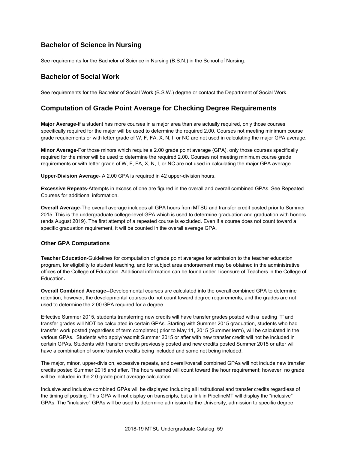#### **Bachelor of Science in Nursing**

See requirements for the Bachelor of Science in Nursing (B.S.N.) in the School of Nursing.

#### **Bachelor of Social Work**

See requirements for the Bachelor of Social Work (B.S.W.) degree or contact the Department of Social Work.

#### **Computation of Grade Point Average for Checking Degree Requirements**

**Major Average-**If a student has more courses in a major area than are actually required, only those courses specifically required for the major will be used to determine the required 2.00. Courses not meeting minimum course grade requirements or with letter grade of W, F, FA, X, N, I, or NC are not used in calculating the major GPA average.

**Minor Average-**For those minors which require a 2.00 grade point average (GPA), only those courses specifically required for the minor will be used to determine the required 2.00. Courses not meeting minimum course grade requirements or with letter grade of W, F, FA, X, N, I, or NC are not used in calculating the major GPA average.

**Upper-Division Average-** A 2.00 GPA is required in 42 upper-division hours.

**Excessive Repeats-**Attempts in excess of one are figured in the overall and overall combined GPAs. See Repeated Courses for additional information.

**Overall Average**-The overall average includes all GPA hours from MTSU and transfer credit posted prior to Summer 2015. This is the undergraduate college-level GPA which is used to determine graduation and graduation with honors (ends August 2019). The first attempt of a repeated course is excluded. Even if a course does not count toward a specific graduation requirement, it will be counted in the overall average GPA.

#### **Other GPA Computations**

**Teacher Education-**Guidelines for computation of grade point averages for admission to the teacher education program, for eligibility to student teaching, and for subject area endorsement may be obtained in the administrative offices of the College of Education. Additional information can be found under Licensure of Teachers in the College of Education**.**

**Overall Combined Average--**Developmental courses are calculated into the overall combined GPA to determine retention; however, the developmental courses do not count toward degree requirements, and the grades are not used to determine the 2.00 GPA required for a degree.

Effective Summer 2015, students transferring new credits will have transfer grades posted with a leading 'T' and transfer grades will NOT be calculated in certain GPAs. Starting with Summer 2015 graduation, students who had transfer work posted (regardless of term completed) prior to May 11, 2015 (Summer term), will be calculated in the various GPAs. Students who apply/readmit Summer 2015 or after with new transfer credit will not be included in certain GPAs. Students with transfer credits previously posted and new credits posted Summer 2015 or after will have a combination of some transfer credits being included and some not being included.

The major, minor, upper-division, excessive repeats, and overall/overall combined GPAs will not include new transfer credits posted Summer 2015 and after. The hours earned will count toward the hour requirement; however, no grade will be included in the 2.0 grade point average calculation.

Inclusive and inclusive combined GPAs will be displayed including all institutional and transfer credits regardless of the timing of posting. This GPA will not display on transcripts, but a link in PipelineMT will display the "inclusive" GPAs. The "inclusive" GPAs will be used to determine admission to the University, admission to specific degree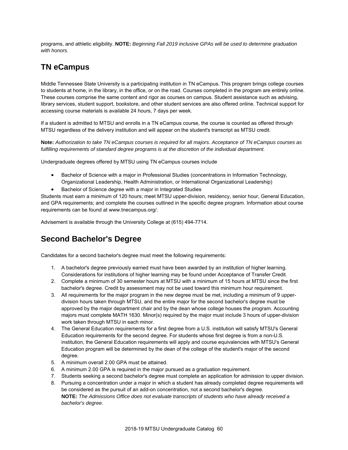programs, and athletic eligibility. **NOTE:** *Beginning Fall 2019 inclusive GPAs will be used to determine graduation with honors.*

## **TN eCampus**

Middle Tennessee State University is a participating institution in TN eCampus. This program brings college courses to students at home, in the library, in the office, or on the road. Courses completed in the program are entirely online. These courses comprise the same content and rigor as courses on campus. Student assistance such as advising, library services, student support, bookstore, and other student services are also offered online. Technical support for accessing course materials is available 24 hours, 7 days per week.

If a student is admitted to MTSU and enrolls in a TN eCampus course, the course is counted as offered through MTSU regardless of the delivery institution and will appear on the student's transcript as MTSU credit.

**Note:** *Authorization to take TN eCampus courses is required for all majors. Acceptance of TN eCampus courses as fulfilling requirements of standard degree programs is at the discretion of the individual department.*

Undergraduate degrees offered by MTSU using TN eCampus courses include

- **•** Bachelor of Science with a major in Professional Studies (concentrations in Information Technology, Organizational Leadership, Health Administration, or International Organizational Leadership)
- Bachelor of Science degree with a major in Integrated Studies

Students must earn a minimum of 120 hours; meet MTSU upper-division, residency, senior hour, General Education, and GPA requirements; and complete the courses outlined in the specific degree program. Information about course requirements can be found at www.tnecampus.org/.

Advisement is available through the University College at (615) 494-7714.

# **Second Bachelor's Degree**

Candidates for a second bachelor's degree must meet the following requirements:

- 1. A bachelor's degree previously earned must have been awarded by an institution of higher learning. Considerations for institutions of higher learning may be found under Acceptance of Transfer Credit.
- 2. Complete a minimum of 30 semester hours at MTSU with a minimum of 15 hours at MTSU since the first bachelor's degree. Credit by assessment may not be used toward this minimum hour requirement.
- 3. All requirements for the major program in the new degree must be met, including a minimum of 9 upperdivision hours taken through MTSU, and the entire major for the second bachelor's degree must be approved by the major department chair and by the dean whose college houses the program. Accounting majors must complete MATH 1630. Minor(s) required by the major must include 3 hours of upper-division work taken through MTSU in each minor.
- 4. The General Education requirements for a first degree from a U.S. institution will satisfy MTSU's General Education requirements for the second degree. For students whose first degree is from a non-U.S. institution, the General Education requirements will apply and course equivalencies with MTSU's General Education program will be determined by the dean of the college of the student's major of the second degree.
- 5. A minimum overall 2.00 GPA must be attained.
- 6. A minimum 2.00 GPA is required in the major pursued as a graduation requirement.
- 7. Students seeking a second bachelor's degree must complete an application for admission to upper division.
- 8. Pursuing a concentration under a major in which a student has already completed degree requirements will be considered as the pursuit of an add-on concentration, not a second bachelor's degree. **NOTE:** *The Admissions Office does not evaluate transcripts of students who have already received a bachelor's degree.*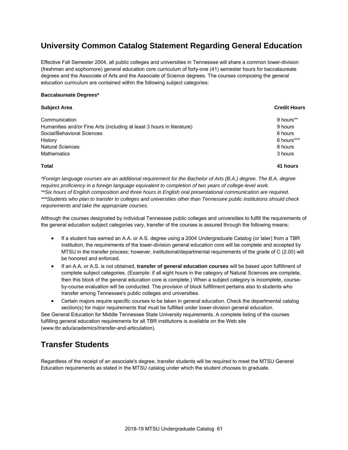## **University Common Catalog Statement Regarding General Education**

Effective Fall Semester 2004, all public colleges and universities in Tennessee will share a common lower-division (freshman and sophomore) general education core curriculum of forty-one (41) semester hours for baccalaureate degrees and the Associate of Arts and the Associate of Science degrees. The courses composing the general education curriculum are contained within the following subject categories:

#### **Baccalaureate Degrees\***

| <b>Subject Area</b>                                                    | <b>Credit Hours</b> |
|------------------------------------------------------------------------|---------------------|
| Communication                                                          | 9 hours**           |
| Humanities and/or Fine Arts (including at least 3 hours in literature) | 9 hours             |
| Social/Behavioral Sciences                                             | 6 hours             |
| History                                                                | 6 hours***          |
| <b>Natural Sciences</b>                                                | 8 hours             |
| <b>Mathematics</b>                                                     | 3 hours             |
| Total                                                                  | 41 hours            |

*\*Foreign language courses are an additional requirement for the Bachelor of Arts (B.A.) degree. The B.A. degree requires proficiency in a foreign language equivalent to completion of two years of college-level work. \*\*Six hours of English composition and three hours in English oral presentational communication are required. \*\*\*Students who plan to transfer to colleges and universities other than Tennessee public institutions should check requirements and take the appropriate courses.*

Although the courses designated by individual Tennessee public colleges and universities to fulfill the requirements of the general education subject categories vary, transfer of the courses is assured through the following means:

- If a student has earned an A.A. or A.S. degree using a 2004 Undergraduate Catalog (or later) from a TBR institution, the requirements of the lower-division general education core will be complete and accepted by MTSU in the transfer process; however, institutional/departmental requirements of the grade of C (2.00) will be honored and enforced.
- If an A.A. or A.S. is not obtained, **transfer of general education courses** will be based upon fulfillment of complete subject categories. (Example: if all eight hours in the category of Natural Sciences are complete, then this block of the general education core is complete.) When a subject category is incomplete, courseby-course evaluation will be conducted. The provision of block fulfillment pertains also to students who transfer among Tennessee's public colleges and universities.
- Certain majors require specific courses to be taken in general education. Check the departmental catalog section(s) for major requirements that must be fulfilled under lower-division general education.

See General Education for Middle Tennessee State University requirements. A complete listing of the courses fulfilling general education requirements for all TBR institutions is available on the Web site (www.tbr.edu/academics/transfer-and-articulation).

# **Transfer Students**

Regardless of the receipt of an associate's degree, transfer students will be required to meet the MTSU General Education requirements as stated in the MTSU catalog under which the student chooses to graduate.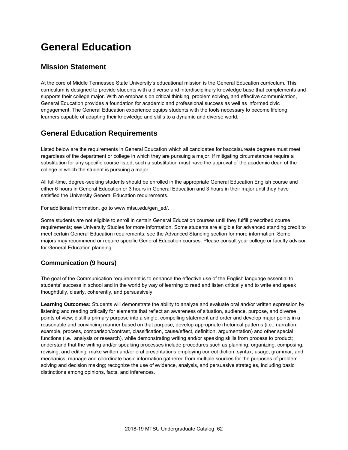# **General Education**

#### **Mission Statement**

At the core of Middle Tennessee State University's educational mission is the General Education curriculum. This curriculum is designed to provide students with a diverse and interdisciplinary knowledge base that complements and supports their college major. With an emphasis on critical thinking, problem solving, and effective communication, General Education provides a foundation for academic and professional success as well as informed civic engagement. The General Education experience equips students with the tools necessary to become lifelong learners capable of adapting their knowledge and skills to a dynamic and diverse world.

#### **General Education Requirements**

Listed below are the requirements in General Education which all candidates for baccalaureate degrees must meet regardless of the department or college in which they are pursuing a major. If mitigating circumstances require a substitution for any specific course listed, such a substitution must have the approval of the academic dean of the college in which the student is pursuing a major.

All full-time, degree-seeking students should be enrolled in the appropriate General Education English course and either 6 hours in General Education or 3 hours in General Education and 3 hours in their major until they have satisfied the University General Education requirements.

For additional information, go to www.mtsu.edu/gen\_ed/.

Some students are not eligible to enroll in certain General Education courses until they fulfill prescribed course requirements; see University Studies for more information. Some students are eligible for advanced standing credit to meet certain General Education requirements; see the Advanced Standing section for more information. Some majors may recommend or require specific General Education courses. Please consult your college or faculty advisor for General Education planning.

#### **Communication (9 hours)**

The goal of the Communication requirement is to enhance the effective use of the English language essential to students' success in school and in the world by way of learning to read and listen critically and to write and speak thoughtfully, clearly, coherently, and persuasively.

**Learning Outcomes:** Students will demonstrate the ability to analyze and evaluate oral and/or written expression by listening and reading critically for elements that reflect an awareness of situation, audience, purpose, and diverse points of view; distill a primary purpose into a single, compelling statement and order and develop major points in a reasonable and convincing manner based on that purpose; develop appropriate rhetorical patterns (i.e., narration, example, process, comparison/contrast, classification, cause/effect, definition, argumentation) and other special functions (i.e., analysis or research), while demonstrating writing and/or speaking skills from process to product; understand that the writing and/or speaking processes include procedures such as planning, organizing, composing, revising, and editing; make written and/or oral presentations employing correct diction, syntax, usage, grammar, and mechanics; manage and coordinate basic information gathered from multiple sources for the purposes of problem solving and decision making; recognize the use of evidence, analysis, and persuasive strategies, including basic distinctions among opinions, facts, and inferences.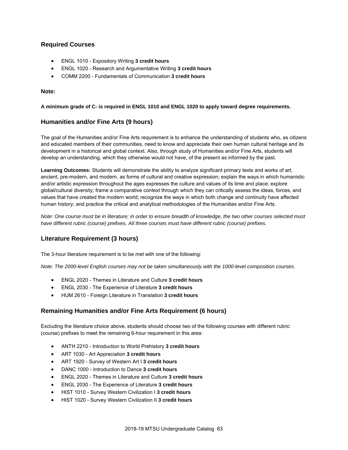#### **Required Courses**

- ENGL 1010 Expository Writing **3 credit hours**
- ENGL 1020 Research and Argumentative Writing **3 credit hours**
- COMM 2200 Fundamentals of Communication **3 credit hours**

#### **Note:**

#### **A minimum grade of C- is required in ENGL 1010 and ENGL 1020 to apply toward degree requirements.**

#### **Humanities and/or Fine Arts (9 hours)**

The goal of the Humanities and/or Fine Arts requirement is to enhance the understanding of students who, as citizens and educated members of their communities, need to know and appreciate their own human cultural heritage and its development in a historical and global context. Also, through study of Humanities and/or Fine Arts, students will develop an understanding, which they otherwise would not have, of the present as informed by the past.

**Learning Outcomes:** Students will demonstrate the ability to analyze significant primary texts and works of art, ancient, pre-modern, and modern, as forms of cultural and creative expression; explain the ways in which humanistic and/or artistic expression throughout the ages expresses the culture and values of its time and place; explore global/cultural diversity; frame a comparative context through which they can critically assess the ideas, forces, and values that have created the modern world; recognize the ways in which both change and continuity have affected human history; and practice the critical and analytical methodologies of the Humanities and/or Fine Arts.

*Note: One course must be in literature; in order to ensure breadth of knowledge, the two other courses selected must have different rubric (course) prefixes. All three courses must have different rubric (course) prefixes.*

#### **Literature Requirement (3 hours)**

The 3-hour literature requirement is to be met with one of the following:

*Note: The 2000-level English courses may not be taken simultaneously with the 1000-level composition courses.*

- ENGL 2020 Themes in Literature and Culture **3 credit hours**
- ENGL 2030 The Experience of Literature **3 credit hours**
- HUM 2610 Foreign Literature in Translation **3 credit hours**

#### **Remaining Humanities and/or Fine Arts Requirement (6 hours)**

Excluding the literature choice above, students should choose two of the following courses with different rubric (course) prefixes to meet the remaining 6-hour requirement in this area:

- ANTH 2210 Introduction to World Prehistory **3 credit hours**
- ART 1030 Art Appreciation **3 credit hours**
- ART 1920 Survey of Western Art I **3 credit hours**
- DANC 1000 Introduction to Dance **3 credit hours**
- ENGL 2020 Themes in Literature and Culture **3 credit hours**
- ENGL 2030 The Experience of Literature **3 credit hours**
- HIST 1010 Survey Western Civilization I **3 credit hours**
- HIST 1020 Survey Western Civilization II **3 credit hours**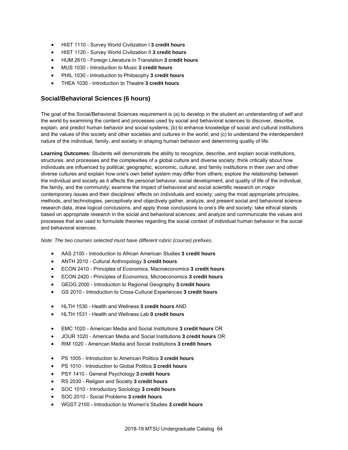- HIST 1110 Survey World Civilization I **3 credit hours**
- HIST 1120 Survey World Civilization II **3 credit hours**
- HUM 2610 Foreign Literature in Translation **3 credit hours**
- MUS 1030 Introduction to Music **3 credit hours**
- PHIL 1030 Introduction to Philosophy **3 credit hours**
- THEA 1030 Introduction to Theatre **3 credit hours**

#### **Social/Behavioral Sciences (6 hours)**

The goal of the Social/Behavioral Sciences requirement is (a) to develop in the student an understanding of self and the world by examining the content and processes used by social and behavioral sciences to discover, describe, explain, and predict human behavior and social systems; (b) to enhance knowledge of social and cultural institutions and the values of this society and other societies and cultures in the world; and (c) to understand the interdependent nature of the individual, family, and society in shaping human behavior and determining quality of life.

**Learning Outcomes:** Students will demonstrate the ability to recognize, describe, and explain social institutions, structures, and processes and the complexities of a global culture and diverse society; think critically about how individuals are influenced by political, geographic, economic, cultural, and family institutions in their own and other diverse cultures and explain how one's own belief system may differ from others; explore the relationship between the individual and society as it affects the personal behavior, social development, and quality of life of the individual, the family, and the community; examine the impact of behavioral and social scientific research on major contemporary issues and their disciplines' effects on individuals and society; using the most appropriate principles, methods, and technologies, perceptively and objectively gather, analyze, and present social and behavioral science research data, draw logical conclusions, and apply those conclusions to one's life and society; take ethical stands based on appropriate research in the social and behavioral sciences; and analyze and communicate the values and processes that are used to formulate theories regarding the social context of individual human behavior in the social and behavioral sciences.

*Note: The two courses selected must have different rubric (course) prefixes.*

- AAS 2100 Introduction to African American Studies **3 credit hours**
- ANTH 2010 Cultural Anthropology **3 credit hours**
- ECON 2410 Principles of Economics, Macroeconomics **3 credit hours**
- ECON 2420 Principles of Economics, Microeconomics **3 credit hours**
- GEOG 2000 Introduction to Regional Geography **3 credit hours**
- GS 2010 Introduction to Cross-Cultural Experiences **3 credit hours**
- HLTH 1530 Health and Wellness **3 credit hours** AND
- HLTH 1531 Health and Wellness Lab **0 credit hours**
- EMC 1020 American Media and Social Institutions **3 credit hours** OR
- JOUR 1020 American Media and Social Institutions **3 credit hours** OR
- RIM 1020 American Media and Social Institutions **3 credit hours**
- PS 1005 Introduction to American Politics **3 credit hours**
- PS 1010 Introduction to Global Politics **3 credit hours**
- PSY 1410 General Psychology **3 credit hours**
- RS 2030 Religion and Society **3 credit hours**
- SOC 1010 Introductory Sociology **3 credit hours**
- SOC 2010 Social Problems **3 credit hours**
- WGST 2100 Introduction to Women's Studies **3 credit hours**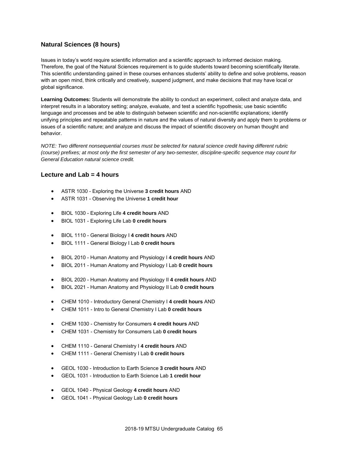#### **Natural Sciences (8 hours)**

Issues in today's world require scientific information and a scientific approach to informed decision making. Therefore, the goal of the Natural Sciences requirement is to guide students toward becoming scientifically literate. This scientific understanding gained in these courses enhances students' ability to define and solve problems, reason with an open mind, think critically and creatively, suspend judgment, and make decisions that may have local or global significance.

**Learning Outcomes:** Students will demonstrate the ability to conduct an experiment, collect and analyze data, and interpret results in a laboratory setting; analyze, evaluate, and test a scientific hypothesis; use basic scientific language and processes and be able to distinguish between scientific and non-scientific explanations; identify unifying principles and repeatable patterns in nature and the values of natural diversity and apply them to problems or issues of a scientific nature; and analyze and discuss the impact of scientific discovery on human thought and behavior.

*NOTE: Two different nonsequential courses must be selected for natural science credit having different rubric (course) prefixes; at most only the first semester of any two-semester, discipline-specific sequence may count for General Education natural science credit.*

#### **Lecture and Lab = 4 hours**

- ASTR 1030 Exploring the Universe **3 credit hours** AND
- ASTR 1031 Observing the Universe **1 credit hour**
- BIOL 1030 Exploring Life **4 credit hours** AND
- BIOL 1031 Exploring Life Lab **0 credit hours**
- BIOL 1110 General Biology I **4 credit hours** AND
- BIOL 1111 General Biology I Lab **0 credit hours**
- BIOL 2010 Human Anatomy and Physiology I **4 credit hours** AND
- BIOL 2011 Human Anatomy and Physiology I Lab **0 credit hours**
- BIOL 2020 Human Anatomy and Physiology II **4 credit hours** AND
- BIOL 2021 Human Anatomy and Physiology II Lab **0 credit hours**
- CHEM 1010 Introductory General Chemistry I **4 credit hours** AND
- CHEM 1011 Intro to General Chemistry I Lab **0 credit hours**
- CHEM 1030 Chemistry for Consumers **4 credit hours** AND
- CHEM 1031 Chemistry for Consumers Lab **0 credit hours**
- CHEM 1110 General Chemistry I **4 credit hours** AND
- CHEM 1111 General Chemistry I Lab **0 credit hours**
- GEOL 1030 Introduction to Earth Science **3 credit hours** AND
- GEOL 1031 Introduction to Earth Science Lab **1 credit hour**
- GEOL 1040 Physical Geology **4 credit hours** AND
- GEOL 1041 Physical Geology Lab **0 credit hours**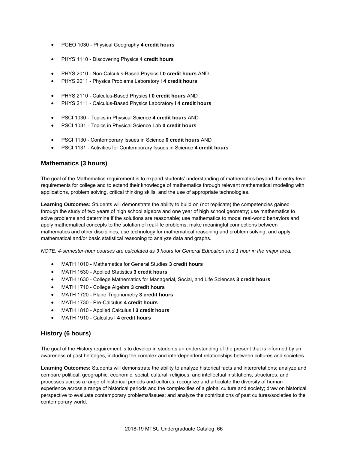- PGEO 1030 Physical Geography **4 credit hours**
- PHYS 1110 Discovering Physics **4 credit hours**
- PHYS 2010 Non-Calculus-Based Physics I **0 credit hours** AND
- PHYS 2011 Physics Problems Laboratory I **4 credit hours**
- PHYS 2110 Calculus-Based Physics I **0 credit hours** AND
- PHYS 2111 Calculus-Based Physics Laboratory I **4 credit hours**
- PSCI 1030 Topics in Physical Science **4 credit hours** AND
- PSCI 1031 Topics in Physical Science Lab **0 credit hours**
- PSCI 1130 Contemporary Issues in Science **0 credit hours** AND
- PSCI 1131 Activities for Contemporary Issues in Science **4 credit hours**

#### **Mathematics (3 hours)**

The goal of the Mathematics requirement is to expand students' understanding of mathematics beyond the entry-level requirements for college and to extend their knowledge of mathematics through relevant mathematical modeling with applications, problem solving, critical thinking skills, and the use of appropriate technologies.

**Learning Outcomes:** Students will demonstrate the ability to build on (not replicate) the competencies gained through the study of two years of high school algebra and one year of high school geometry; use mathematics to solve problems and determine if the solutions are reasonable; use mathematics to model real-world behaviors and apply mathematical concepts to the solution of real-life problems; make meaningful connections between mathematics and other disciplines; use technology for mathematical reasoning and problem solving; and apply mathematical and/or basic statistical reasoning to analyze data and graphs.

*NOTE: 4-semester-hour courses are calculated as 3 hours for General Education and 1 hour in the major area.*

- MATH 1010 Mathematics for General Studies **3 credit hours**
- MATH 1530 Applied Statistics **3 credit hours**
- MATH 1630 College Mathematics for Managerial, Social, and Life Sciences **3 credit hours**
- MATH 1710 College Algebra **3 credit hours**
- MATH 1720 Plane Trigonometry **3 credit hours**
- MATH 1730 Pre-Calculus **4 credit hours**
- MATH 1810 Applied Calculus I **3 credit hours**
- MATH 1910 Calculus I **4 credit hours**

#### **History (6 hours)**

The goal of the History requirement is to develop in students an understanding of the present that is informed by an awareness of past heritages, including the complex and interdependent relationships between cultures and societies.

**Learning Outcomes:** Students will demonstrate the ability to analyze historical facts and interpretations; analyze and compare political, geographic, economic, social, cultural, religious, and intellectual institutions, structures, and processes across a range of historical periods and cultures; recognize and articulate the diversity of human experience across a range of historical periods and the complexities of a global culture and society; draw on historical perspective to evaluate contemporary problems/issues; and analyze the contributions of past cultures/societies to the contemporary world.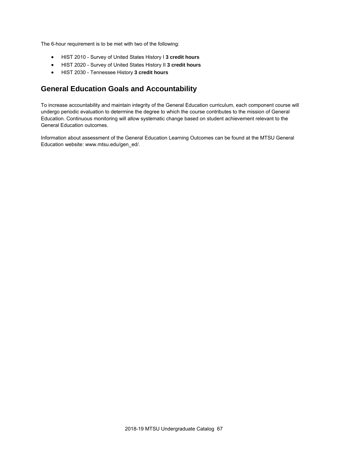The 6-hour requirement is to be met with two of the following:

- HIST 2010 Survey of United States History I **3 credit hours**
- HIST 2020 Survey of United States History II **3 credit hours**
- HIST 2030 Tennessee History **3 credit hours**

### **General Education Goals and Accountability**

To increase accountability and maintain integrity of the General Education curriculum, each component course will undergo periodic evaluation to determine the degree to which the course contributes to the mission of General Education. Continuous monitoring will allow systematic change based on student achievement relevant to the General Education outcomes.

Information about assessment of the General Education Learning Outcomes can be found at the MTSU General Education website: www.mtsu.edu/gen\_ed/.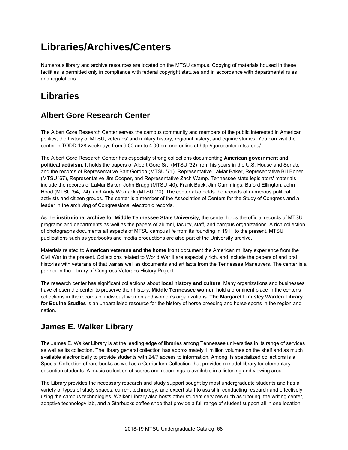# **Libraries/Archives/Centers**

Numerous library and archive resources are located on the MTSU campus. Copying of materials housed in these facilities is permitted only in compliance with federal copyright statutes and in accordance with departmental rules and regulations.

# **Libraries**

# **Albert Gore Research Center**

The Albert Gore Research Center serves the campus community and members of the public interested in American politics, the history of MTSU, veterans' and military history, regional history, and equine studies. You can visit the center in TODD 128 weekdays from 9:00 am to 4:00 pm and online at http://gorecenter.mtsu.edu/.

The Albert Gore Research Center has especially strong collections documenting **American government and political activism**. It holds the papers of Albert Gore Sr., (MTSU '32) from his years in the U.S. House and Senate and the records of Representative Bart Gordon (MTSU '71), Representative LaMar Baker, Representative Bill Boner (MTSU '67), Representative Jim Cooper, and Representative Zach Wamp. Tennessee state legislators' materials include the records of LaMar Baker, John Bragg (MTSU '40), Frank Buck, Jim Cummings, Buford Ellington, John Hood (MTSU '54, '74), and Andy Womack (MTSU '70). The center also holds the records of numerous political activists and citizen groups. The center is a member of the Association of Centers for the Study of Congress and a leader in the archiving of Congressional electronic records.

As the **institutional archive for Middle Tennessee State University**, the center holds the official records of MTSU programs and departments as well as the papers of alumni, faculty, staff, and campus organizations. A rich collection of photographs documents all aspects of MTSU campus life from its founding in 1911 to the present. MTSU publications such as yearbooks and media productions are also part of the University archive.

Materials related to **American veterans and the home front** document the American military experience from the Civil War to the present. Collections related to World War II are especially rich, and include the papers of and oral histories with veterans of that war as well as documents and artifacts from the Tennessee Maneuvers. The center is a partner in the Library of Congress Veterans History Project.

The research center has significant collections about **local history and culture**. Many organizations and businesses have chosen the center to preserve their history. **Middle Tennessee women** hold a prominent place in the center's collections in the records of individual women and women's organizations. **The Margaret Lindsley Warden Library for Equine Studies** is an unparalleled resource for the history of horse breeding and horse sports in the region and nation.

### **James E. Walker Library**

The James E. Walker Library is at the leading edge of libraries among Tennessee universities in its range of services as well as its collection. The library general collection has approximately 1 million volumes on the shelf and as much available electronically to provide students with 24/7 access to information. Among its specialized collections is a Special Collection of rare books as well as a Curriculum Collection that provides a model library for elementary education students. A music collection of scores and recordings is available in a listening and viewing area.

The Library provides the necessary research and study support sought by most undergraduate students and has a variety of types of study spaces, current technology, and expert staff to assist in conducting research and effectively using the campus technologies. Walker Library also hosts other student services such as tutoring, the writing center, adaptive technology lab, and a Starbucks coffee shop that provide a full range of student support all in one location.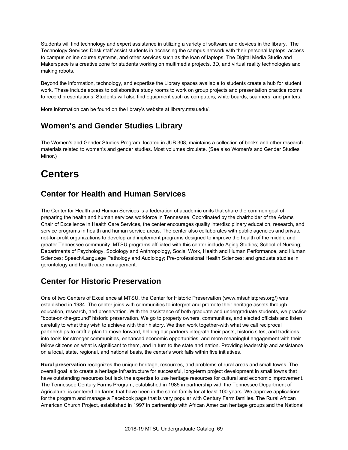Students will find technology and expert assistance in utilizing a variety of software and devices in the library. The Technology Services Desk staff assist students in accessing the campus network with their personal laptops, access to campus online course systems, and other services such as the loan of laptops. The Digital Media Studio and Makerspace is a creative zone for students working on multimedia projects, 3D, and virtual reality technologies and making robots.

Beyond the information, technology, and expertise the Library spaces available to students create a hub for student work. These include access to collaborative study rooms to work on group projects and presentation practice rooms to record presentations. Students will also find equipment such as computers, white boards, scanners, and printers.

More information can be found on the library's website at library.mtsu.edu/.

### **Women's and Gender Studies Library**

The Women's and Gender Studies Program, located in JUB 308, maintains a collection of books and other research materials related to women's and gender studies. Most volumes circulate. (See also Women's and Gender Studies Minor.)

# **Centers**

### **Center for Health and Human Services**

The Center for Health and Human Services is a federation of academic units that share the common goal of preparing the health and human services workforce in Tennessee. Coordinated by the chairholder of the Adams Chair of Excellence in Health Care Services, the center encourages quality interdisciplinary education, research, and service programs in health and human service areas. The center also collaborates with public agencies and private not-for-profit organizations to develop and implement programs designed to improve the health of the middle and greater Tennessee community. MTSU programs affiliated with this center include Aging Studies; School of Nursing; Departments of Psychology, Sociology and Anthropology, Social Work, Health and Human Performance, and Human Sciences; Speech/Language Pathology and Audiology; Pre-professional Health Sciences; and graduate studies in gerontology and health care management.

# **Center for Historic Preservation**

One of two Centers of Excellence at MTSU, the Center for Historic Preservation (www.mtsuhistpres.org/) was established in 1984. The center joins with communities to interpret and promote their heritage assets through education, research, and preservation. With the assistance of both graduate and undergraduate students, we practice "boots-on-the-ground" historic preservation. We go to property owners, communities, and elected officials and listen carefully to what they wish to achieve with their history. We then work together-with what we call reciprocal partnerships-to craft a plan to move forward, helping our partners integrate their pasts, historic sites, and traditions into tools for stronger communities, enhanced economic opportunities, and more meaningful engagement with their fellow citizens on what is significant to them, and in turn to the state and nation. Providing leadership and assistance on a local, state, regional, and national basis, the center's work falls within five initiatives.

**Rural preservation** recognizes the unique heritage, resources, and problems of rural areas and small towns. The overall goal is to create a heritage infrastructure for successful, long-term project development in small towns that have outstanding resources but lack the expertise to use heritage resources for cultural and economic improvement. The Tennessee Century Farms Program, established in 1985 in partnership with the Tennessee Department of Agriculture, is centered on farms that have been in the same family for at least 100 years. We approve applications for the program and manage a Facebook page that is very popular with Century Farm families. The Rural African American Church Project, established in 1997 in partnership with African American heritage groups and the National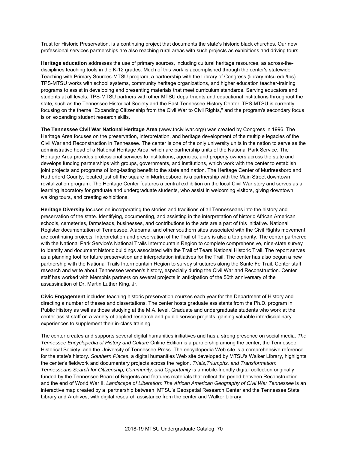Trust for Historic Preservation, is a continuing project that documents the state's historic black churches. Our new professional services partnerships are also reaching rural areas with such projects as exhibitions and driving tours.

**Heritage education** addresses the use of primary sources, including cultural heritage resources, as across-thedisciplines teaching tools in the K-12 grades. Much of this work is accomplished through the center's statewide Teaching with Primary Sources-MTSU program, a partnership with the Library of Congress (library.mtsu.edu/tps). TPS-MTSU works with school systems, community heritage organizations, and higher education teacher-training programs to assist in developing and presenting materials that meet curriculum standards. Serving educators and students at all levels, TPS-MTSU partners with other MTSU departments and educational institutions throughout the state, such as the Tennessee Historical Society and the East Tennessee History Center. TPS-MTSU is currently focusing on the theme "Expanding Citizenship from the Civil War to Civil Rights," and the program's secondary focus is on expanding student research skills.

**The Tennessee Civil War National Heritage Area** (www.tncivilwar.org/) was created by Congress in 1996. The Heritage Area focuses on the preservation, interpretation, and heritage development of the multiple legacies of the Civil War and Reconstruction in Tennessee. The center is one of the only university units in the nation to serve as the administrative head of a National Heritage Area, which are partnership units of the National Park Service. The Heritage Area provides professional services to institutions, agencies, and property owners across the state and develops funding partnerships with groups, governments, and institutions, which work with the center to establish joint projects and programs of long-lasting benefit to the state and nation. The Heritage Center of Murfreesboro and Rutherford County, located just off the square in Murfreesboro, is a partnership with the Main Street downtown revitalization program. The Heritage Center features a central exhibition on the local Civil War story and serves as a learning laboratory for graduate and undergraduate students, who assist in welcoming visitors, giving downtown walking tours, and creating exhibitions.

**Heritage Diversity** focuses on incorporating the stories and traditions of all Tennesseans into the history and preservation of the state. Identifying, documenting, and assisting in the interpretation of historic African American schools, cemeteries, farmsteads, businesses, and contributions to the arts are a part of this initiative. National Register documentation of Tennessee, Alabama, and other southern sites associated with the Civil Rights movement are continuing projects. Interpretation and preservation of the Trail of Tears is also a top priority. The center partnered with the National Park Service's National Trails Intermountain Region to complete comprehensive, nine-state survey to identify and document historic buildings associated with the Trail of Tears National Historic Trail. The report serves as a planning tool for future preservation and interpretation initiatives for the Trail. The center has also begun a new partnership with the National Trails Intermountain Region to survey structures along the Sante Fe Trail. Center staff research and write about Tennessee women's history, especially during the Civil War and Reconstruction. Center staff has worked with Memphis partners on several projects in anticipation of the 50th anniversary of the assassination of Dr. Martin Luther King, Jr.

**Civic Engagement** includes teaching historic preservation courses each year for the Department of History and directing a number of theses and dissertations. The center hosts graduate assistants from the Ph.D. program in Public History as well as those studying at the M.A. level. Graduate and undergraduate students who work at the center assist staff on a variety of applied research and public service projects, gaining valuable interdisciplinary experiences to supplement their in-class training.

The center creates and supports several digital humanities initiatives and has a strong presence on social media. *The Tennessee Encyclopedia of History and Culture* Online Edition is a partnership among the center, the Tennessee Historical Society, and the University of Tennessee Press. The encyclopedia Web site is a comprehensive reference for the state's history. *Southern Places*, a digital humanities Web site developed by MTSU's Walker Library, highlights the center's fieldwork and documentary projects across the region. *Trials,Triumphs, and Transformation: Tennesseans Search for Citizenship, Community, and Opportunity* is a mobile-friendly digital collection originally funded by the Tennessee Board of Regents and features materials that reflect the period between Reconstruction and the end of World War II. *Landscape of Liberation: The African American Geography of Civil War Tennessee* is an interactive map created by a partnership between MTSU's Geospatial Research Center and the Tennessee State Library and Archives, with digital research assistance from the center and Walker Library.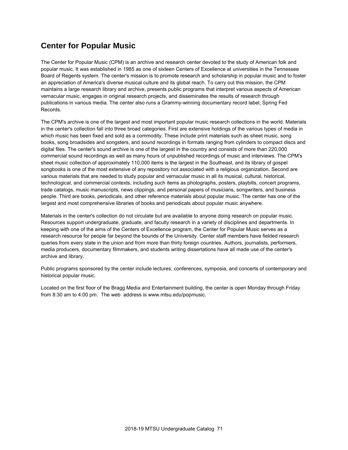### **Center for Popular Music**

The Center for Popular Music (CPM) is an archive and research center devoted to the study of American folk and popular music. It was established in 1985 as one of sixteen Centers of Excellence at universities in the Tennessee Board of Regents system. The center's mission is to promote research and scholarship in popular music and to foster an appreciation of America's diverse musical culture and its global reach. To carry out this mission, the CPM maintains a large research library and archive, presents public programs that interpret various aspects of American vernacular music, engages in original research projects, and disseminates the results of research through publications in various media. The center also runs a Grammy-winning documentary record label, Spring Fed Records.

The CPM's archive is one of the largest and most important popular music research collections in the world. Materials in the center's collection fall into three broad categories. First are extensive holdings of the various types of media in which music has been fixed and sold as a commodity. These include print materials such as sheet music, song books, song broadsides and songsters, and sound recordings in formats ranging from cylinders to compact discs and digital files. The center's sound archive is one of the largest in the country and consists of more than 220,000 commercial sound recordings as well as many hours of unpublished recordings of music and interviews. The CPM's sheet music collection of approximately 110,000 items is the largest in the Southeast, and its library of gospel songbooks is one of the most extensive of any repository not associated with a religious organization. Second are various materials that are needed to study popular and vernacular music in all its musical, cultural, historical, technological, and commercial contexts, including such items as photographs, posters, playbills, concert programs, trade catalogs, music manuscripts, news clippings, and personal papers of musicians, songwriters, and business people. Third are books, periodicals, and other reference materials about popular music. The center has one of the largest and most comprehensive libraries of books and periodicals about popular music anywhere.

Materials in the center's collection do not circulate but are available to anyone doing research on popular music. Resources support undergraduate, graduate, and faculty research in a variety of disciplines and departments. In keeping with one of the aims of the Centers of Excellence program, the Center for Popular Music serves as a research resource for people far beyond the bounds of the University. Center staff members have fielded research queries from every state in the union and from more than thirty foreign countries. Authors, journalists, performers, media producers, documentary filmmakers, and students writing dissertations have all made use of the center's archive and library.

Public programs sponsored by the center include lectures, conferences, symposia, and concerts of contemporary and historical popular music.

Located on the first floor of the Bragg Media and Entertainment building, the center is open Monday through Friday from 8:30 am to 4:00 pm. The web address is www.mtsu.edu/popmusic.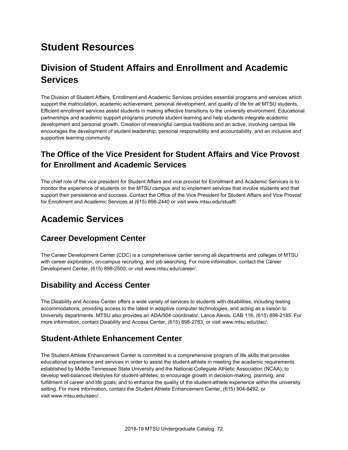# **Student Resources**

# **Division of Student Affairs and Enrollment and Academic Services**

The Division of Student Affairs, Enrollment and Academic Services provides essential programs and services which support the matriculation, academic achievement, personal development, and quality of life for all MTSU students. Efficient enrollment services assist students in making effective transitions to the university environment. Educational partnerships and academic support programs promote student learning and help students integrate academic development and personal growth. Creation of meaningful campus traditions and an active, involving campus life encourages the development of student leadership, personal responsibility and accountability, and an inclusive and supportive learning community

### **The Office of the Vice President for Student Affairs and Vice Provost for Enrollment and Academic Services**

The chief role of the vice president for Student Affairs and vice provost for Enrollment and Academic Services is to monitor the experience of students on the MTSU campus and to implement services that involve students and that support their persistence and success. Contact the Office of the Vice President for Student Affairs and Vice Provost for Enrollment and Academic Services at (615) 898-2440 or visit www.mtsu.edu/stuaff/.

### **Academic Services**

#### **Career Development Center**

The Career Development Center (CDC) is a comprehensive center serving all departments and colleges of MTSU with career exploration, on-campus recruiting, and job searching. For more information, contact the Career Development Center, (615) 898-2500, or visit www.mtsu.edu/career/.

### **Disability and Access Center**

The Disability and Access Center offers a wide variety of services to students with disabilities, including testing accommodations, providing access to the latest in adaptive computer technologies, and acting as a liaison to University departments. MTSU also provides an ADA/504 coordinator, Lance Alexis, CAB 116, (615) 898-2185. For more information, contact Disability and Access Center, (615) 898-2783, or visit www.mtsu.edu/dac/.

#### **Student-Athlete Enhancement Center**

The Student-Athlete Enhancement Center is committed to a comprehensive program of life skills that provides educational experience and services in order to assist the student-athlete in meeting the academic requirements established by Middle Tennessee State University and the National Collegiate Athletic Association (NCAA); to develop well-balanced lifestyles for student-athletes; to encourage growth in decision-making, planning, and fulfillment of career and life goals; and to enhance the quality of the student-athlete experience within the university setting. For more information, contact the Student Athlete Enhancement Center, (615) 904-8492, or visit www.mtsu.edu/saec/.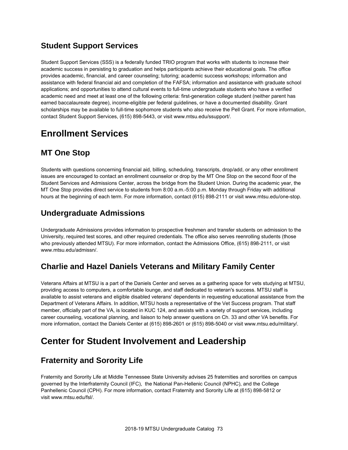### **Student Support Services**

Student Support Services (SSS) is a federally funded TRIO program that works with students to increase their academic success in persisting to graduation and helps participants achieve their educational goals. The office provides academic, financial, and career counseling; tutoring; academic success workshops; information and assistance with federal financial aid and completion of the FAFSA; information and assistance with graduate school applications; and opportunities to attend cultural events to full-time undergraduate students who have a verified academic need and meet at least one of the following criteria: first-generation college student (neither parent has earned baccalaureate degree), income-eligible per federal guidelines, or have a documented disability. Grant scholarships may be available to full-time sophomore students who also receive the Pell Grant. For more information, contact Student Support Services, (615) 898-5443, or visit www.mtsu.edu/ssupport/.

## **Enrollment Services**

### **MT One Stop**

Students with questions concerning financial aid, billing, scheduling, transcripts, drop/add, or any other enrollment issues are encouraged to contact an enrollment counselor or drop by the MT One Stop on the second floor of the Student Services and Admissions Center, across the bridge from the Student Union. During the academic year, the MT One Stop provides direct service to students from 8:00 a.m.-5:00 p.m. Monday through Friday with additional hours at the beginning of each term. For more information, contact (615) 898-2111 or visit www.mtsu.edu/one-stop.

### **Undergraduate Admissions**

Undergraduate Admissions provides information to prospective freshmen and transfer students on admission to the University, required test scores, and other required credentials. The office also serves reenrolling students (those who previously attended MTSU). For more information, contact the Admissions Office, (615) 898-2111, or visit www.mtsu.edu/admissn/.

### **Charlie and Hazel Daniels Veterans and Military Family Center**

Veterans Affairs at MTSU is a part of the Daniels Center and serves as a gathering space for vets studying at MTSU, providing access to computers, a comfortable lounge, and staff dedicated to veteran's success. MTSU staff is available to assist veterans and eligible disabled veterans' dependents in requesting educational assistance from the Department of Veterans Affairs. In addition, MTSU hosts a representative of the Vet Success program. That staff member, officially part of the VA, is located in KUC 124, and assists with a variety of support services, including career counseling, vocational planning, and liaison to help answer questions on Ch. 33 and other VA benefits. For more information, contact the Daniels Center at (615) 898-2601 or (615) 898-5040 or visit www.mtsu.edu/military/.

## **Center for Student Involvement and Leadership**

### **Fraternity and Sorority Life**

Fraternity and Sorority Life at Middle Tennessee State University advises 25 fraternities and sororities on campus governed by the Interfraternity Council (IFC), the National Pan-Hellenic Council (NPHC), and the College Panhellenic Council (CPH). For more information, contact Fraternity and Sorority Life at (615) 898-5812 or visit www.mtsu.edu/fsl/.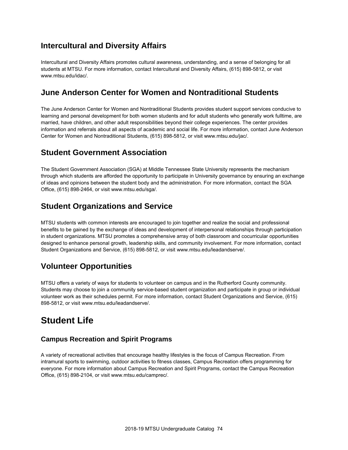### **Intercultural and Diversity Affairs**

Intercultural and Diversity Affairs promotes cultural awareness, understanding, and a sense of belonging for all students at MTSU. For more information, contact Intercultural and Diversity Affairs, (615) 898-5812, or visit www.mtsu.edu/idac/.

#### **June Anderson Center for Women and Nontraditional Students**

The June Anderson Center for Women and Nontraditional Students provides student support services conducive to learning and personal development for both women students and for adult students who generally work fulltime, are married, have children, and other adult responsibilities beyond their college experiences. The center provides information and referrals about all aspects of academic and social life. For more information, contact June Anderson Center for Women and Nontraditional Students, (615) 898-5812, or visit www.mtsu.edu/jac/.

### **Student Government Association**

The Student Government Association (SGA) at Middle Tennessee State University represents the mechanism through which students are afforded the opportunity to participate in University governance by ensuring an exchange of ideas and opinions between the student body and the administration. For more information, contact the SGA Office, (615) 898-2464, or visit www.mtsu.edu/sga/.

### **Student Organizations and Service**

MTSU students with common interests are encouraged to join together and realize the social and professional benefits to be gained by the exchange of ideas and development of interpersonal relationships through participation in student organizations. MTSU promotes a comprehensive array of both classroom and cocurricular opportunities designed to enhance personal growth, leadership skills, and community involvement. For more information, contact Student Organizations and Service, (615) 898-5812, or visit www.mtsu.edu/leadandserve/.

### **Volunteer Opportunities**

MTSU offers a variety of ways for students to volunteer on campus and in the Rutherford County community. Students may choose to join a community service-based student organization and participate in group or individual volunteer work as their schedules permit. For more information, contact Student Organizations and Service, (615) 898-5812, or visit www.mtsu.edu/leadandserve/.

### **Student Life**

#### **Campus Recreation and Spirit Programs**

A variety of recreational activities that encourage healthy lifestyles is the focus of Campus Recreation. From intramural sports to swimming, outdoor activities to fitness classes, Campus Recreation offers programming for everyone. For more information about Campus Recreation and Spirit Programs, contact the Campus Recreation Office, (615) 898-2104, or visit www.mtsu.edu/camprec/.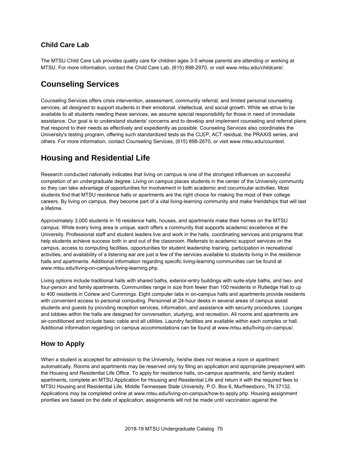#### **Child Care Lab**

The MTSU Child Care Lab provides quality care for children ages 3-5 whose parents are attending or working at MTSU. For more information, contact the Child Care Lab, (615) 898-2970, or visit www.mtsu.edu/childcare/.

#### **Counseling Services**

Counseling Services offers crisis intervention, assessment, community referral, and limited personal counseling services, all designed to support students in their emotional, intellectual, and social growth. While we strive to be available to all students needing these services, we assume special responsibility for those in need of immediate assistance. Our goal is to understand students' concerns and to develop and implement counseling and referral plans that respond to their needs as effectively and expediently as possible. Counseling Services also coordinates the University's testing program, offering such standardized tests as the CLEP, ACT residual, the PRAXIS series, and others. For more information, contact Counseling Services, (615) 898-2670, or visit www.mtsu.edu/countest.

#### **Housing and Residential Life**

Research conducted nationally indicates that living on campus is one of the strongest influences on successful completion of an undergraduate degree. Living on campus places students in the center of the University community so they can take advantage of opportunities for involvement in both academic and cocurricular activities. Most students find that MTSU residence halls or apartments are the right choice for making the most of their college careers. By living on campus, they become part of a vital living-learning community and make friendships that will last a lifetime.

Approximately 3,000 students in 16 residence halls, houses, and apartments make their homes on the MTSU campus. While every living area is unique, each offers a community that supports academic excellence at the University. Professional staff and student leaders live and work in the halls, coordinating services and programs that help students achieve success both in and out of the classroom. Referrals to academic support services on the campus, access to computing facilities, opportunities for student leadership training, participation in recreational activities, and availability of a listening ear are just a few of the services available to students living in the residence halls and apartments. Additional information regarding specific living-learning communities can be found at www.mtsu.edu/living-on-campus/living-learning.php.

Living options include traditional halls with shared baths, exterior-entry buildings with suite-style baths, and two- and four-person and family apartments. Communities range in size from fewer than 100 residents in Rutledge Hall to up to 400 residents in Corlew and Cummings. Eight computer labs in on-campus halls and apartments provide residents with convenient access to personal computing. Personnel at 24-hour desks in several areas of campus assist students and guests by providing reception services, information, and assistance with security procedures. Lounges and lobbies within the halls are designed for conversation, studying, and recreation. All rooms and apartments are air-conditioned and include basic cable and all utilities. Laundry facilities are available within each complex or hall. Additional information regarding on campus accommodations can be found at www.mtsu.edu/living-on-campus/.

#### **How to Apply**

When a student is accepted for admission to the University, he/she does not receive a room or apartment automatically. Rooms and apartments may be reserved only by filing an application and appropriate prepayment with the Housing and Residential Life Office. To apply for residence halls, on-campus apartments, and family student apartments, complete an MTSU Application for Housing and Residential Life and return it with the required fees to MTSU Housing and Residential Life, Middle Tennessee State University, P.O. Box 6, Murfreesboro, TN 37132. Applications may be completed online at www.mtsu.edu/living-on-campus/how-to-apply.php. Housing assignment priorities are based on the date of application; assignments will not be made until vaccination against the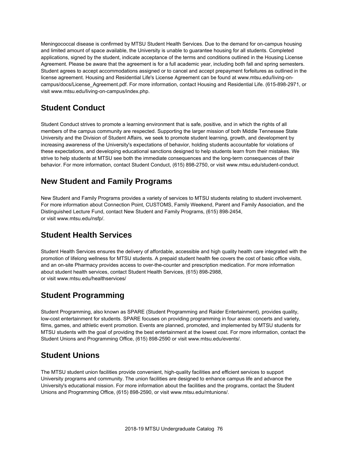Meningococcal disease is confirmed by MTSU Student Health Services. Due to the demand for on-campus housing and limited amount of space available, the University is unable to guarantee housing for all students. Completed applications, signed by the student, indicate acceptance of the terms and conditions outlined in the Housing License Agreement. Please be aware that the agreement is for a full academic year, including both fall and spring semesters. Student agrees to accept accommodations assigned or to cancel and accept prepayment forfeitures as outlined in the license agreement. Housing and Residential Life's License Agreement can be found at www.mtsu.edu/living-oncampus/docs/License\_Agreement.pdf. For more information, contact Housing and Residential Life. (615-898-2971, or visit www.mtsu.edu/living-on-campus/index.php.

### **Student Conduct**

Student Conduct strives to promote a learning environment that is safe, positive, and in which the rights of all members of the campus community are respected. Supporting the larger mission of both Middle Tennessee State University and the Division of Student Affairs, we seek to promote student learning, growth, and development by increasing awareness of the University's expectations of behavior, holding students accountable for violations of these expectations, and developing educational sanctions designed to help students learn from their mistakes. We strive to help students at MTSU see both the immediate consequences and the long-term consequences of their behavior. For more information, contact Student Conduct, (615) 898-2750, or visit www.mtsu.edu/student-conduct.

### **New Student and Family Programs**

New Student and Family Programs provides a variety of services to MTSU students relating to student involvement. For more information about Connection Point, CUSTOMS, Family Weekend, Parent and Family Association, and the Distinguished Lecture Fund, contact New Student and Family Programs, (615) 898-2454, or visit www.mtsu.edu/nsfp/.

### **Student Health Services**

Student Health Services ensures the delivery of affordable, accessible and high quality health care integrated with the promotion of lifelong wellness for MTSU students. A prepaid student health fee covers the cost of basic office visits, and an on-site Pharmacy provides access to over-the-counter and prescription medication. For more information about student health services, contact Student Health Services, (615) 898-2988, or visit www.mtsu.edu/healthservices/

### **Student Programming**

Student Programming, also known as SPARE (Student Programming and Raider Entertainment), provides quality, low-cost entertainment for students. SPARE focuses on providing programming in four areas: concerts and variety, films, games, and athletic event promotion. Events are planned, promoted, and implemented by MTSU students for MTSU students with the goal of providing the best entertainment at the lowest cost. For more information, contact the Student Unions and Programming Office, (615) 898-2590 or visit www.mtsu.edu/events/.

### **Student Unions**

The MTSU student union facilities provide convenient, high-quality facilities and efficient services to support University programs and community. The union facilities are designed to enhance campus life and advance the University's educational mission. For more information about the facilities and the programs, contact the Student Unions and Programming Office, (615) 898-2590, or visit www.mtsu.edu/mtunions/.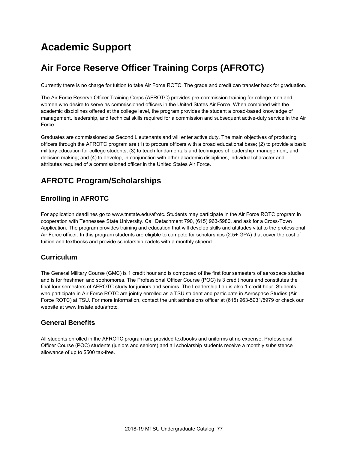# **Academic Support**

# **Air Force Reserve Officer Training Corps (AFROTC)**

Currently there is no charge for tuition to take Air Force ROTC. The grade and credit can transfer back for graduation.

The Air Force Reserve Officer Training Corps (AFROTC) provides pre-commission training for college men and women who desire to serve as commissioned officers in the United States Air Force. When combined with the academic disciplines offered at the college level, the program provides the student a broad-based knowledge of management, leadership, and technical skills required for a commission and subsequent active-duty service in the Air Force.

Graduates are commissioned as Second Lieutenants and will enter active duty. The main objectives of producing officers through the AFROTC program are (1) to procure officers with a broad educational base; (2) to provide a basic military education for college students; (3) to teach fundamentals and techniques of leadership, management, and decision making; and (4) to develop, in conjunction with other academic disciplines, individual character and attributes required of a commissioned officer in the United States Air Force.

### **AFROTC Program/Scholarships**

#### **Enrolling in AFROTC**

For application deadlines go to www.tnstate.edu/afrotc. Students may participate in the Air Force ROTC program in cooperation with Tennessee State University. Call Detachment 790, (615) 963-5980, and ask for a Cross-Town Application. The program provides training and education that will develop skills and attitudes vital to the professional Air Force officer. In this program students are eligible to compete for scholarships (2.5+ GPA) that cover the cost of tuition and textbooks and provide scholarship cadets with a monthly stipend.

#### **Curriculum**

The General Military Course (GMC) is 1 credit hour and is composed of the first four semesters of aerospace studies and is for freshmen and sophomores. The Professional Officer Course (POC) is 3 credit hours and constitutes the final four semesters of AFROTC study for juniors and seniors. The Leadership Lab is also 1 credit hour. Students who participate in Air Force ROTC are jointly enrolled as a TSU student and participate in Aerospace Studies (Air Force ROTC) at TSU. For more information, contact the unit admissions officer at (615) 963-5931/5979 or check our website at www.tnstate.edu/afrotc.

#### **General Benefits**

All students enrolled in the AFROTC program are provided textbooks and uniforms at no expense. Professional Officer Course (POC) students (juniors and seniors) and all scholarship students receive a monthly subsistence allowance of up to \$500 tax-free.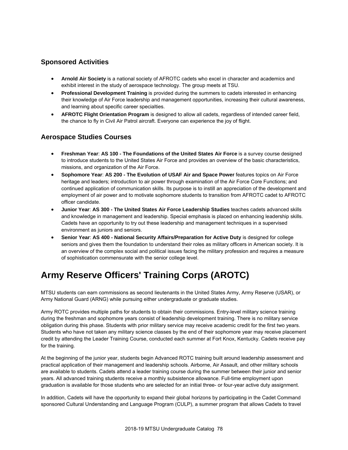#### **Sponsored Activities**

- **Arnold Air Society** is a national society of AFROTC cadets who excel in character and academics and exhibit interest in the study of aerospace technology. The group meets at TSU.
- **Professional Development Training** is provided during the summers to cadets interested in enhancing their knowledge of Air Force leadership and management opportunities, increasing their cultural awareness, and learning about specific career specialties.
- **AFROTC Flight Orientation Program** is designed to allow all cadets, regardless of intended career field, the chance to fly in Civil Air Patrol aircraft. Everyone can experience the joy of flight.

#### **Aerospace Studies Courses**

- **Freshman Year**: **AS 100 The Foundations of the United States Air Force** is a survey course designed to introduce students to the United States Air Force and provides an overview of the basic characteristics, missions, and organization of the Air Force.
- **Sophomore Year**: **AS 200 The Evolution of USAF Air and Space Power** features topics on Air Force heritage and leaders; introduction to air power through examination of the Air Force Core Functions; and continued application of communication skills. Its purpose is to instill an appreciation of the development and employment of air power and to motivate sophomore students to transition from AFROTC cadet to AFROTC officer candidate.
- **Junior Year**: **AS 300 The United States Air Force Leadership Studies** teaches cadets advanced skills and knowledge in management and leadership. Special emphasis is placed on enhancing leadership skills. Cadets have an opportunity to try out these leadership and management techniques in a supervised environment as juniors and seniors.
- **Senior Year**: **AS 400 National Security Affairs/Preparation for Active Duty** is designed for college seniors and gives them the foundation to understand their roles as military officers in American society. It is an overview of the complex social and political issues facing the military profession and requires a measure of sophistication commensurate with the senior college level.

# **Army Reserve Officers' Training Corps (AROTC)**

MTSU students can earn commissions as second lieutenants in the United States Army, Army Reserve (USAR), or Army National Guard (ARNG) while pursuing either undergraduate or graduate studies.

Army ROTC provides multiple paths for students to obtain their commissions. Entry-level military science training during the freshman and sophomore years consist of leadership development training. There is no military service obligation during this phase. Students with prior military service may receive academic credit for the first two years. Students who have not taken any military science classes by the end of their sophomore year may receive placement credit by attending the Leader Training Course, conducted each summer at Fort Knox, Kentucky. Cadets receive pay for the training.

At the beginning of the junior year, students begin Advanced ROTC training built around leadership assessment and practical application of their management and leadership schools. Airborne, Air Assault, and other military schools are available to students. Cadets attend a leader training course during the summer between their junior and senior years. All advanced training students receive a monthly subsistence allowance. Full-time employment upon graduation is available for those students who are selected for an initial three- or four-year active duty assignment.

In addition, Cadets will have the opportunity to expand their global horizons by participating in the Cadet Command sponsored Cultural Understanding and Language Program (CULP), a summer program that allows Cadets to travel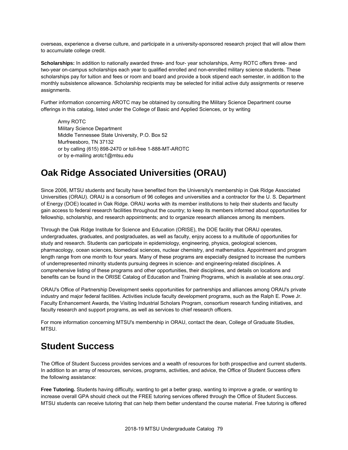overseas, experience a diverse culture, and participate in a university-sponsored research project that will allow them to accumulate college credit.

**Scholarships:** In addition to nationally awarded three- and four- year scholarships, Army ROTC offers three- and two-year on-campus scholarships each year to qualified enrolled and non-enrolled military science students. These scholarships pay for tuition and fees or room and board and provide a book stipend each semester, in addition to the monthly subsistence allowance. Scholarship recipients may be selected for initial active duty assignments or reserve assignments.

Further information concerning AROTC may be obtained by consulting the Military Science Department course offerings in this catalog, listed under the College of Basic and Applied Sciences, or by writing

Army ROTC Military Science Department Middle Tennessee State University, P.O. Box 52 Murfreesboro, TN 37132 or by calling (615) 898-2470 or toll-free 1-888-MT-AROTC or by e-mailing arotc1@mtsu.edu

### **Oak Ridge Associated Universities (ORAU)**

Since 2006, MTSU students and faculty have benefited from the University's membership in Oak Ridge Associated Universities (ORAU). ORAU is a consortium of 96 colleges and universities and a contractor for the U. S. Department of Energy (DOE) located in Oak Ridge. ORAU works with its member institutions to help their students and faculty gain access to federal research facilities throughout the country; to keep its members informed about opportunities for fellowship, scholarship, and research appointments; and to organize research alliances among its members.

Through the Oak Ridge Institute for Science and Education (ORISE), the DOE facility that ORAU operates, undergraduates, graduates, and postgraduates, as well as faculty, enjoy access to a multitude of opportunities for study and research. Students can participate in epidemiology, engineering, physics, geological sciences, pharmacology, ocean sciences, biomedical sciences, nuclear chemistry, and mathematics. Appointment and program length range from one month to four years. Many of these programs are especially designed to increase the numbers of underrepresented minority students pursuing degrees in science- and engineering-related disciplines. A comprehensive listing of these programs and other opportunities, their disciplines, and details on locations and benefits can be found in the ORISE Catalog of Education and Training Programs, which is available at see.orau.org/.

ORAU's Office of Partnership Development seeks opportunities for partnerships and alliances among ORAU's private industry and major federal facilities. Activities include faculty development programs, such as the Ralph E. Powe Jr. Faculty Enhancement Awards, the Visiting Industrial Scholars Program, consortium research funding initiatives, and faculty research and support programs, as well as services to chief research officers.

For more information concerning MTSU's membership in ORAU, contact the dean, College of Graduate Studies, MTSU.

### **Student Success**

The Office of Student Success provides services and a wealth of resources for both prospective and current students. In addition to an array of resources, services, programs, activities, and advice, the Office of Student Success offers the following assistance:

**Free Tutoring.** Students having difficulty, wanting to get a better grasp, wanting to improve a grade, or wanting to increase overall GPA should check out the FREE tutoring services offered through the Office of Student Success. MTSU students can receive tutoring that can help them better understand the course material. Free tutoring is offered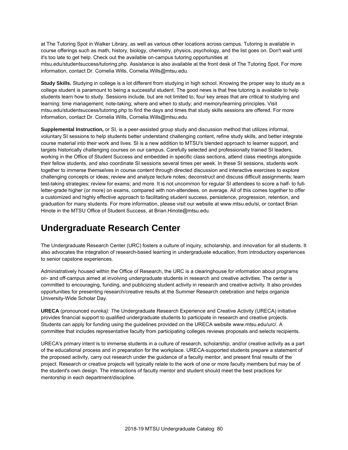at The Tutoring Spot in Walker Library, as well as various other locations across campus. Tutoring is available in course offerings such as math, history, biology, chemistry, physics, psychology, and the list goes on. Don't wait until it's too late to get help. Check out the available on-campus tutoring opportunities at mtsu.edu/studentsuccess/tutoring.php. Assistance is also available at the front desk of The Tutoring Spot. For more information, contact Dr. Cornelia Wills, Cornelia.Wills@mtsu.edu.

**Study Skills.** Studying in college is a lot different from studying in high school. Knowing the proper way to study as a college student is paramount to being a successful student. The good news is that free tutoring is available to help students learn how to study. Sessions include, but are not limited to, four key areas that are critical to studying and learning: time management; note-taking; where and when to study; and memory/learning principles. Visit mtsu.edu/studentsuccess/tutoring.php to find the days and times that study skills sessions are offered. For more information, contact Dr. Cornelia Wills, Cornelia.Wills@mtsu.edu.

**Supplemental Instruction,** or SI, is a peer-assisted group study and discussion method that utilizes informal, voluntary SI sessions to help students better understand challenging content, refine study skills, and better integrate course material into their work and lives. SI is a new addition to MTSU's blended approach to learner support, and targets historically challenging courses on our campus. Carefully selected and professionally trained SI leaders, working in the Office of Student Success and embedded in specific class sections, attend class meetings alongside their fellow students, and also coordinate SI sessions several times per week. In these SI sessions, students work together to immerse themselves in course content through directed discussion and interactive exercises to explore challenging concepts or ideas; review and analyze lecture notes; deconstruct and discuss difficult assignments; learn test-taking strategies; review for exams; and more. It is not uncommon for regular SI attendees to score a half- to fullletter-grade higher (or more) on exams, compared with non-attendees, on average. All of this comes together to offer a customized and highly effective approach to facilitating student success, persistence, progression, retention, and graduation for many students. For more information, please visit our website at www.mtsu.edu/si, or contact Brian Hinote in the MTSU Office of Student Success, at Brian.Hinote@mtsu.edu.

### **Undergraduate Research Center**

The Undergraduate Research Center (URC) fosters a culture of inquiry, scholarship, and innovation for all students. It also advocates the integration of research-based learning in undergraduate education, from introductory experiences to senior capstone experiences.

Administratively housed within the Office of Research, the URC is a clearinghouse for information about programs on- and off-campus aimed at involving undergraduate students in research and creative activities. The center is committed to encouraging, funding, and publicizing student activity in research and creative activity. It also provides opportunities for presenting research/creative results at the Summer Research celebration and helps organize University-Wide Scholar Day.

**URECA** (pronounced *eureka): Th*e Undergraduate Research Experience and Creative Activity (URECA) initiative provides financial support to qualified undergraduate students to participate in research and creative projects. Students can apply for funding using the guidelines provided on the URECA website www.mtsu.edu/urc/. A committee that includes representative faculty from participating colleges reviews proposals and selects recipients.

URECA's primary intent is to immerse students in a culture of research, scholarship, and/or creative activity as a part of the educational process and in preparation for the workplace. URECA-supported students prepare a statement of the proposed activity, carry out research under the guidance of a faculty mentor, and present final results of the project. Research or creative projects will typically relate to the work of one or more faculty members but may be of the student's own design. The interactions of faculty mentor and student should meet the best practices for mentorship in each department/discipline.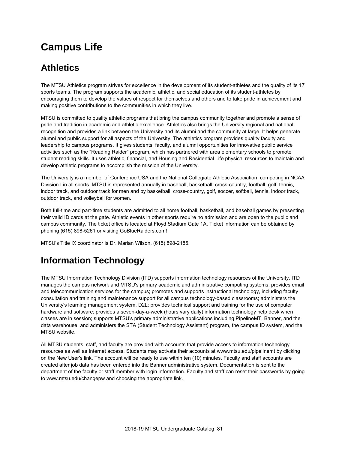# **Campus Life**

## **Athletics**

The MTSU Athletics program strives for excellence in the development of its student-athletes and the quality of its 17 sports teams. The program supports the academic, athletic, and social education of its student-athletes by encouraging them to develop the values of respect for themselves and others and to take pride in achievement and making positive contributions to the communities in which they live.

MTSU is committed to quality athletic programs that bring the campus community together and promote a sense of pride and tradition in academic and athletic excellence. Athletics also brings the University regional and national recognition and provides a link between the University and its alumni and the community at large. It helps generate alumni and public support for all aspects of the University. The athletics program provides quality faculty and leadership to campus programs. It gives students, faculty, and alumni opportunities for innovative public service activities such as the "Reading Raider" program, which has partnered with area elementary schools to promote student reading skills. It uses athletic, financial, and Housing and Residential Life physical resources to maintain and develop athletic programs to accomplish the mission of the University.

The University is a member of Conference USA and the National Collegiate Athletic Association, competing in NCAA Division I in all sports. MTSU is represented annually in baseball, basketball, cross-country, football, golf, tennis, indoor track, and outdoor track for men and by basketball, cross-country, golf, soccer, softball, tennis, indoor track, outdoor track, and volleyball for women.

Both full-time and part-time students are admitted to all home football, basketball, and baseball games by presenting their valid ID cards at the gate. Athletic events in other sports require no admission and are open to the public and campus community. The ticket office is located at Floyd Stadium Gate 1A. Ticket information can be obtained by phoning (615) 898-5261 or visiting GoBlueRaiders.com!

MTSU's Title IX coordinator is Dr. Marian Wilson, (615) 898-2185.

# **Information Technology**

The MTSU Information Technology Division (ITD) supports information technology resources of the University. ITD manages the campus network and MTSU's primary academic and administrative computing systems; provides email and telecommunication services for the campus; promotes and supports instructional technology, including faculty consultation and training and maintenance support for all campus technology-based classrooms; administers the University's learning management system, D2L; provides technical support and training for the use of computer hardware and software; provides a seven-day-a-week (hours vary daily) information technology help desk when classes are in session; supports MTSU's primary administrative applications including PipelineMT, Banner, and the data warehouse; and administers the STA (Student Technology Assistant) program, the campus ID system, and the MTSU website.

All MTSU students, staff, and faculty are provided with accounts that provide access to information technology resources as well as Internet access. Students may activate their accounts at www.mtsu.edu/pipelinemt by clicking on the New User's link. The account will be ready to use within ten (10) minutes. Faculty and staff accounts are created after job data has been entered into the Banner administrative system. Documentation is sent to the department of the faculty or staff member with login information. Faculty and staff can reset their passwords by going to www.mtsu.edu/changepw and choosing the appropriate link.